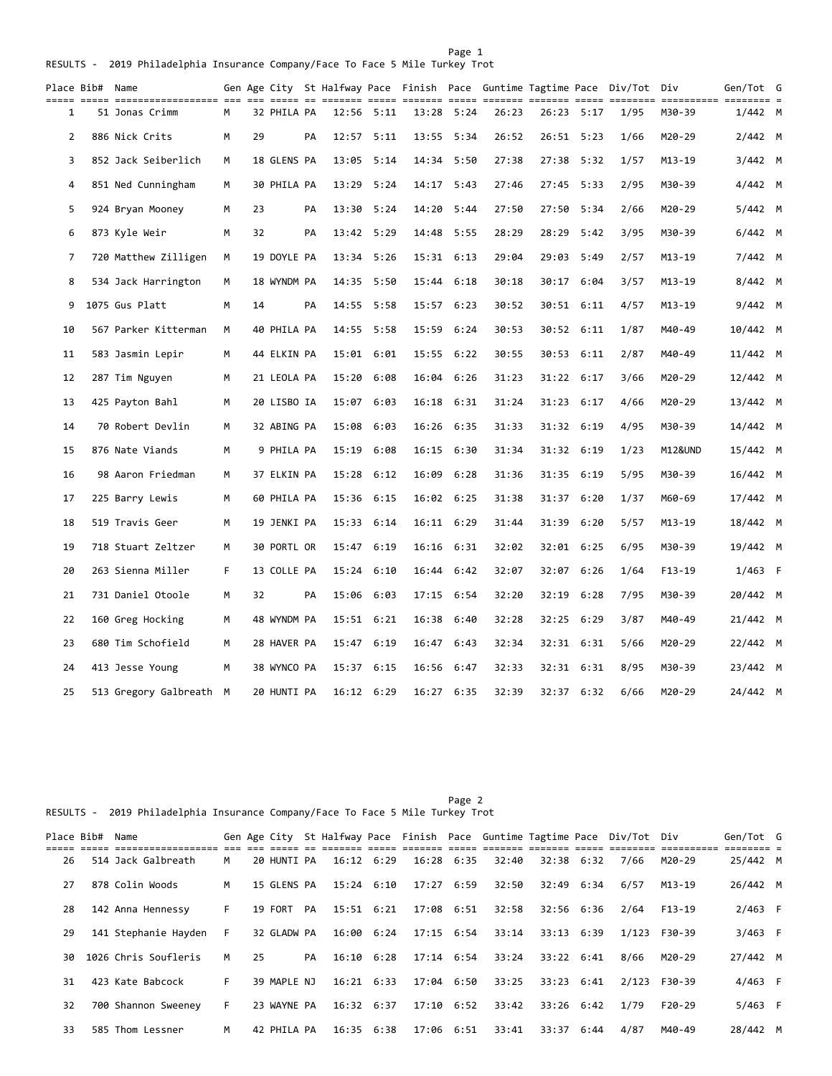|    | Place Bib#  Name | <u>----- ----------------- --- --- -- --</u> |    |    |             |    | Gen Age City St Halfway Pace Finish Pace Guntime Tagtime Pace Div/Tot<br>== == ==== |            |            |            |       |       | == ===== == |      | Div<br>sessessess se | Gen/Tot G |  |
|----|------------------|----------------------------------------------|----|----|-------------|----|-------------------------------------------------------------------------------------|------------|------------|------------|-------|-------|-------------|------|----------------------|-----------|--|
| 1  |                  | 51 Jonas Crimm                               | M  |    | 32 PHILA PA |    |                                                                                     | 12:56 5:11 | 13:28      | 5:24       | 26:23 |       | 26:23 5:17  | 1/95 | M30-39               | $1/442$ M |  |
| 2  |                  | 886 Nick Crits                               | м  | 29 |             | PA | 12:57                                                                               | 5:11       | 13:55      | 5:34       | 26:52 | 26:51 | 5:23        | 1/66 | M20-29               | $2/442$ M |  |
| 3  |                  | 852 Jack Seiberlich                          | M  |    | 18 GLENS PA |    | 13:05 5:14                                                                          |            | 14:34 5:50 |            | 27:38 |       | 27:38 5:32  | 1/57 | M13-19               | $3/442$ M |  |
| 4  |                  | 851 Ned Cunningham                           | M  |    | 30 PHILA PA |    | 13:29 5:24                                                                          |            | 14:17 5:43 |            | 27:46 |       | 27:45 5:33  | 2/95 | M30-39               | 4/442 M   |  |
| 5  |                  | 924 Bryan Mooney                             | м  | 23 |             | PA | 13:30 5:24                                                                          |            |            | 14:20 5:44 | 27:50 |       | 27:50 5:34  | 2/66 | M20-29               | $5/442$ M |  |
| 6  |                  | 873 Kyle Weir                                | М  | 32 |             | PA | 13:42 5:29                                                                          |            | 14:48 5:55 |            | 28:29 | 28:29 | 5:42        | 3/95 | M30-39               | $6/442$ M |  |
| 7  |                  | 720 Matthew Zilligen                         | M  |    | 19 DOYLE PA |    | 13:34 5:26                                                                          |            | 15:31 6:13 |            | 29:04 |       | 29:03 5:49  | 2/57 | M13-19               | 7/442 M   |  |
| 8  |                  | 534 Jack Harrington                          | м  |    | 18 WYNDM PA |    | 14:35                                                                               | 5:50       | 15:44      | 6:18       | 30:18 | 30:17 | 6:04        | 3/57 | M13-19               | 8/442 M   |  |
| 9  |                  | 1075 Gus Platt                               | м  | 14 |             | PA | 14:55                                                                               | 5:58       | 15:57      | 6:23       | 30:52 |       | 30:51 6:11  | 4/57 | M13-19               | 9/442 M   |  |
| 10 |                  | 567 Parker Kitterman                         | M  |    | 40 PHILA PA |    | 14:55                                                                               | 5:58       | 15:59      | 6:24       | 30:53 |       | 30:52 6:11  | 1/87 | M40-49               | 10/442 M  |  |
| 11 |                  | 583 Jasmin Lepir                             | M  |    | 44 ELKIN PA |    | 15:01 6:01                                                                          |            | 15:55      | 6:22       | 30:55 |       | 30:53 6:11  | 2/87 | M40-49               | 11/442 M  |  |
| 12 |                  | 287 Tim Nguyen                               | М  |    | 21 LEOLA PA |    | 15:20 6:08                                                                          |            |            | 16:04 6:26 | 31:23 |       | 31:22 6:17  | 3/66 | M20-29               | 12/442 M  |  |
| 13 |                  | 425 Payton Bahl                              | М  |    | 20 LISBO IA |    | 15:07                                                                               | 6:03       | 16:18      | 6:31       | 31:24 |       | 31:23 6:17  | 4/66 | M20-29               | 13/442 M  |  |
| 14 |                  | 70 Robert Devlin                             | М  |    | 32 ABING PA |    | 15:08 6:03                                                                          |            |            | 16:26 6:35 | 31:33 |       | 31:32 6:19  | 4/95 | M30-39               | 14/442 M  |  |
| 15 |                  | 876 Nate Viands                              | М  |    | 9 PHILA PA  |    | 15:19 6:08                                                                          |            | 16:15 6:30 |            | 31:34 |       | 31:32 6:19  | 1/23 | M12&UND              | 15/442 M  |  |
| 16 |                  | 98 Aaron Friedman                            | М  |    | 37 ELKIN PA |    | 15:28 6:12                                                                          |            | 16:09 6:28 |            | 31:36 |       | 31:35 6:19  | 5/95 | M30-39               | 16/442 M  |  |
| 17 |                  | 225 Barry Lewis                              | М  |    | 60 PHILA PA |    | 15:36 6:15                                                                          |            | 16:02 6:25 |            | 31:38 | 31:37 | 6:20        | 1/37 | M60-69               | 17/442 M  |  |
| 18 |                  | 519 Travis Geer                              | М  |    | 19 JENKI PA |    | 15:33 6:14                                                                          |            | 16:11 6:29 |            | 31:44 |       | 31:39 6:20  | 5/57 | M13-19               | 18/442 M  |  |
| 19 |                  | 718 Stuart Zeltzer                           | м  |    | 30 PORTL OR |    | 15:47 6:19                                                                          |            | 16:16      | 6:31       | 32:02 |       | 32:01 6:25  | 6/95 | M30-39               | 19/442 M  |  |
| 20 |                  | 263 Sienna Miller                            | F. |    | 13 COLLE PA |    | 15:24 6:10                                                                          |            |            | 16:44 6:42 | 32:07 |       | 32:07 6:26  | 1/64 | $F13-19$             | $1/463$ F |  |
| 21 |                  | 731 Daniel Otoole                            | м  | 32 |             | PA | 15:06 6:03                                                                          |            |            | 17:15 6:54 | 32:20 |       | 32:19 6:28  | 7/95 | M30-39               | 20/442 M  |  |
| 22 |                  | 160 Greg Hocking                             | M  |    | 48 WYNDM PA |    | 15:51 6:21                                                                          |            | 16:38      | 6:40       | 32:28 |       | 32:25 6:29  | 3/87 | M40-49               | 21/442 M  |  |
| 23 |                  | 680 Tim Schofield                            | м  |    | 28 HAVER PA |    | 15:47 6:19                                                                          |            | 16:47 6:43 |            | 32:34 |       | 32:31 6:31  | 5/66 | M20-29               | 22/442 M  |  |
| 24 |                  | 413 Jesse Young                              | м  |    | 38 WYNCO PA |    | 15:37 6:15                                                                          |            |            | 16:56 6:47 | 32:33 |       | 32:31 6:31  | 8/95 | M30-39               | 23/442 M  |  |
| 25 |                  | 513 Gregory Galbreath M                      |    |    | 20 HUNTI PA |    | 16:12 6:29                                                                          |            | 16:27 6:35 |            | 32:39 |       | 32:37 6:32  | 6/66 | M20-29               | 24/442 M  |  |
|    |                  |                                              |    |    |             |    |                                                                                     |            |            |            |       |       |             |      |                      |           |  |

Page 2 and 2 and 2 and 2 and 2 and 2 and 2 and 2 and 2 and 2 and 2 and 2 and 2 and 2 and 2 and 2 and 2 and 2 RESULTS - 2019 Philadelphia Insurance Company/Face To Face 5 Mile Turkey Trot

|    | Place Bib# Name |                      |    |    |             |    |                    |                |       |              | Gen Age City St Halfway Pace Finish Pace Guntime Tagtime Pace Div/Tot Div |          | Gen/Tot G |  |
|----|-----------------|----------------------|----|----|-------------|----|--------------------|----------------|-------|--------------|---------------------------------------------------------------------------|----------|-----------|--|
| 26 |                 | 514 Jack Galbreath   | M  |    | 20 HUNTI PA |    | $16:12 \quad 6:29$ | $16:28$ $6:35$ | 32:40 | $32:38$ 6:32 | 7/66                                                                      | M20-29   | 25/442 M  |  |
| 27 |                 | 878 Colin Woods      | M  |    | 15 GLENS PA |    | $15:24$ $6:10$     | 17:27 6:59     | 32:50 | 32:49 6:34   | 6/57                                                                      | M13-19   | 26/442 M  |  |
| 28 |                 | 142 Anna Hennessy    | F. |    | 19 FORT     | PA | 15:51 6:21         | 17:08 6:51     | 32:58 | 32:56 6:36   | 2/64                                                                      | $F13-19$ | $2/463$ F |  |
| 29 |                 | 141 Stephanie Hayden | F. |    | 32 GLADW PA |    | 16:00 6:24         | 17:15 6:54     | 33:14 | 33:13 6:39   | 1/123                                                                     | F30-39   | $3/463$ F |  |
| 30 |                 | 1026 Chris Soufleris | M  | 25 |             | PA | $16:10 \quad 6:28$ | 17:14 6:54     | 33:24 | 33:22 6:41   | 8/66                                                                      | M20-29   | 27/442 M  |  |
| 31 |                 | 423 Kate Babcock     | F. |    | 39 MAPLE NJ |    | $16:21$ $6:33$     | 17:04 6:50     | 33:25 | 33:23 6:41   | 2/123                                                                     | F30-39   | $4/463$ F |  |
| 32 |                 | 700 Shannon Sweeney  | F. |    | 23 WAYNE PA |    | $16:32 \quad 6:37$ | 17:10 6:52     | 33:42 | 33:26 6:42   | 1/79                                                                      | $F20-29$ | $5/463$ F |  |
| 33 |                 | 585 Thom Lessner     | M  |    | 42 PHILA PA |    | 16:35 6:38         | 17:06 6:51     | 33:41 | 33:37 6:44   | 4/87                                                                      | M40-49   | 28/442 M  |  |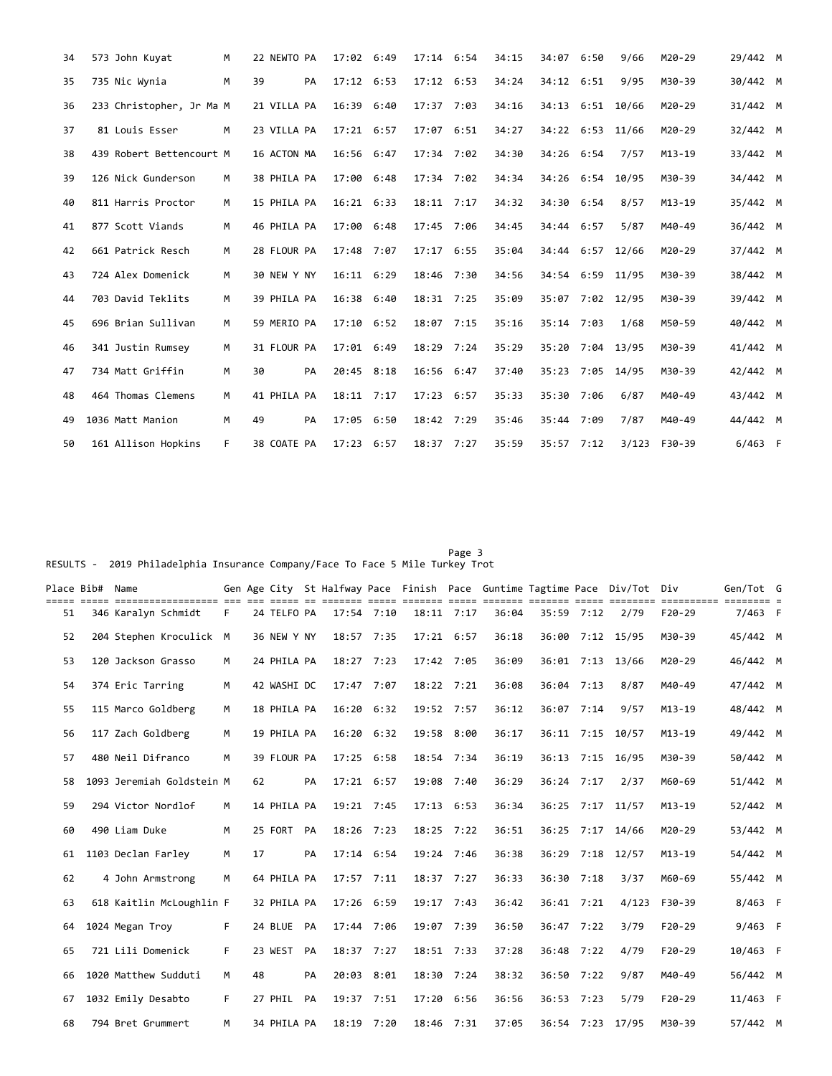| 34 | 573 John Kuyat           | M  | 22 NEWTO PA | 17:02 6:49     | $17:14$ 6:54   |      | 34:15 | 34:07            | 6:50 | 9/66       | M20-29     | 29/442 M  |  |
|----|--------------------------|----|-------------|----------------|----------------|------|-------|------------------|------|------------|------------|-----------|--|
| 35 | 735 Nic Wynia            | M  | 39<br>PA    | 17:12 6:53     | $17:12$ $6:53$ |      | 34:24 | 34:12 6:51       |      | 9/95       | M30-39     | 30/442 M  |  |
| 36 | 233 Christopher, Jr Ma M |    | 21 VILLA PA | 16:39 6:40     | 17:37 7:03     |      | 34:16 | 34:13 6:51 10/66 |      |            | M20-29     | 31/442 M  |  |
| 37 | 81 Louis Esser           | M  | 23 VILLA PA | $17:21$ 6:57   | 17:07          | 6:51 | 34:27 | 34:22 6:53       |      | 11/66      | M20-29     | 32/442 M  |  |
| 38 | 439 Robert Bettencourt M |    | 16 ACTON MA | 16:56 6:47     | 17:34 7:02     |      | 34:30 | 34:26 6:54       |      | 7/57       | $M13 - 19$ | 33/442 M  |  |
| 39 | 126 Nick Gunderson       | M  | 38 PHILA PA | 17:00 6:48     | 17:34 7:02     |      | 34:34 | 34:26 6:54 10/95 |      |            | M30-39     | 34/442 M  |  |
| 40 | 811 Harris Proctor       | M  | 15 PHILA PA | 16:21 6:33     | 18:11 7:17     |      | 34:32 | 34:30            | 6:54 | 8/57       | $M13 - 19$ | 35/442 M  |  |
| 41 | 877 Scott Viands         | M  | 46 PHILA PA | 17:00 6:48     | 17:45 7:06     |      | 34:45 | 34:44 6:57       |      | 5/87       | M40-49     | 36/442 M  |  |
| 42 | 661 Patrick Resch        | M  | 28 FLOUR PA | 17:48 7:07     | $17:17$ 6:55   |      | 35:04 | 34:44 6:57       |      | 12/66      | M20-29     | 37/442 M  |  |
| 43 | 724 Alex Domenick        | M  | 30 NEW Y NY | $16:11$ $6:29$ | 18:46 7:30     |      | 34:56 | 34:54 6:59 11/95 |      |            | M30-39     | 38/442 M  |  |
| 44 | 703 David Teklits        | M  | 39 PHILA PA | 16:38 6:40     | 18:31 7:25     |      | 35:09 | 35:07            |      | 7:02 12/95 | M30-39     | 39/442 M  |  |
| 45 | 696 Brian Sullivan       | M  | 59 MERIO PA | 17:10 6:52     | 18:07 7:15     |      | 35:16 | 35:14 7:03       |      | 1/68       | M50-59     | 40/442 M  |  |
| 46 | 341 Justin Rumsey        | M  | 31 FLOUR PA | 17:01 6:49     | 18:29          | 7:24 | 35:29 | 35:20            |      | 7:04 13/95 | M30-39     | 41/442 M  |  |
| 47 | 734 Matt Griffin         | M  | 30<br>PA    | 20:45 8:18     | 16:56 6:47     |      | 37:40 | 35:23 7:05 14/95 |      |            | M30-39     | 42/442 M  |  |
| 48 | 464 Thomas Clemens       | M  | 41 PHILA PA | 18:11 7:17     | 17:23 6:57     |      | 35:33 | 35:30 7:06       |      | 6/87       | M40-49     | 43/442 M  |  |
| 49 | 1036 Matt Manion         | M  | 49<br>PA    | 17:05 6:50     | 18:42 7:29     |      | 35:46 | 35:44 7:09       |      | 7/87       | M40-49     | 44/442 M  |  |
| 50 | 161 Allison Hopkins      | F. | 38 COATE PA | 17:23 6:57     | $18:37$ 7:27   |      | 35:59 | 35:57 7:12       |      | 3/123      | F30-39     | $6/463$ F |  |

## Page 3 and 2012 and 2012 and 2012 and 2012 and 2012 and 2012 and 2012 and 2012 and 2012 and 2012 and 2012 and RESULTS - 2019 Philadelphia Insurance Company/Face To Face 5 Mile Turkey Trot

| Place Bib# Name |                           |   |    |             |    |                |      |                |            |       |            |      | Gen Age City St Halfway Pace Finish Pace Guntime Tagtime Pace Div/Tot Div |            | Gen/Tot G |  |
|-----------------|---------------------------|---|----|-------------|----|----------------|------|----------------|------------|-------|------------|------|---------------------------------------------------------------------------|------------|-----------|--|
| 51              | 346 Karalyn Schmidt       | F |    | 24 TELFO PA |    | 17:54 7:10     |      | $18:11$ 7:17   |            | 36:04 | 35:59 7:12 |      | 2/79                                                                      | $F20-29$   | $7/463$ F |  |
| 52              | 204 Stephen Kroculick M   |   |    | 36 NEW Y NY |    | 18:57          | 7:35 | 17:21 6:57     |            | 36:18 | 36:00      |      | $7:12$ 15/95                                                              | M30-39     | 45/442 M  |  |
| 53              | 120 Jackson Grasso        | M |    | 24 PHILA PA |    | 18:27          | 7:23 | 17:42 7:05     |            | 36:09 | 36:01      |      | 7:13 13/66                                                                | M20-29     | 46/442 M  |  |
| 54              | 374 Eric Tarring          | M |    | 42 WASHI DC |    | 17:47          | 7:07 | 18:22 7:21     |            | 36:08 | 36:04      | 7:13 | 8/87                                                                      | M40-49     | 47/442 M  |  |
| 55              | 115 Marco Goldberg        | M |    | 18 PHILA PA |    | 16:20 6:32     |      | 19:52 7:57     |            | 36:12 | 36:07      | 7:14 | 9/57                                                                      | $M13 - 19$ | 48/442 M  |  |
| 56              | 117 Zach Goldberg         | M |    | 19 PHILA PA |    | 16:20 6:32     |      | 19:58 8:00     |            | 36:17 | 36:11      | 7:15 | 10/57                                                                     | $M13 - 19$ | 49/442 M  |  |
| 57              | 480 Neil Difranco         | M |    | 39 FLOUR PA |    | 17:25 6:58     |      |                | 18:54 7:34 | 36:19 | 36:13      |      | 7:15 16/95                                                                | M30-39     | 50/442 M  |  |
| 58              | 1093 Jeremiah Goldstein M |   | 62 |             | PA | 17:21 6:57     |      | 19:08          | 7:40       | 36:29 | 36:24 7:17 |      | 2/37                                                                      | M60-69     | 51/442 M  |  |
| 59              | 294 Victor Nordlof        | M |    | 14 PHILA PA |    | 19:21 7:45     |      | $17:13$ $6:53$ |            | 36:34 | 36:25      |      | 7:17 11/57                                                                | $M13 - 19$ | 52/442 M  |  |
| 60              | 490 Liam Duke             | M |    | 25 FORT     | PA | 18:26          | 7:23 |                | 18:25 7:22 | 36:51 | 36:25      | 7:17 | 14/66                                                                     | M20-29     | 53/442 M  |  |
| 61              | 1103 Declan Farley        | M | 17 |             | PA | $17:14$ $6:54$ |      | 19:24 7:46     |            | 36:38 | 36:29      |      | 7:18 12/57                                                                | $M13 - 19$ | 54/442 M  |  |
| 62              | 4 John Armstrong          | M |    | 64 PHILA PA |    | 17:57 7:11     |      | 18:37 7:27     |            | 36:33 | 36:30      | 7:18 | 3/37                                                                      | M60-69     | 55/442 M  |  |
| 63              | 618 Kaitlin McLoughlin F  |   |    | 32 PHILA PA |    | 17:26 6:59     |      | 19:17 7:43     |            | 36:42 | 36:41      | 7:21 | 4/123                                                                     | F30-39     | 8/463 F   |  |
| 64              | 1024 Megan Troy           | F |    | 24 BLUE     | PA | 17:44 7:06     |      | 19:07 7:39     |            | 36:50 | 36:47      | 7:22 | 3/79                                                                      | $F20-29$   | $9/463$ F |  |
| 65              | 721 Lili Domenick         | F |    | 23 WEST     | PA | 18:37          | 7:27 | $18:51$ 7:33   |            | 37:28 | 36:48      | 7:22 | 4/79                                                                      | $F20-29$   | 10/463 F  |  |
| 66              | 1020 Matthew Sudduti      | M | 48 |             | PA | 20:03 8:01     |      | 18:30          | 7:24       | 38:32 | 36:50      | 7:22 | 9/87                                                                      | M40-49     | 56/442 M  |  |
| 67              | 1032 Emily Desabto        | F |    | 27 PHIL     | PA | 19:37          | 7:51 | 17:20          | 6:56       | 36:56 | 36:53      | 7:23 | 5/79                                                                      | $F20-29$   | 11/463 F  |  |
| 68              | 794 Bret Grummert         | м |    | 34 PHILA PA |    | 18:19 7:20     |      |                | 18:46 7:31 | 37:05 |            |      | 36:54 7:23 17/95                                                          | M30-39     | 57/442 M  |  |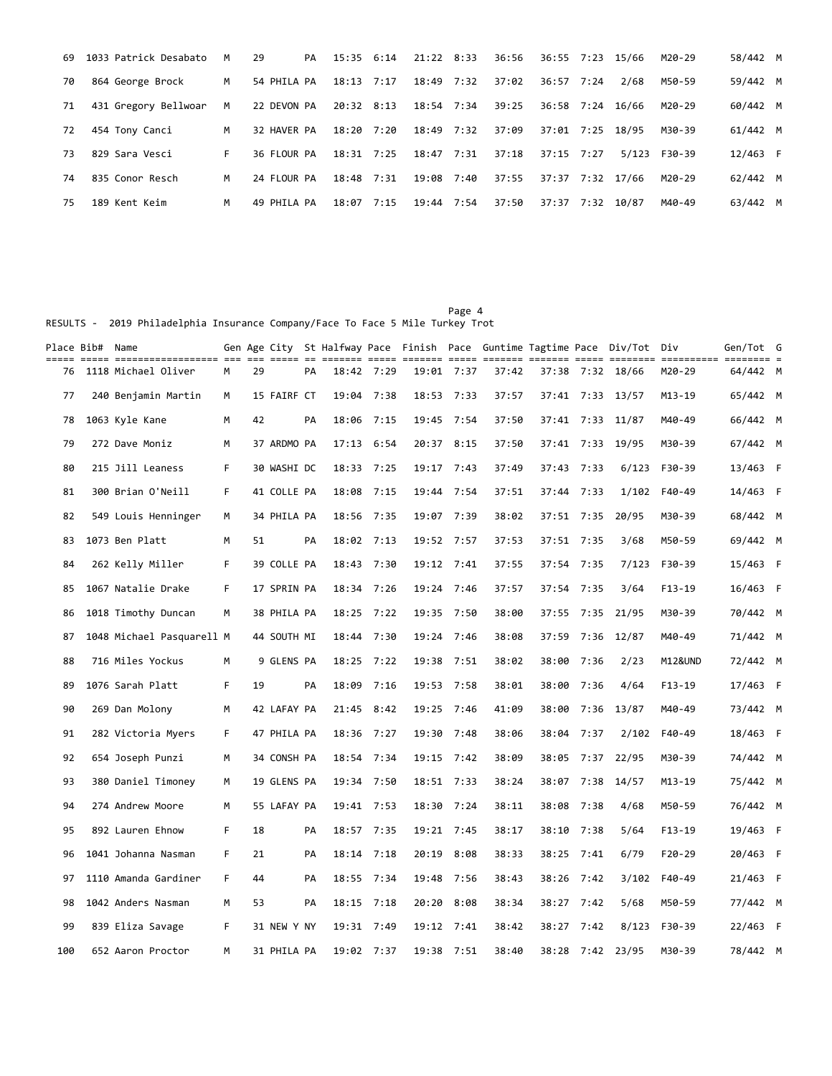| 69 | 1033 Patrick Desabato | M  | 29          | PA | 15:35 6:14 |      | 21:22 8:33 |      | 36:56 | 36:55 7:23       | 15/66 | M20-29 | 58/442 M |  |
|----|-----------------------|----|-------------|----|------------|------|------------|------|-------|------------------|-------|--------|----------|--|
| 70 | 864 George Brock      | M  | 54 PHILA PA |    | 18:13 7:17 |      | 18:49 7:32 |      | 37:02 | 36:57 7:24       | 2/68  | M50-59 | 59/442 M |  |
| 71 | 431 Gregory Bellwoar  | M  | 22 DEVON PA |    | 20:32 8:13 |      | 18:54 7:34 |      | 39:25 | 36:58 7:24       | 16/66 | M20-29 | 60/442 M |  |
| 72 | 454 Tony Canci        | M  | 32 HAVER PA |    | 18:20 7:20 |      | 18:49 7:32 |      | 37:09 | 37:01 7:25 18/95 |       | M30-39 | 61/442 M |  |
| 73 | 829 Sara Vesci        | F. | 36 FLOUR PA |    | 18:31 7:25 |      | 18:47 7:31 |      | 37:18 | $37:15$ $7:27$   | 5/123 | F30-39 | 12/463 F |  |
| 74 | 835 Conor Resch       | M  | 24 FLOUR PA |    | 18:48      | 7:31 | 19:08      | 7:40 | 37:55 | 37:37 7:32 17/66 |       | M20-29 | 62/442 M |  |
| 75 | 189 Kent Keim         | M  | 49 PHILA PA |    | 18:07      | 7:15 | 19:44 7:54 |      | 37:50 | 37:37 7:32       | 10/87 | M40-49 | 63/442 M |  |

RESULTS - 2019 Philadelphia Insurance Company/Face To Face 5 Mile Turkey Trot

| =====<br>76 | Place Bib# Name | 1118 Michael Oliver       | M  | 29 |             | PA | 18:42 7:29 |      |            | 19:01 7:37 | 37:42 |            |            | Gen Age City St Halfway Pace Finish Pace Guntime Tagtime Pace Div/Tot Div<br>37:38 7:32 18/66 | ----------- -------- -<br>M20-29 | Gen/Tot G<br>64/442 M |  |
|-------------|-----------------|---------------------------|----|----|-------------|----|------------|------|------------|------------|-------|------------|------------|-----------------------------------------------------------------------------------------------|----------------------------------|-----------------------|--|
| 77          |                 | 240 Benjamin Martin       | м  |    | 15 FAIRF CT |    | 19:04 7:38 |      | 18:53 7:33 |            | 37:57 |            |            | 37:41 7:33 13/57                                                                              | M13-19                           | 65/442 M              |  |
| 78          |                 | 1063 Kyle Kane            | М  | 42 |             | PA | 18:06 7:15 |      |            | 19:45 7:54 | 37:50 |            |            | 37:41 7:33 11/87                                                                              | M40-49                           | 66/442 M              |  |
|             |                 |                           |    |    |             |    |            |      |            |            |       |            |            |                                                                                               |                                  |                       |  |
| 79          |                 | 272 Dave Moniz            | М  |    | 37 ARDMO PA |    | 17:13 6:54 |      | 20:37 8:15 |            | 37:50 |            |            | 37:41 7:33 19/95                                                                              | M30-39                           | 67/442 M              |  |
| 80          |                 | 215 Jill Leaness          | F  |    | 30 WASHI DC |    | 18:33 7:25 |      |            | 19:17 7:43 | 37:49 | 37:43      | 7:33       | 6/123                                                                                         | F30-39                           | 13/463 F              |  |
| 81          |                 | 300 Brian O'Neill         | F. |    | 41 COLLE PA |    | 18:08      | 7:15 | 19:44 7:54 |            | 37:51 | 37:44      | 7:33       | 1/102                                                                                         | F40-49                           | 14/463 F              |  |
| 82          |                 | 549 Louis Henninger       | м  |    | 34 PHILA PA |    | 18:56      | 7:35 | 19:07      | 7:39       | 38:02 |            | 37:51 7:35 | 20/95                                                                                         | M30-39                           | 68/442 M              |  |
| 83          |                 | 1073 Ben Platt            | М  | 51 |             | PA | 18:02 7:13 |      | 19:52 7:57 |            | 37:53 | 37:51 7:35 |            | 3/68                                                                                          | M50-59                           | 69/442 M              |  |
| 84          |                 | 262 Kelly Miller          | F  |    | 39 COLLE PA |    | 18:43 7:30 |      |            | 19:12 7:41 | 37:55 | 37:54      | 7:35       | 7/123                                                                                         | F30-39                           | 15/463 F              |  |
| 85          |                 | 1067 Natalie Drake        | F  |    | 17 SPRIN PA |    | 18:34 7:26 |      | 19:24 7:46 |            | 37:57 | 37:54      | 7:35       | 3/64                                                                                          | $F13-19$                         | 16/463 F              |  |
| 86          |                 | 1018 Timothy Duncan       | м  |    | 38 PHILA PA |    | 18:25 7:22 |      |            | 19:35 7:50 | 38:00 |            |            | 37:55 7:35 21/95                                                                              | M30-39                           | 70/442 M              |  |
| 87          |                 | 1048 Michael Pasquarell M |    |    | 44 SOUTH MI |    | 18:44 7:30 |      | 19:24 7:46 |            | 38:08 | 37:59      | 7:36       | 12/87                                                                                         | M40-49                           | 71/442 M              |  |
| 88          |                 | 716 Miles Yockus          | м  |    | 9 GLENS PA  |    | 18:25 7:22 |      |            | 19:38 7:51 | 38:02 | 38:00      | 7:36       | 2/23                                                                                          | M12&UND                          | 72/442 M              |  |
| 89          |                 | 1076 Sarah Platt          | F  | 19 |             | PA | 18:09      | 7:16 | 19:53      | 7:58       | 38:01 | 38:00      | 7:36       | 4/64                                                                                          | $F13-19$                         | 17/463 F              |  |
| 90          |                 | 269 Dan Molony            | м  |    | 42 LAFAY PA |    | 21:45      | 8:42 | 19:25      | 7:46       | 41:09 | 38:00      | 7:36       | 13/87                                                                                         | M40-49                           | 73/442 M              |  |
| 91          |                 | 282 Victoria Myers        | F  |    | 47 PHILA PA |    | 18:36 7:27 |      | 19:30      | 7:48       | 38:06 | 38:04      | 7:37       | 2/102                                                                                         | F40-49                           | 18/463 F              |  |
| 92          |                 | 654 Joseph Punzi          | M  |    | 34 CONSH PA |    | 18:54 7:34 |      | 19:15      | 7:42       | 38:09 | 38:05      | 7:37       | 22/95                                                                                         | M30-39                           | 74/442 M              |  |
| 93          |                 | 380 Daniel Timoney        | M  |    | 19 GLENS PA |    | 19:34 7:50 |      |            | 18:51 7:33 | 38:24 | 38:07      |            | 7:38 14/57                                                                                    | M13-19                           | 75/442 M              |  |
| 94          |                 | 274 Andrew Moore          | М  |    | 55 LAFAY PA |    | 19:41 7:53 |      |            | 18:30 7:24 | 38:11 | 38:08      | 7:38       | 4/68                                                                                          | M50-59                           | 76/442 M              |  |
| 95          |                 | 892 Lauren Ehnow          | F  | 18 |             | PA | 18:57 7:35 |      |            | 19:21 7:45 | 38:17 |            | 38:10 7:38 | 5/64                                                                                          | $F13-19$                         | 19/463 F              |  |
| 96          |                 | 1041 Johanna Nasman       | F  | 21 |             | PA | 18:14 7:18 |      | 20:19      | 8:08       | 38:33 | 38:25      | 7:41       | 6/79                                                                                          | $F20-29$                         | 20/463 F              |  |
|             |                 |                           |    |    |             |    |            |      |            |            |       |            |            |                                                                                               |                                  |                       |  |
| 97          |                 | 1110 Amanda Gardiner      | F. | 44 |             | PA | 18:55 7:34 |      | 19:48      | 7:56       | 38:43 |            | 38:26 7:42 | 3/102                                                                                         | F40-49                           | 21/463 F              |  |
| 98          |                 | 1042 Anders Nasman        | М  | 53 |             | PA | 18:15      | 7:18 | 20:20      | 8:08       | 38:34 | 38:27      | 7:42       | 5/68                                                                                          | M50-59                           | 77/442 M              |  |
| 99          |                 | 839 Eliza Savage          | F  |    | 31 NEW Y NY |    | 19:31 7:49 |      | 19:12      | 7:41       | 38:42 | 38:27      | 7:42       | 8/123                                                                                         | F30-39                           | 22/463 F              |  |
| 100         |                 | 652 Aaron Proctor         | M  |    | 31 PHILA PA |    | 19:02 7:37 |      |            | 19:38 7:51 | 38:40 | 38:28      |            | 7:42 23/95                                                                                    | M30-39                           | 78/442 M              |  |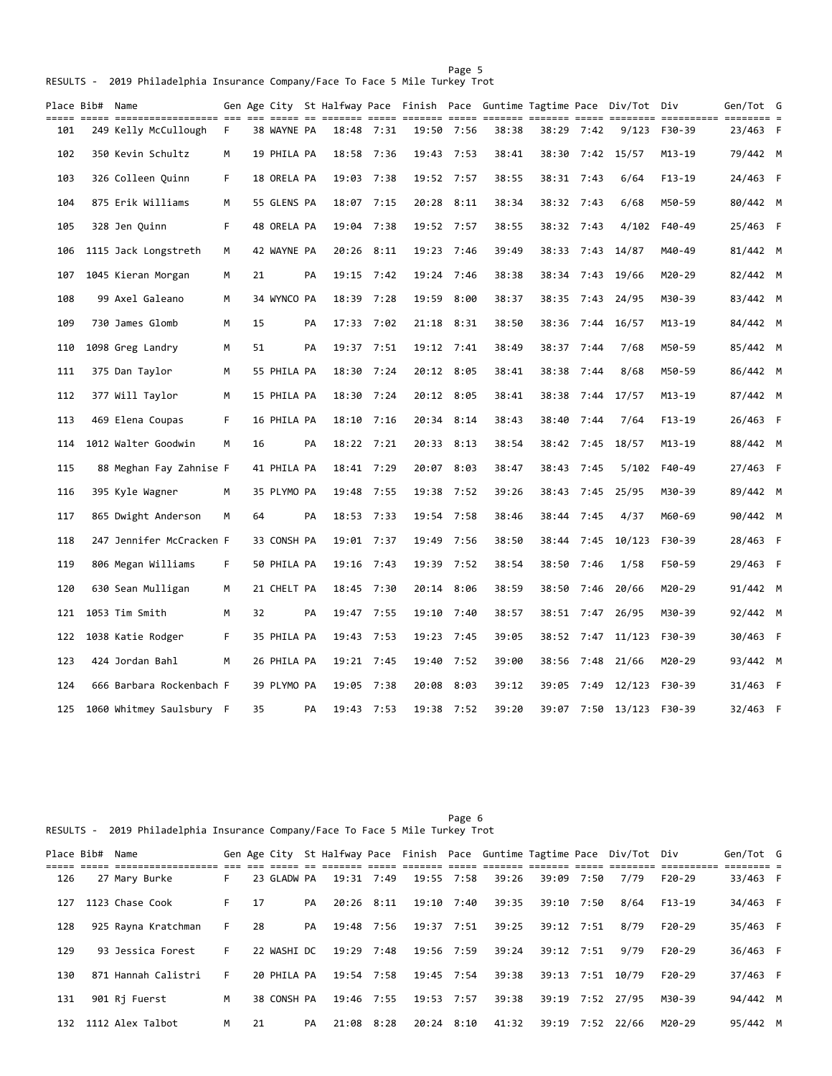| ===== | Place Bib# Name | ----- ------------------ --- --- |    |    |             |    |            |      |            |            |       |            |      | Gen Age City St Halfway Pace Finish Pace Guntime Tagtime Pace Div/Tot Div | ========== ===== | Gen/Tot G | == = |
|-------|-----------------|----------------------------------|----|----|-------------|----|------------|------|------------|------------|-------|------------|------|---------------------------------------------------------------------------|------------------|-----------|------|
| 101   |                 | 249 Kelly McCullough             | F. |    | 38 WAYNE PA |    | 18:48 7:31 |      |            | 19:50 7:56 | 38:38 | 38:29 7:42 |      | 9/123                                                                     | F30-39           | 23/463 F  |      |
| 102   |                 | 350 Kevin Schultz                | M  |    | 19 PHILA PA |    | 18:58 7:36 |      | 19:43 7:53 |            | 38:41 |            |      | 38:30 7:42 15/57                                                          | M13-19           | 79/442 M  |      |
| 103   |                 | 326 Colleen Quinn                | F  |    | 18 ORELA PA |    | 19:03 7:38 |      | 19:52 7:57 |            | 38:55 | 38:31 7:43 |      | 6/64                                                                      | $F13-19$         | 24/463 F  |      |
| 104   |                 | 875 Erik Williams                | M  |    | 55 GLENS PA |    | 18:07 7:15 |      | 20:28 8:11 |            | 38:34 | 38:32 7:43 |      | 6/68                                                                      | M50-59           | 80/442 M  |      |
| 105   |                 | 328 Jen Quinn                    | F. |    | 48 ORELA PA |    | 19:04 7:38 |      | 19:52 7:57 |            | 38:55 | 38:32      | 7:43 | 4/102                                                                     | F40-49           | 25/463 F  |      |
| 106   |                 | 1115 Jack Longstreth             | М  |    | 42 WAYNE PA |    | 20:26      | 8:11 | 19:23      | 7:46       | 39:49 | 38:33      | 7:43 | 14/87                                                                     | M40-49           | 81/442 M  |      |
| 107   |                 | 1045 Kieran Morgan               | М  | 21 |             | PA | 19:15 7:42 |      | 19:24      | 7:46       | 38:38 | 38:34      | 7:43 | 19/66                                                                     | M20-29           | 82/442 M  |      |
| 108   |                 | 99 Axel Galeano                  | M  |    | 34 WYNCO PA |    | 18:39      | 7:28 | 19:59      | 8:00       | 38:37 | 38:35      | 7:43 | 24/95                                                                     | M30-39           | 83/442 M  |      |
| 109   |                 | 730 James Glomb                  | М  | 15 |             | PA | 17:33 7:02 |      |            | 21:18 8:31 | 38:50 | 38:36      | 7:44 | 16/57                                                                     | M13-19           | 84/442 M  |      |
| 110   |                 | 1098 Greg Landry                 | М  | 51 |             | PA | 19:37 7:51 |      | 19:12 7:41 |            | 38:49 | 38:37      | 7:44 | 7/68                                                                      | M50-59           | 85/442 M  |      |
| 111   |                 | 375 Dan Taylor                   | М  |    | 55 PHILA PA |    | 18:30 7:24 |      | 20:12 8:05 |            | 38:41 | 38:38      | 7:44 | 8/68                                                                      | M50-59           | 86/442 M  |      |
| 112   |                 | 377 Will Taylor                  | м  |    | 15 PHILA PA |    | 18:30 7:24 |      | 20:12 8:05 |            | 38:41 | 38:38      | 7:44 | 17/57                                                                     | M13-19           | 87/442 M  |      |
| 113   |                 | 469 Elena Coupas                 | F  |    | 16 PHILA PA |    | 18:10 7:16 |      | 20:34 8:14 |            | 38:43 | 38:40      | 7:44 | 7/64                                                                      | F13-19           | 26/463 F  |      |
| 114   |                 | 1012 Walter Goodwin              | M  | 16 |             | PA | 18:22 7:21 |      | 20:33 8:13 |            | 38:54 | 38:42      | 7:45 | 18/57                                                                     | M13-19           | 88/442 M  |      |
| 115   |                 | 88 Meghan Fay Zahnise F          |    |    | 41 PHILA PA |    | 18:41 7:29 |      | 20:07 8:03 |            | 38:47 | 38:43      | 7:45 | 5/102                                                                     | F40-49           | 27/463 F  |      |
| 116   |                 | 395 Kyle Wagner                  | М  |    | 35 PLYMO PA |    | 19:48      | 7:55 | 19:38      | 7:52       | 39:26 | 38:43      | 7:45 | 25/95                                                                     | M30-39           | 89/442 M  |      |
| 117   |                 | 865 Dwight Anderson              | м  | 64 |             | PA | 18:53 7:33 |      | 19:54      | 7:58       | 38:46 | 38:44      | 7:45 | 4/37                                                                      | M60-69           | 90/442 M  |      |
| 118   |                 | 247 Jennifer McCracken F         |    |    | 33 CONSH PA |    | 19:01 7:37 |      | 19:49      | 7:56       | 38:50 | 38:44      | 7:45 | 10/123                                                                    | F30-39           | 28/463 F  |      |
| 119   |                 | 806 Megan Williams               | F. |    | 50 PHILA PA |    | 19:16 7:43 |      | 19:39      | 7:52       | 38:54 | 38:50      | 7:46 | 1/58                                                                      | F50-59           | 29/463 F  |      |
| 120   |                 | 630 Sean Mulligan                | м  |    | 21 CHELT PA |    | 18:45 7:30 |      | 20:14 8:06 |            | 38:59 | 38:50      | 7:46 | 20/66                                                                     | M20-29           | 91/442 M  |      |
| 121   |                 | 1053 Tim Smith                   | м  | 32 |             | PA | 19:47 7:55 |      | 19:10 7:40 |            | 38:57 |            |      | 38:51 7:47 26/95                                                          | M30-39           | 92/442 M  |      |
| 122   |                 | 1038 Katie Rodger                | F  |    | 35 PHILA PA |    | 19:43 7:53 |      | 19:23 7:45 |            | 39:05 |            |      | 38:52 7:47 11/123                                                         | F30-39           | 30/463 F  |      |
| 123   |                 | 424 Jordan Bahl                  | M  |    | 26 PHILA PA |    | 19:21 7:45 |      | 19:40      | 7:52       | 39:00 | 38:56      | 7:48 | 21/66                                                                     | M20-29           | 93/442 M  |      |
| 124   |                 | 666 Barbara Rockenbach F         |    |    | 39 PLYMO PA |    | 19:05 7:38 |      | 20:08 8:03 |            | 39:12 | 39:05      | 7:49 | 12/123                                                                    | F30-39           | 31/463 F  |      |
| 125   |                 | 1060 Whitmey Saulsbury F         |    | 35 |             | PA | 19:43 7:53 |      |            | 19:38 7:52 | 39:20 |            |      | 39:07 7:50 13/123 F30-39                                                  |                  | 32/463 F  |      |

Page 6 RESULTS - 2019 Philadelphia Insurance Company/Face To Face 5 Mile Turkey Trot

Page 5 and the state of the state of the state of the state of the state of the state of the state of the state of the state of the state of the state of the state of the state of the state of the state of the state of the RESULTS - 2019 Philadelphia Insurance Company/Face To Face 5 Mile Turkey Trot

| Place Bib# | Name                |    |      | Gen Age City |    |            |      |            |       |       |            | St Halfway Pace Finish Pace Guntime Tagtime Pace Div/Tot Div |          | Gen/Tot G |  |
|------------|---------------------|----|------|--------------|----|------------|------|------------|-------|-------|------------|--------------------------------------------------------------|----------|-----------|--|
|            |                     |    |      |              |    |            |      |            |       |       |            |                                                              |          |           |  |
| 126        | 27 Mary Burke       | F. |      | 23 GLADW PA  |    | 19:31 7:49 |      | 19:55 7:58 | 39:26 |       | 39:09 7:50 | 7/79                                                         | $F20-29$ | 33/463 F  |  |
| 127        | 1123 Chase Cook     | F. | - 17 |              | PA | 20:26 8:11 |      | 19:10 7:40 | 39:35 |       | 39:10 7:50 | 8/64                                                         | $F13-19$ | 34/463 F  |  |
| 128        | 925 Rayna Kratchman | F. | 28   |              | PA | 19:48 7:56 |      | 19:37 7:51 | 39:25 |       | 39:12 7:51 | 8/79                                                         | $F20-29$ | 35/463 F  |  |
| 129        | 93 Jessica Forest   | F. |      | 22 WASHI DC  |    | 19:29 7:48 |      | 19:56 7:59 | 39:24 |       | 39:12 7:51 | 9/79                                                         | $F20-29$ | 36/463 F  |  |
| 130        | 871 Hannah Calistri | F. |      | 20 PHILA PA  |    | 19:54 7:58 |      | 19:45 7:54 | 39:38 |       |            | 39:13 7:51 10/79                                             | $F20-29$ | 37/463 F  |  |
| 131        | 901 Rj Fuerst       | M  |      | 38 CONSH PA  |    | 19:46 7:55 |      | 19:53 7:57 | 39:38 |       |            | 39:19 7:52 27/95                                             | M30-39   | 94/442 M  |  |
| 132        | 1112 Alex Talbot    | м  | 21   |              | PA | 21:08      | 8:28 | 20:24 8:10 | 41:32 | 39:19 |            | 7:52 22/66                                                   | M20-29   | 95/442 M  |  |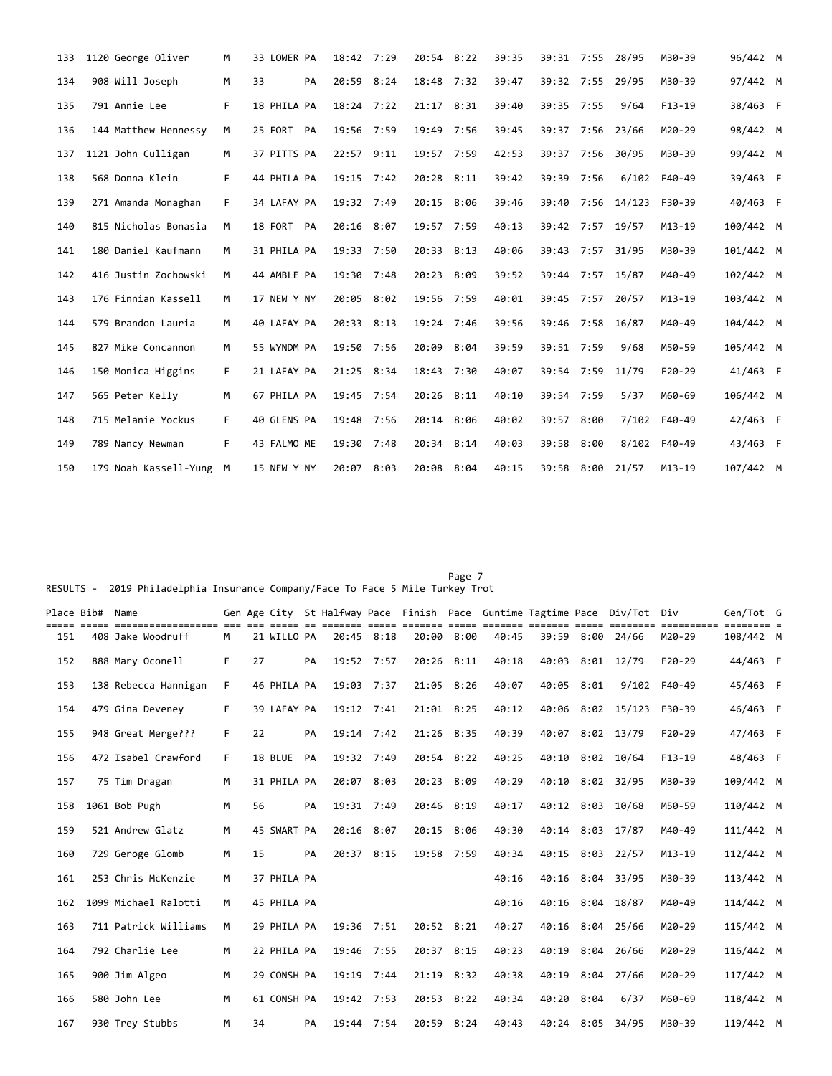| 133 | 1120 George Oliver      | м  | 33 LOWER PA | 18:42 7:29 | 20:54 8:22   |      | 39:35 |            |      | 39:31 7:55 28/95 | M30-39     | 96/442 M  |  |
|-----|-------------------------|----|-------------|------------|--------------|------|-------|------------|------|------------------|------------|-----------|--|
| 134 | 908 Will Joseph         | M  | 33<br>PA    | 20:59 8:24 | 18:48 7:32   |      | 39:47 |            |      | 39:32 7:55 29/95 | M30-39     | 97/442 M  |  |
| 135 | 791 Annie Lee           | F. | 18 PHILA PA | 18:24 7:22 | $21:17$ 8:31 |      | 39:40 | 39:35 7:55 |      | 9/64             | $F13-19$   | 38/463 F  |  |
| 136 | 144 Matthew Hennessy    | M  | 25 FORT PA  | 19:56 7:59 | 19:49        | 7:56 | 39:45 |            |      | 39:37 7:56 23/66 | M20-29     | 98/442 M  |  |
| 137 | 1121 John Culligan      | М  | 37 PITTS PA | 22:57 9:11 | 19:57 7:59   |      | 42:53 | 39:37 7:56 |      | 30/95            | M30-39     | 99/442 M  |  |
| 138 | 568 Donna Klein         | F. | 44 PHILA PA | 19:15 7:42 | 20:28 8:11   |      | 39:42 | 39:39 7:56 |      | 6/102            | F40-49     | 39/463 F  |  |
| 139 | 271 Amanda Monaghan     | F  | 34 LAFAY PA | 19:32 7:49 | 20:15 8:06   |      | 39:46 | 39:40      |      | 7:56 14/123      | F30-39     | 40/463 F  |  |
| 140 | 815 Nicholas Bonasia    | M  | 18 FORT PA  | 20:16 8:07 | 19:57        | 7:59 | 40:13 |            |      | 39:42 7:57 19/57 | $M13 - 19$ | 100/442 M |  |
| 141 | 180 Daniel Kaufmann     | M  | 31 PHILA PA | 19:33 7:50 | 20:33 8:13   |      | 40:06 | 39:43      |      | 7:57 31/95       | M30-39     | 101/442 M |  |
| 142 | 416 Justin Zochowski    | M  | 44 AMBLE PA | 19:30 7:48 | 20:23 8:09   |      | 39:52 |            |      | 39:44 7:57 15/87 | M40-49     | 102/442 M |  |
| 143 | 176 Finnian Kassell     | M  | 17 NEW Y NY | 20:05 8:02 | 19:56 7:59   |      | 40:01 |            |      | 39:45 7:57 20/57 | $M13 - 19$ | 103/442 M |  |
| 144 | 579 Brandon Lauria      | M  | 40 LAFAY PA | 20:33 8:13 | 19:24 7:46   |      | 39:56 |            |      | 39:46 7:58 16/87 | M40-49     | 104/442 M |  |
| 145 | 827 Mike Concannon      | M  | 55 WYNDM PA | 19:50 7:56 | 20:09 8:04   |      | 39:59 | 39:51 7:59 |      | 9/68             | M50-59     | 105/442 M |  |
| 146 | 150 Monica Higgins      | F. | 21 LAFAY PA | 21:25 8:34 | 18:43 7:30   |      | 40:07 |            |      | 39:54 7:59 11/79 | $F20-29$   | 41/463 F  |  |
| 147 | 565 Peter Kelly         | M  | 67 PHILA PA | 19:45 7:54 | 20:26 8:11   |      | 40:10 | 39:54 7:59 |      | 5/37             | M60-69     | 106/442 M |  |
| 148 | 715 Melanie Yockus      | F. | 40 GLENS PA | 19:48 7:56 | 20:14 8:06   |      | 40:02 | 39:57      | 8:00 | 7/102            | F40-49     | 42/463 F  |  |
| 149 | 789 Nancy Newman        | F. | 43 FALMO ME | 19:30 7:48 | 20:34 8:14   |      | 40:03 | 39:58      | 8:00 | 8/102            | F40-49     | 43/463 F  |  |
| 150 | 179 Noah Kassell-Yung M |    | 15 NEW Y NY | 20:07 8:03 | 20:08 8:04   |      | 40:15 | 39:58 8:00 |      | 21/57            | $M13 - 19$ | 107/442 M |  |

## Page 7 and 2012 and 2012 and 2012 and 2012 and 2012 and 2012 and 2012 and 2012 and 2012 and 2012 and 2012 and RESULTS - 2019 Philadelphia Insurance Company/Face To Face 5 Mile Turkey Trot

| Place Bib# Name |                      |    |    |             |    |            |      |              |            |       |       |      | Gen Age City St Halfway Pace Finish Pace Guntime Tagtime Pace Div/Tot Div | =========  | Gen/Tot G |  |
|-----------------|----------------------|----|----|-------------|----|------------|------|--------------|------------|-------|-------|------|---------------------------------------------------------------------------|------------|-----------|--|
| 151             | 408 Jake Woodruff    | М  |    | 21 WILLO PA |    | 20:45 8:18 |      | 20:00 8:00   |            | 40:45 | 39:59 | 8:00 | 24/66                                                                     | M20-29     | 108/442 M |  |
| 152             | 888 Mary Oconell     | F  | 27 |             | PA | 19:52 7:57 |      |              | 20:26 8:11 | 40:18 | 40:03 |      | $8:01$ 12/79                                                              | $F20-29$   | 44/463 F  |  |
| 153             | 138 Rebecca Hannigan | F  |    | 46 PHILA PA |    | 19:03 7:37 |      | 21:05 8:26   |            | 40:07 | 40:05 | 8:01 | 9/102                                                                     | F40-49     | 45/463 F  |  |
| 154             | 479 Gina Deveney     | F  |    | 39 LAFAY PA |    | 19:12 7:41 |      | 21:01 8:25   |            | 40:12 | 40:06 |      | $8:02$ 15/123                                                             | F30-39     | 46/463 F  |  |
| 155             | 948 Great Merge???   | F  | 22 |             | PA | 19:14 7:42 |      | 21:26 8:35   |            | 40:39 | 40:07 |      | $8:02$ 13/79                                                              | $F20-29$   | 47/463 F  |  |
| 156             | 472 Isabel Crawford  | F. |    | 18 BLUE     | PA | 19:32 7:49 |      |              | 20:54 8:22 | 40:25 | 40:10 |      | $8:02$ 10/64                                                              | $F13-19$   | 48/463 F  |  |
| 157             | 75 Tim Dragan        | M  |    | 31 PHILA PA |    | 20:07 8:03 |      | 20:23 8:09   |            | 40:29 |       |      | 40:10 8:02 32/95                                                          | M30-39     | 109/442 M |  |
| 158             | 1061 Bob Pugh        | M  | 56 |             | PA | 19:31 7:49 |      | 20:46 8:19   |            | 40:17 |       |      | 40:12 8:03 10/68                                                          | M50-59     | 110/442 M |  |
| 159             | 521 Andrew Glatz     | M  |    | 45 SWART PA |    | 20:16 8:07 |      |              | 20:15 8:06 | 40:30 |       |      | 40:14 8:03 17/87                                                          | M40-49     | 111/442 M |  |
| 160             | 729 Geroge Glomb     | M  | 15 |             | PA | 20:37 8:15 |      | 19:58 7:59   |            | 40:34 | 40:15 |      | $8:03$ 22/57                                                              | $M13 - 19$ | 112/442 M |  |
| 161             | 253 Chris McKenzie   | M  |    | 37 PHILA PA |    |            |      |              |            | 40:16 | 40:16 |      | 8:04 33/95                                                                | M30-39     | 113/442 M |  |
| 162             | 1099 Michael Ralotti | M  |    | 45 PHILA PA |    |            |      |              |            | 40:16 | 40:16 |      | $8:04$ 18/87                                                              | M40-49     | 114/442 M |  |
| 163             | 711 Patrick Williams | M  |    | 29 PHILA PA |    | 19:36 7:51 |      |              | 20:52 8:21 | 40:27 | 40:16 |      | 8:04 25/66                                                                | M20-29     | 115/442 M |  |
| 164             | 792 Charlie Lee      | M  |    | 22 PHILA PA |    | 19:46      | 7:55 | 20:37 8:15   |            | 40:23 | 40:19 | 8:04 | 26/66                                                                     | M20-29     | 116/442 M |  |
| 165             | 900 Jim Algeo        | M  |    | 29 CONSH PA |    | 19:19      | 7:44 | $21:19$ 8:32 |            | 40:38 | 40:19 | 8:04 | 27/66                                                                     | M20-29     | 117/442 M |  |
| 166             | 580 John Lee         | M  |    | 61 CONSH PA |    | 19:42 7:53 |      | 20:53 8:22   |            | 40:34 | 40:20 | 8:04 | 6/37                                                                      | M60-69     | 118/442 M |  |
| 167             | 930 Trey Stubbs      | M  | 34 |             | PA | 19:44 7:54 |      |              | 20:59 8:24 | 40:43 |       |      | 40:24 8:05 34/95                                                          | M30-39     | 119/442 M |  |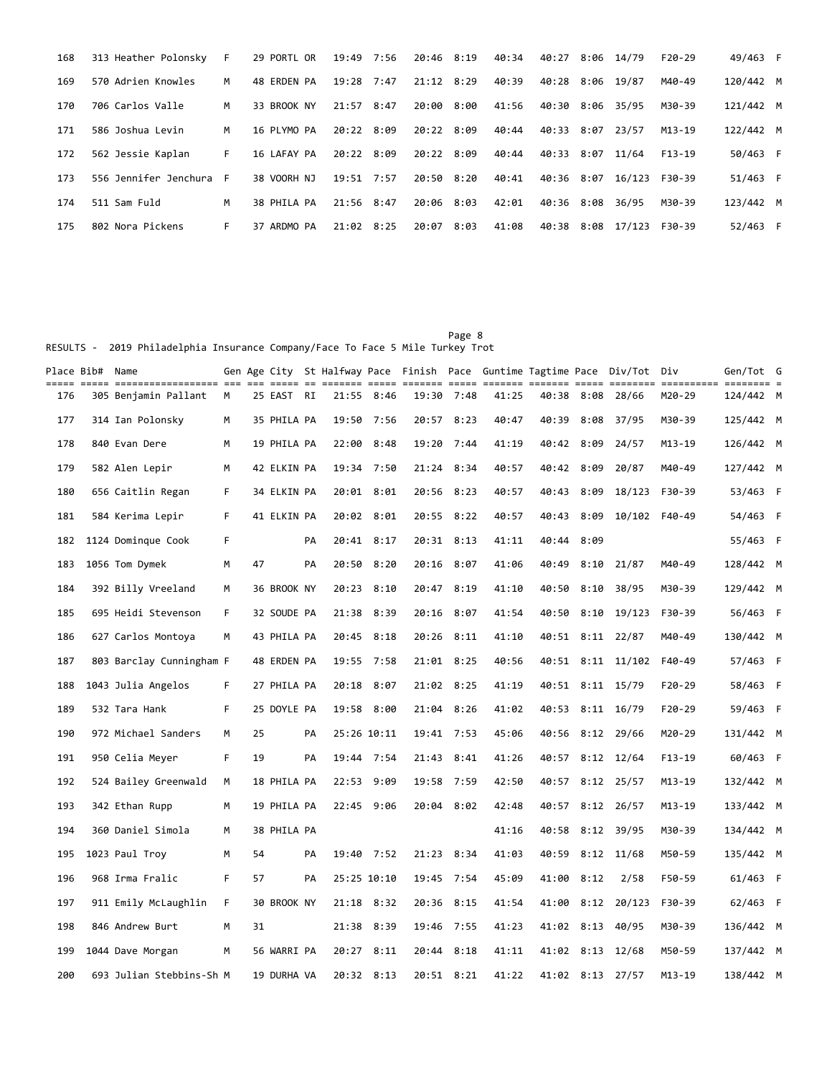| 168 | 313 Heather Polonsky  | F. | 29 PORTL OR | 19:49 7:56 |      | 20:46 8:19 |      | 40:34 | 40:27      |      | 8:06 14/79 | $F20-29$   | 49/463 F  |     |
|-----|-----------------------|----|-------------|------------|------|------------|------|-------|------------|------|------------|------------|-----------|-----|
| 169 | 570 Adrien Knowles    | M  | 48 ERDEN PA | 19:28      | 7:47 | 21:12      | 8:29 | 40:39 | 40:28      | 8:06 | 19/87      | M40-49     | 120/442 M |     |
| 170 | 706 Carlos Valle      | M  | 33 BROOK NY | 21:57      | 8:47 | 20:00      | 8:00 | 41:56 | 40:30      | 8:06 | 35/95      | M30-39     | 121/442 M |     |
| 171 | 586 Joshua Levin      | M  | 16 PLYMO PA | 20:22      | 8:09 | 20:22 8:09 |      | 40:44 | 40:33 8:07 |      | 23/57      | $M13 - 19$ | 122/442 M |     |
| 172 | 562 Jessie Kaplan     | F. | 16 LAFAY PA | 20:22 8:09 |      | 20:22 8:09 |      | 40:44 | 40:33 8:07 |      | 11/64      | $F13-19$   | 50/463 F  |     |
| 173 | 556 Jennifer Jenchura | F. | 38 VOORH NJ | 19:51      | 7:57 | 20:50 8:20 |      | 40:41 | 40:36 8:07 |      | 16/123     | F30-39     | 51/463 F  |     |
| 174 | 511 Sam Fuld          | M  | 38 PHILA PA | 21:56      | 8:47 | 20:06      | 8:03 | 42:01 | 40:36 8:08 |      | 36/95      | M30-39     | 123/442 M |     |
| 175 | 802 Nora Pickens      | F. | 37 ARDMO PA | 21:02      | 8:25 | 20:07      | 8:03 | 41:08 | 40:38      | 8:08 | 17/123     | F30-39     | 52/463    | - F |

Page 8 and the state of the state of the state of the state of the state of the state of the state of the state of the state of the state of the state of the state of the state of the state of the state of the state of the RESULTS - 2019 Philadelphia Insurance Company/Face To Face 5 Mile Turkey Trot

| Place Bib#  Name |                          |    |    |             |    |             |             |            |            |       |       |      | Gen Age City St Halfway Pace Finish Pace Guntime Tagtime Pace Div/Tot Div |          | Gen/Tot G          |  |
|------------------|--------------------------|----|----|-------------|----|-------------|-------------|------------|------------|-------|-------|------|---------------------------------------------------------------------------|----------|--------------------|--|
| 176              | 305 Benjamin Pallant     | м  |    | 25 EAST RI  |    |             | 21:55 8:46  | 19:30      | 7:48       | 41:25 | 40:38 | 8:08 | 28/66                                                                     | M20-29   | === =<br>124/442 M |  |
| 177              | 314 Ian Polonsky         | м  |    | 35 PHILA PA |    | 19:50       | 7:56        | 20:57      | 8:23       | 40:47 | 40:39 | 8:08 | 37/95                                                                     | M30-39   | 125/442 M          |  |
| 178              | 840 Evan Dere            | M  |    | 19 PHILA PA |    | 22:00 8:48  |             | 19:20 7:44 |            | 41:19 | 40:42 | 8:09 | 24/57                                                                     | M13-19   | 126/442 M          |  |
| 179              | 582 Alen Lepir           | м  |    | 42 ELKIN PA |    | 19:34 7:50  |             | 21:24      | 8:34       | 40:57 | 40:42 | 8:09 | 20/87                                                                     | M40-49   | 127/442 M          |  |
| 180              | 656 Caitlin Regan        | F  |    | 34 ELKIN PA |    | 20:01 8:01  |             | 20:56 8:23 |            | 40:57 | 40:43 |      | $8:09$ 18/123                                                             | F30-39   | 53/463 F           |  |
| 181              | 584 Kerima Lepir         | F  |    | 41 ELKIN PA |    | 20:02 8:01  |             | 20:55 8:22 |            | 40:57 | 40:43 |      | $8:09$ 10/102                                                             | F40-49   | 54/463 F           |  |
| 182              | 1124 Dominque Cook       | F  |    |             | PA |             | 20:41 8:17  | 20:31 8:13 |            | 41:11 | 40:44 | 8:09 |                                                                           |          | 55/463 F           |  |
| 183              | 1056 Tom Dymek           | м  | 47 |             | PА | 20:50       | 8:20        | 20:16      | 8:07       | 41:06 | 40:49 | 8:10 | 21/87                                                                     | M40-49   | 128/442 M          |  |
| 184              | 392 Billy Vreeland       | M  |    | 36 BROOK NY |    | 20:23 8:10  |             | 20:47      | 8:19       | 41:10 | 40:50 | 8:10 | 38/95                                                                     | M30-39   | 129/442 M          |  |
| 185              | 695 Heidi Stevenson      | F. |    | 32 SOUDE PA |    | 21:38 8:39  |             | 20:16      | 8:07       | 41:54 | 40:50 |      | $8:10$ 19/123                                                             | F30-39   | 56/463 F           |  |
| 186              | 627 Carlos Montoya       | м  |    | 43 PHILA PA |    | 20:45 8:18  |             | 20:26      | 8:11       | 41:10 |       |      | 40:51 8:11 22/87                                                          | M40-49   | 130/442 M          |  |
| 187              | 803 Barclay Cunningham F |    |    | 48 ERDEN PA |    | 19:55 7:58  |             | 21:01 8:25 |            | 40:56 |       |      | 40:51 8:11 11/102                                                         | F40-49   | 57/463 F           |  |
| 188              | 1043 Julia Angelos       | F. |    | 27 PHILA PA |    | 20:18 8:07  |             | 21:02 8:25 |            | 41:19 | 40:51 |      | 8:11 15/79                                                                | $F20-29$ | 58/463 F           |  |
| 189              | 532 Tara Hank            | F. |    | 25 DOYLE PA |    | 19:58 8:00  |             | 21:04 8:26 |            | 41:02 |       |      | 40:53 8:11 16/79                                                          | F20-29   | 59/463 F           |  |
| 190              | 972 Michael Sanders      | м  | 25 |             | PA |             | 25:26 10:11 | 19:41 7:53 |            | 45:06 | 40:56 |      | $8:12$ 29/66                                                              | M20-29   | 131/442 M          |  |
| 191              | 950 Celia Meyer          | F  | 19 |             | PA | 19:44 7:54  |             | 21:43 8:41 |            | 41:26 |       |      | 40:57 8:12 12/64                                                          | $F13-19$ | 60/463 F           |  |
| 192              | 524 Bailey Greenwald     | M  |    | 18 PHILA PA |    | 22:53 9:09  |             | 19:58 7:59 |            | 42:50 | 40:57 |      | 8:12 25/57                                                                | M13-19   | 132/442 M          |  |
| 193              | 342 Ethan Rupp           | M  |    | 19 PHILA PA |    | 22:45 9:06  |             |            | 20:04 8:02 | 42:48 |       |      | 40:57 8:12 26/57                                                          | M13-19   | 133/442 M          |  |
| 194              | 360 Daniel Simola        | м  |    | 38 PHILA PA |    |             |             |            |            | 41:16 | 40:58 |      | $8:12$ 39/95                                                              | M30-39   | 134/442 M          |  |
| 195              | 1023 Paul Troy           | М  | 54 |             | PA | 19:40 7:52  |             | 21:23 8:34 |            | 41:03 | 40:59 |      | $8:12$ 11/68                                                              | M50-59   | 135/442 M          |  |
| 196              | 968 Irma Fralic          | F  | 57 |             | PA | 25:25 10:10 |             | 19:45      | 7:54       | 45:09 | 41:00 | 8:12 | 2/58                                                                      | F50-59   | 61/463 F           |  |
| 197              | 911 Emily McLaughlin     | F  |    | 30 BROOK NY |    | 21:18 8:32  |             | 20:36      | 8:15       | 41:54 | 41:00 |      | 8:12 20/123                                                               | F30-39   | 62/463 F           |  |
| 198              | 846 Andrew Burt          | м  | 31 |             |    | 21:38       | 8:39        | 19:46      | 7:55       | 41:23 | 41:02 |      | 8:13 40/95                                                                | M30-39   | 136/442 M          |  |
| 199              | 1044 Dave Morgan         | М  |    | 56 WARRI PA |    | 20:27 8:11  |             | 20:44 8:18 |            | 41:11 |       |      | 41:02 8:13 12/68                                                          | M50-59   | 137/442 M          |  |
| 200              | 693 Julian Stebbins-Sh M |    |    | 19 DURHA VA |    |             | 20:32 8:13  | 20:51 8:21 |            | 41:22 |       |      | 41:02 8:13 27/57                                                          | M13-19   | 138/442 M          |  |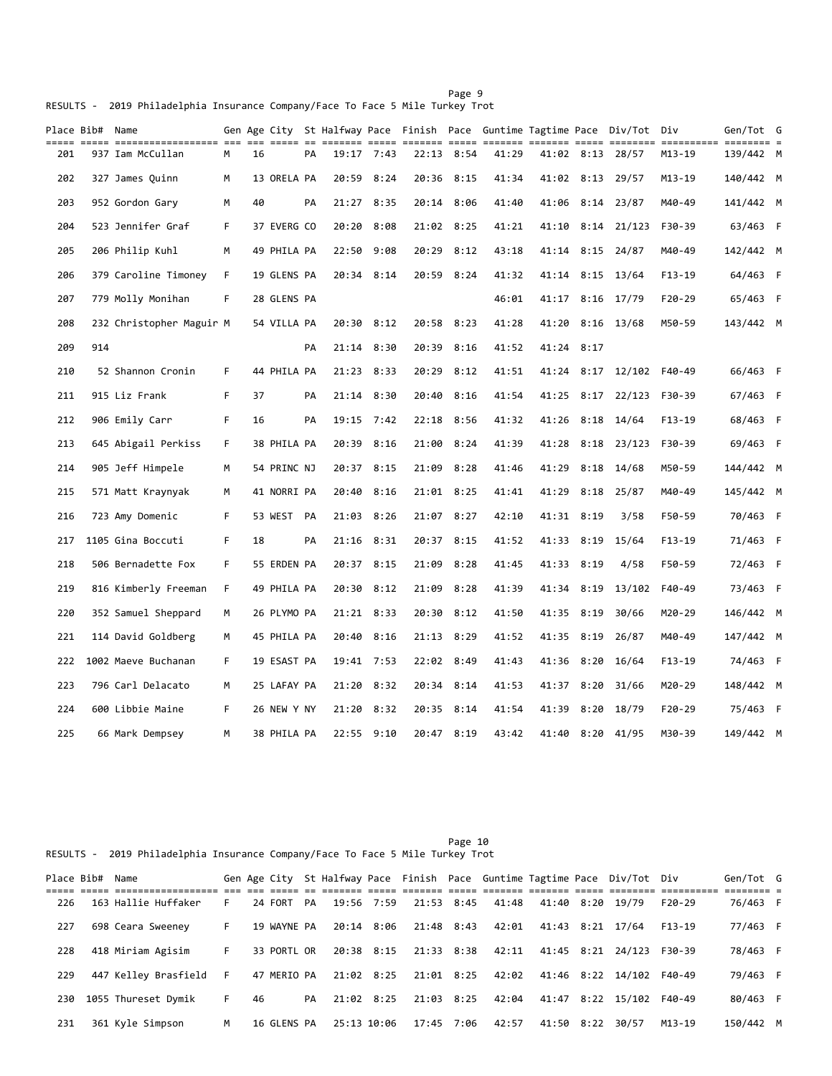|  |                                                                               |  |  |  | Page 9 |  |
|--|-------------------------------------------------------------------------------|--|--|--|--------|--|
|  | RESULTS - 2019 Philadelphia Insurance Company/Face To Face 5 Mile Turkey Trot |  |  |  |        |  |

|     | Place Bib# Name |                          |    |    |             |    |            |            |            |            |       |            |      | Gen Age City  St Halfway Pace  Finish  Pace  Guntime Tagtime Pace  Div/Tot  Div |          | Gen/Tot G |  |
|-----|-----------------|--------------------------|----|----|-------------|----|------------|------------|------------|------------|-------|------------|------|---------------------------------------------------------------------------------|----------|-----------|--|
| 201 |                 | 937 Iam McCullan         | М  | 16 |             | PА | 19:17 7:43 |            |            | 22:13 8:54 | 41:29 |            |      | 41:02 8:13 28/57                                                                | M13-19   | 139/442 M |  |
| 202 |                 | 327 James Quinn          | М  |    | 13 ORELA PA |    | 20:59      | 8:24       | 20:36 8:15 |            | 41:34 |            |      | 41:02 8:13 29/57                                                                | M13-19   | 140/442 M |  |
| 203 |                 | 952 Gordon Gary          | м  | 40 |             | PA | 21:27      | 8:35       | 20:14 8:06 |            | 41:40 | 41:06      |      | $8:14$ 23/87                                                                    | M40-49   | 141/442 M |  |
| 204 |                 | 523 Jennifer Graf        | F. |    | 37 EVERG CO |    | 20:20      | 8:08       | 21:02 8:25 |            | 41:21 | 41:10      |      | $8:14$ 21/123                                                                   | F30-39   | 63/463 F  |  |
| 205 |                 | 206 Philip Kuhl          | M  |    | 49 PHILA PA |    | 22:50      | 9:08       |            | 20:29 8:12 | 43:18 | 41:14      |      | $8:15$ 24/87                                                                    | M40-49   | 142/442 M |  |
| 206 |                 | 379 Caroline Timoney     | F. |    | 19 GLENS PA |    |            | 20:34 8:14 |            | 20:59 8:24 | 41:32 | 41:14      | 8:15 | 13/64                                                                           | F13-19   | 64/463 F  |  |
| 207 |                 | 779 Molly Monihan        | F. |    | 28 GLENS PA |    |            |            |            |            | 46:01 | 41:17      |      | $8:16$ 17/79                                                                    | $F20-29$ | 65/463 F  |  |
| 208 |                 | 232 Christopher Maguir M |    |    | 54 VILLA PA |    | 20:30 8:12 |            | 20:58 8:23 |            | 41:28 | 41:20      |      | $8:16$ 13/68                                                                    | M50-59   | 143/442 M |  |
| 209 | 914             |                          |    |    |             | PA | 21:14 8:30 |            |            | 20:39 8:16 | 41:52 | 41:24 8:17 |      |                                                                                 |          |           |  |
| 210 |                 | 52 Shannon Cronin        | F  |    | 44 PHILA PA |    | 21:23 8:33 |            | 20:29      | 8:12       | 41:51 | 41:24      |      | 8:17 12/102                                                                     | F40-49   | 66/463 F  |  |
| 211 |                 | 915 Liz Frank            | F. | 37 |             | PA | 21:14 8:30 |            | 20:40      | 8:16       | 41:54 | 41:25      |      | $8:17$ 22/123                                                                   | F30-39   | 67/463 F  |  |
| 212 |                 | 906 Emily Carr           | F  | 16 |             | PA | 19:15      | 7:42       | 22:18      | 8:56       | 41:32 | 41:26      |      | $8:18$ 14/64                                                                    | $F13-19$ | 68/463 F  |  |
| 213 |                 | 645 Abigail Perkiss      | F. |    | 38 PHILA PA |    | 20:39      | 8:16       | 21:00      | 8:24       | 41:39 | 41:28      | 8:18 | 23/123                                                                          | F30-39   | 69/463 F  |  |
| 214 |                 | 905 Jeff Himpele         | M  |    | 54 PRINC NJ |    | 20:37 8:15 |            | 21:09      | 8:28       | 41:46 | 41:29      |      | $8:18$ 14/68                                                                    | M50-59   | 144/442 M |  |
| 215 |                 | 571 Matt Kraynyak        | M  |    | 41 NORRI PA |    | 20:40      | 8:16       |            | 21:01 8:25 | 41:41 | 41:29      |      | $8:18$ 25/87                                                                    | M40-49   | 145/442 M |  |
| 216 |                 | 723 Amy Domenic          | F  |    | 53 WEST PA  |    | 21:03 8:26 |            |            | 21:07 8:27 | 42:10 | 41:31 8:19 |      | 3/58                                                                            | F50-59   | 70/463 F  |  |
| 217 |                 | 1105 Gina Boccuti        | F. | 18 |             | PA | 21:16 8:31 |            |            | 20:37 8:15 | 41:52 | 41:33      |      | 8:19 15/64                                                                      | F13-19   | 71/463 F  |  |
| 218 |                 | 506 Bernadette Fox       | F. |    | 55 ERDEN PA |    | 20:37 8:15 |            | 21:09      | 8:28       | 41:45 | 41:33      | 8:19 | 4/58                                                                            | F50-59   | 72/463 F  |  |
| 219 |                 | 816 Kimberly Freeman     | F. |    | 49 PHILA PA |    | 20:30      | 8:12       | 21:09      | 8:28       | 41:39 | 41:34      | 8:19 | 13/102                                                                          | F40-49   | 73/463 F  |  |
| 220 |                 | 352 Samuel Sheppard      | M  |    | 26 PLYMO PA |    | 21:21 8:33 |            | 20:30      | 8:12       | 41:50 | 41:35      | 8:19 | 30/66                                                                           | M20-29   | 146/442 M |  |
| 221 |                 | 114 David Goldberg       | М  |    | 45 PHILA PA |    | 20:40      | 8:16       | 21:13      | 8:29       | 41:52 | 41:35      | 8:19 | 26/87                                                                           | M40-49   | 147/442 M |  |
| 222 |                 | 1002 Maeve Buchanan      | F. |    | 19 ESAST PA |    | 19:41 7:53 |            | 22:02 8:49 |            | 41:43 | 41:36      | 8:20 | 16/64                                                                           | $F13-19$ | 74/463 F  |  |
| 223 |                 | 796 Carl Delacato        | М  |    | 25 LAFAY PA |    | 21:20 8:32 |            |            | 20:34 8:14 | 41:53 | 41:37      | 8:20 | 31/66                                                                           | M20-29   | 148/442 M |  |
| 224 |                 | 600 Libbie Maine         | F. |    | 26 NEW Y NY |    | 21:20      | 8:32       | 20:35      | 8:14       | 41:54 | 41:39      | 8:20 | 18/79                                                                           | $F20-29$ | 75/463 F  |  |
| 225 |                 | 66 Mark Dempsey          | М  |    | 38 PHILA PA |    | 22:55 9:10 |            |            | 20:47 8:19 | 43:42 |            |      | 41:40 8:20 41/95                                                                | M30-39   | 149/442 M |  |

Page 10 RESULTS - 2019 Philadelphia Insurance Company/Face To Face 5 Mile Turkey Trot

|     | Place Bib# Name |                        |    |    |             |    |                        |            |       |            | Gen Age City St Halfway Pace Finish Pace Guntime Tagtime Pace Div/Tot Div |          | Gen/Tot G |  |
|-----|-----------------|------------------------|----|----|-------------|----|------------------------|------------|-------|------------|---------------------------------------------------------------------------|----------|-----------|--|
|     |                 |                        |    |    |             |    |                        |            |       |            |                                                                           |          |           |  |
| 226 |                 | 163 Hallie Huffaker    | F. |    | 24 FORT PA  |    | 19:56 7:59             | 21:53 8:45 | 41:48 |            | 41:40 8:20 19/79                                                          | $F20-29$ | 76/463 F  |  |
| 227 |                 | 698 Ceara Sweeney      | F. |    | 19 WAYNE PA |    | 20:14 8:06             | 21:48 8:43 | 42:01 |            | 41:43 8:21 17/64                                                          | $F13-19$ | 77/463 F  |  |
| 228 |                 | 418 Miriam Agisim      | F. |    | 33 PORTL OR |    | 20:38 8:15             | 21:33 8:38 | 42:11 |            | 41:45 8:21 24/123                                                         | F30-39   | 78/463 F  |  |
| 229 |                 | 447 Kelley Brasfield F |    |    |             |    | 47 MERIO PA 21:02 8:25 | 21:01 8:25 | 42:02 |            | 41:46 8:22 14/102                                                         | F40-49   | 79/463 F  |  |
| 230 |                 | 1055 Thureset Dymik    | F. | 46 |             | PA | 21:02 8:25             | 21:03 8:25 | 42:04 |            | 41:47 8:22 15/102                                                         | F40-49   | 80/463 F  |  |
| 231 |                 | 361 Kyle Simpson       | M  |    | 16 GLENS PA |    | 25:13 10:06            | 17:45 7:06 | 42:57 | 41:50 8:22 | 30/57                                                                     | M13-19   | 150/442 M |  |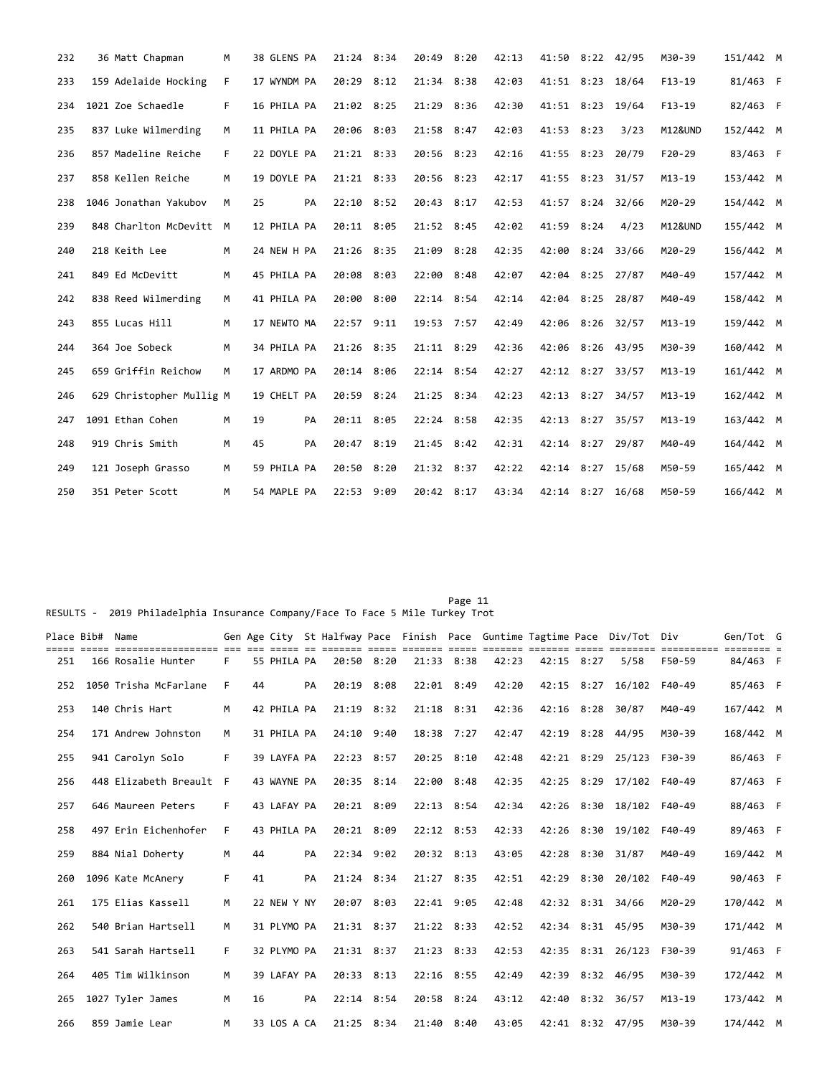| 232 | 36 Matt Chapman          | M  | 38 GLENS PA |    | 21:24 8:34 |      | 20:49      | 8:20 | 42:13 | 41:50            | $8:22$ 42/95   |       | M30-39     | 151/442 M |  |
|-----|--------------------------|----|-------------|----|------------|------|------------|------|-------|------------------|----------------|-------|------------|-----------|--|
| 233 | 159 Adelaide Hocking     | F  | 17 WYNDM PA |    | 20:29      | 8:12 | 21:34 8:38 |      | 42:03 | 41:51            | 8:23           | 18/64 | $F13-19$   | 81/463 F  |  |
| 234 | 1021 Zoe Schaedle        | F. | 16 PHILA PA |    | 21:02 8:25 |      | 21:29      | 8:36 | 42:30 | 41:51 8:23 19/64 |                |       | $F13-19$   | 82/463 F  |  |
| 235 | 837 Luke Wilmerding      | M  | 11 PHILA PA |    | 20:06 8:03 |      | 21:58 8:47 |      | 42:03 | 41:53 8:23       |                | 3/23  | M12&UND    | 152/442 M |  |
| 236 | 857 Madeline Reiche      | F. | 22 DOYLE PA |    | 21:21 8:33 |      | 20:56 8:23 |      | 42:16 | 41:55            | 8:23           | 20/79 | $F20-29$   | 83/463 F  |  |
| 237 | 858 Kellen Reiche        | M  | 19 DOYLE PA |    | 21:21 8:33 |      | 20:56 8:23 |      | 42:17 | 41:55            | $8:23$ $31/57$ |       | $M13 - 19$ | 153/442 M |  |
| 238 | 1046 Jonathan Yakubov    | M  | 25          | PA | 22:10 8:52 |      | 20:43 8:17 |      | 42:53 | 41:57 8:24 32/66 |                |       | M20-29     | 154/442 M |  |
| 239 | 848 Charlton McDevitt M  |    | 12 PHILA PA |    | 20:11 8:05 |      | 21:52 8:45 |      | 42:02 | 41:59 8:24       |                | 4/23  | M12&UND    | 155/442 M |  |
| 240 | 218 Keith Lee            | M  | 24 NEW H PA |    | 21:26 8:35 |      | 21:09 8:28 |      | 42:35 | 42:00            | $8:24$ 33/66   |       | M20-29     | 156/442 M |  |
| 241 | 849 Ed McDevitt          | M  | 45 PHILA PA |    | 20:08 8:03 |      | 22:00 8:48 |      | 42:07 | 42:04 8:25 27/87 |                |       | M40-49     | 157/442 M |  |
| 242 | 838 Reed Wilmerding      | M  | 41 PHILA PA |    | 20:00 8:00 |      | 22:14 8:54 |      | 42:14 | 42:04 8:25 28/87 |                |       | M40-49     | 158/442 M |  |
| 243 | 855 Lucas Hill           | M  | 17 NEWTO MA |    | 22:57 9:11 |      | 19:53 7:57 |      | 42:49 | 42:06 8:26 32/57 |                |       | $M13 - 19$ | 159/442 M |  |
| 244 | 364 Joe Sobeck           | M  | 34 PHILA PA |    | 21:26 8:35 |      | 21:11 8:29 |      | 42:36 | 42:06            | 8:26 43/95     |       | M30-39     | 160/442 M |  |
| 245 | 659 Griffin Reichow      | M  | 17 ARDMO PA |    | 20:14 8:06 |      | 22:14 8:54 |      | 42:27 | 42:12 8:27 33/57 |                |       | $M13 - 19$ | 161/442 M |  |
| 246 | 629 Christopher Mullig M |    | 19 CHELT PA |    | 20:59 8:24 |      | 21:25 8:34 |      | 42:23 | 42:13 8:27 34/57 |                |       | $M13 - 19$ | 162/442 M |  |
| 247 | 1091 Ethan Cohen         | M  | 19          | PA | 20:11 8:05 |      | 22:24 8:58 |      | 42:35 | 42:13 8:27 35/57 |                |       | M13-19     | 163/442 M |  |
| 248 | 919 Chris Smith          | M  | 45          | PA | 20:47 8:19 |      | 21:45 8:42 |      | 42:31 | 42:14 8:27 29/87 |                |       | M40-49     | 164/442 M |  |
| 249 | 121 Joseph Grasso        | M  | 59 PHILA PA |    | 20:50 8:20 |      | 21:32 8:37 |      | 42:22 | 42:14 8:27 15/68 |                |       | M50-59     | 165/442 M |  |
| 250 | 351 Peter Scott          | м  | 54 MAPLE PA |    | 22:53 9:09 |      | 20:42 8:17 |      | 43:34 | 42:14 8:27 16/68 |                |       | M50-59     | 166/442 M |  |

Page 11 RESULTS - 2019 Philadelphia Insurance Company/Face To Face 5 Mile Turkey Trot

|     | Place Bib# Name |                       |    |    |             |    |              |      |                |              |       |            |      | Gen Age City St Halfway Pace Finish Pace Guntime Tagtime Pace Div/Tot Div | .          | Gen/Tot G |  |
|-----|-----------------|-----------------------|----|----|-------------|----|--------------|------|----------------|--------------|-------|------------|------|---------------------------------------------------------------------------|------------|-----------|--|
| 251 |                 | 166 Rosalie Hunter    | F  |    | 55 PHILA PA |    | 20:50 8:20   |      | 21:33 8:38     |              | 42:23 | 42:15 8:27 |      | 5/58                                                                      | F50-59     | 84/463 F  |  |
| 252 |                 | 1050 Trisha McFarlane | F  | 44 |             | PA | 20:19        | 8:08 | 22:01 8:49     |              | 42:20 | 42:15      | 8:27 | 16/102                                                                    | F40-49     | 85/463 F  |  |
| 253 |                 | 140 Chris Hart        | M  |    | 42 PHILA PA |    | 21:19 8:32   |      | $21:18$ $8:31$ |              | 42:36 | 42:16 8:28 |      | 30/87                                                                     | M40-49     | 167/442 M |  |
| 254 |                 | 171 Andrew Johnston   | M  |    | 31 PHILA PA |    | 24:10 9:40   |      | 18:38 7:27     |              | 42:47 |            |      | 42:19 8:28 44/95                                                          | M30-39     | 168/442 M |  |
| 255 |                 | 941 Carolyn Solo      | F  |    | 39 LAYFA PA |    | 22:23 8:57   |      |                | 20:25 8:10   | 42:48 |            |      | 42:21 8:29 25/123                                                         | F30-39     | 86/463 F  |  |
| 256 |                 | 448 Elizabeth Breault | F  |    | 43 WAYNE PA |    | 20:35 8:14   |      | 22:00          | 8:48         | 42:35 | 42:25 8:29 |      | 17/102                                                                    | F40-49     | 87/463 F  |  |
| 257 |                 | 646 Maureen Peters    | F. |    | 43 LAFAY PA |    | 20:21 8:09   |      |                | $22:13$ 8:54 | 42:34 |            |      | 42:26 8:30 18/102                                                         | F40-49     | 88/463 F  |  |
| 258 |                 | 497 Erin Eichenhofer  | F  |    | 43 PHILA PA |    | 20:21 8:09   |      |                | $22:12$ 8:53 | 42:33 |            |      | 42:26 8:30 19/102                                                         | F40-49     | 89/463 F  |  |
| 259 |                 | 884 Nial Doherty      | M  | 44 |             | PA | $22:34$ 9:02 |      |                | 20:32 8:13   | 43:05 | 42:28 8:30 |      | 31/87                                                                     | M40-49     | 169/442 M |  |
| 260 |                 | 1096 Kate McAnery     | F  | 41 |             | PA | $21:24$ 8:34 |      | 21:27 8:35     |              | 42:51 | 42:29      | 8:30 | 20/102                                                                    | F40-49     | 90/463 F  |  |
| 261 |                 | 175 Elias Kassell     | M  |    | 22 NEW Y NY |    | 20:07        | 8:03 | 22:41 9:05     |              | 42:48 |            |      | 42:32 8:31 34/66                                                          | $M20 - 29$ | 170/442 M |  |
| 262 |                 | 540 Brian Hartsell    | M  |    | 31 PLYMO PA |    | 21:31 8:37   |      | 21:22 8:33     |              | 42:52 |            |      | 42:34 8:31 45/95                                                          | M30-39     | 171/442 M |  |
| 263 |                 | 541 Sarah Hartsell    | F. |    | 32 PLYMO PA |    | 21:31 8:37   |      |                | 21:23 8:33   | 42:53 |            |      | 42:35 8:31 26/123                                                         | F30-39     | 91/463 F  |  |
| 264 |                 | 405 Tim Wilkinson     | M  |    | 39 LAFAY PA |    | 20:33 8:13   |      |                | 22:16 8:55   | 42:49 | 42:39      |      | 8:32 46/95                                                                | M30-39     | 172/442 M |  |
| 265 |                 | 1027 Tyler James      | M  | 16 |             | PA | $22:14$ 8:54 |      |                | 20:58 8:24   | 43:12 |            |      | 42:40 8:32 36/57                                                          | $M13 - 19$ | 173/442 M |  |
| 266 |                 | 859 Jamie Lear        | M  |    | 33 LOS A CA |    | 21:25 8:34   |      | 21:40 8:40     |              | 43:05 |            |      | 42:41 8:32 47/95                                                          | M30-39     | 174/442 M |  |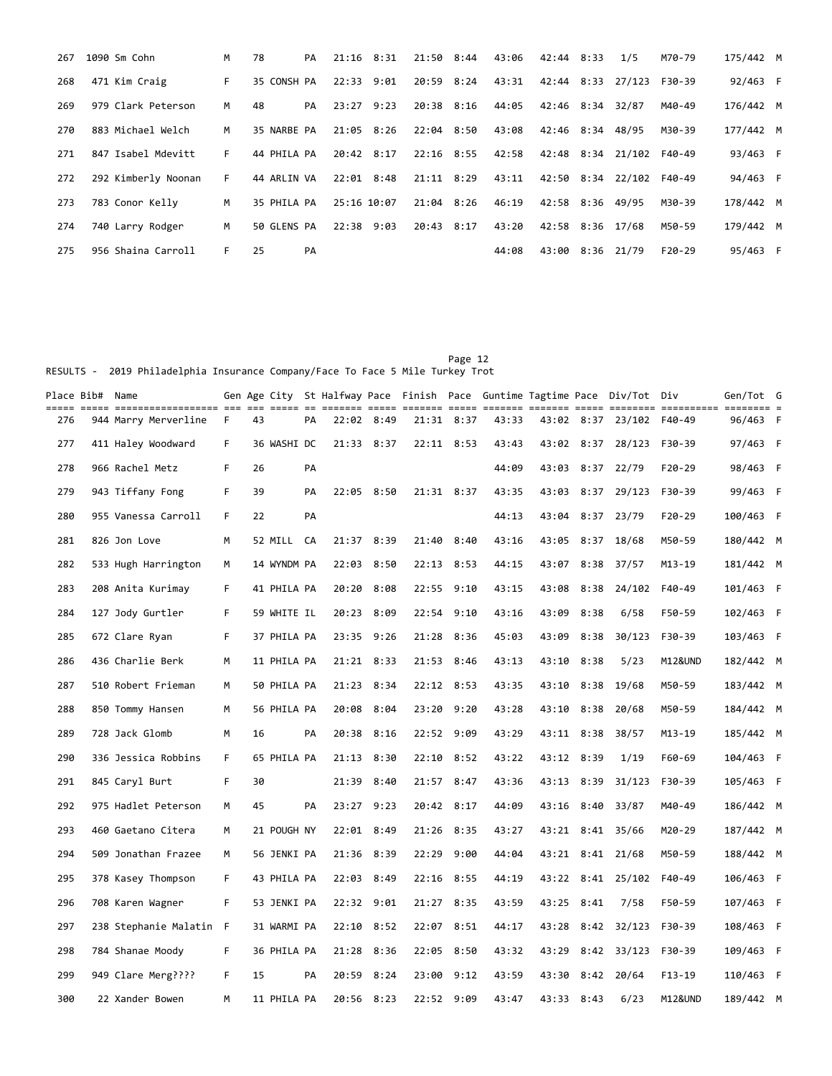| 267 | 1090 Sm Cohn        | M  | 78          | PA | $21:16$ 8:31   |      | 21:50 8:44 | 43:06 | 42:44 8:33       | 1/5               | M70-79   | 175/442 M |  |
|-----|---------------------|----|-------------|----|----------------|------|------------|-------|------------------|-------------------|----------|-----------|--|
| 268 | 471 Kim Craig       | F. | 35 CONSH PA |    | $22:33$ $9:01$ |      | 20:59 8:24 | 43:31 |                  | 42:44 8:33 27/123 | F30-39   | 92/463 F  |  |
| 269 | 979 Clark Peterson  | M  | 48          | PA | 23:27          | 9:23 | 20:38 8:16 | 44:05 | 42:46 8:34       | 32/87             | M40-49   | 176/442 M |  |
| 270 | 883 Michael Welch   | M  | 35 NARBE PA |    | 21:05 8:26     |      | 22:04 8:50 | 43:08 | 42:46 8:34 48/95 |                   | M30-39   | 177/442 M |  |
| 271 | 847 Isabel Mdevitt  | F. | 44 PHILA PA |    | 20:42 8:17     |      | 22:16 8:55 | 42:58 |                  | 42:48 8:34 21/102 | F40-49   | 93/463 F  |  |
| 272 | 292 Kimberly Noonan | F. | 44 ARLIN VA |    | $22:01$ 8:48   |      | 21:11 8:29 | 43:11 |                  | 42:50 8:34 22/102 | F40-49   | 94/463 F  |  |
| 273 | 783 Conor Kelly     | M  | 35 PHILA PA |    | 25:16 10:07    |      | 21:04 8:26 | 46:19 | 42:58 8:36 49/95 |                   | M30-39   | 178/442 M |  |
| 274 | 740 Larry Rodger    | M  | 50 GLENS PA |    | 22:38 9:03     |      | 20:43 8:17 | 43:20 | 42:58 8:36 17/68 |                   | M50-59   | 179/442 M |  |
| 275 | 956 Shaina Carroll  | F. | 25          | PA |                |      |            | 44:08 | 43:00 8:36 21/79 |                   | $F20-29$ | 95/463 F  |  |

Page 12 RESULTS - 2019 Philadelphia Insurance Company/Face To Face 5 Mile Turkey Trot

| Place Bib#  Name |                         |    |    |             |    |            |      |            |            |       |       |            | Gen Age City St Halfway Pace Finish Pace Guntime Tagtime Pace Div/Tot Div |          | Gen/Tot G |  |
|------------------|-------------------------|----|----|-------------|----|------------|------|------------|------------|-------|-------|------------|---------------------------------------------------------------------------|----------|-----------|--|
| 276              | 944 Marry Merverline    | F. | 43 |             | PA | 22:02 8:49 |      |            | 21:31 8:37 | 43:33 |       |            | 43:02 8:37 23/102 F40-49                                                  |          | 96/463 F  |  |
| 277              | 411 Haley Woodward      | F  |    | 36 WASHI DC |    | 21:33 8:37 |      | 22:11 8:53 |            | 43:43 |       | 43:02 8:37 | 28/123                                                                    | F30-39   | 97/463 F  |  |
| 278              | 966 Rachel Metz         | F  | 26 |             | PA |            |      |            |            | 44:09 | 43:03 |            | 8:37 22/79                                                                | $F20-29$ | 98/463 F  |  |
| 279              | 943 Tiffany Fong        | F  | 39 |             | PA | 22:05 8:50 |      | 21:31 8:37 |            | 43:35 | 43:03 | 8:37       | 29/123                                                                    | F30-39   | 99/463 F  |  |
| 280              | 955 Vanessa Carroll     | F  | 22 |             | PA |            |      |            |            | 44:13 | 43:04 |            | 8:37 23/79                                                                | F20-29   | 100/463 F |  |
| 281              | 826 Jon Love            | м  |    | 52 MILL     | CA | 21:37 8:39 |      | 21:40      | 8:40       | 43:16 | 43:05 | 8:37       | 18/68                                                                     | M50-59   | 180/442 M |  |
| 282              | 533 Hugh Harrington     | м  |    | 14 WYNDM PA |    | 22:03 8:50 |      |            | 22:13 8:53 | 44:15 | 43:07 |            | $8:38$ 37/57                                                              | M13-19   | 181/442 M |  |
| 283              | 208 Anita Kurimay       | F  |    | 41 PHILA PA |    | 20:20      | 8:08 | 22:55      | 9:10       | 43:15 | 43:08 | 8:38       | 24/102                                                                    | F40-49   | 101/463 F |  |
| 284              | 127 Jody Gurtler        | F  |    | 59 WHITE IL |    | 20:23 8:09 |      | 22:54 9:10 |            | 43:16 | 43:09 | 8:38       | 6/58                                                                      | F50-59   | 102/463 F |  |
| 285              | 672 Clare Ryan          | F  |    | 37 PHILA PA |    | 23:35 9:26 |      | 21:28      | 8:36       | 45:03 | 43:09 | 8:38       | 30/123                                                                    | F30-39   | 103/463 F |  |
| 286              | 436 Charlie Berk        | M  |    | 11 PHILA PA |    | 21:21 8:33 |      | 21:53 8:46 |            | 43:13 | 43:10 | 8:38       | 5/23                                                                      | M12&UND  | 182/442 M |  |
| 287              | 510 Robert Frieman      | М  |    | 50 PHILA PA |    | 21:23 8:34 |      | 22:12 8:53 |            | 43:35 | 43:10 | 8:38       | 19/68                                                                     | M50-59   | 183/442 M |  |
| 288              | 850 Tommy Hansen        | м  |    | 56 PHILA PA |    | 20:08      | 8:04 | 23:20      | 9:20       | 43:28 | 43:10 | 8:38       | 20/68                                                                     | M50-59   | 184/442 M |  |
| 289              | 728 Jack Glomb          | M  | 16 |             | PA | 20:38 8:16 |      | 22:52 9:09 |            | 43:29 |       | 43:11 8:38 | 38/57                                                                     | M13-19   | 185/442 M |  |
| 290              | 336 Jessica Robbins     | F. |    | 65 PHILA PA |    | 21:13 8:30 |      | 22:10      | 8:52       | 43:22 | 43:12 | 8:39       | 1/19                                                                      | F60-69   | 104/463 F |  |
| 291              | 845 Caryl Burt          | F  | 30 |             |    | 21:39 8:40 |      |            | 21:57 8:47 | 43:36 | 43:13 | 8:39       | 31/123                                                                    | F30-39   | 105/463 F |  |
| 292              | 975 Hadlet Peterson     | М  | 45 |             | PA | 23:27      | 9:23 | 20:42 8:17 |            | 44:09 | 43:16 | 8:40       | 33/87                                                                     | M40-49   | 186/442 M |  |
| 293              | 460 Gaetano Citera      | м  |    | 21 POUGH NY |    | 22:01 8:49 |      | 21:26 8:35 |            | 43:27 |       |            | 43:21 8:41 35/66                                                          | M20-29   | 187/442 M |  |
| 294              | 509 Jonathan Frazee     | м  |    | 56 JENKI PA |    | 21:36 8:39 |      | 22:29      | 9:00       | 44:04 |       |            | 43:21 8:41 21/68                                                          | M50-59   | 188/442 M |  |
| 295              | 378 Kasey Thompson      | F  |    | 43 PHILA PA |    | 22:03 8:49 |      | 22:16 8:55 |            | 44:19 |       |            | 43:22 8:41 25/102                                                         | F40-49   | 106/463 F |  |
| 296              | 708 Karen Wagner        | F  |    | 53 JENKI PA |    | 22:32      | 9:01 | 21:27      | 8:35       | 43:59 | 43:25 | 8:41       | 7/58                                                                      | F50-59   | 107/463 F |  |
| 297              | 238 Stephanie Malatin F |    |    | 31 WARMI PA |    | 22:10      | 8:52 | 22:07      | 8:51       | 44:17 | 43:28 |            | $8:42$ $32/123$                                                           | F30-39   | 108/463 F |  |
| 298              | 784 Shanae Moody        | F  |    | 36 PHILA PA |    | 21:28      | 8:36 | 22:05      | 8:50       | 43:32 | 43:29 |            | $8:42$ $33/123$                                                           | F30-39   | 109/463 F |  |
| 299              | 949 Clare Merg????      | F  | 15 |             | PA | 20:59 8:24 |      | 23:00      | 9:12       | 43:59 | 43:30 |            | $8:42$ 20/64                                                              | $F13-19$ | 110/463 F |  |
| 300              | 22 Xander Bowen         | M  |    | 11 PHILA PA |    | 20:56 8:23 |      | 22:52 9:09 |            | 43:47 |       | 43:33 8:43 | 6/23                                                                      | M12&UND  | 189/442 M |  |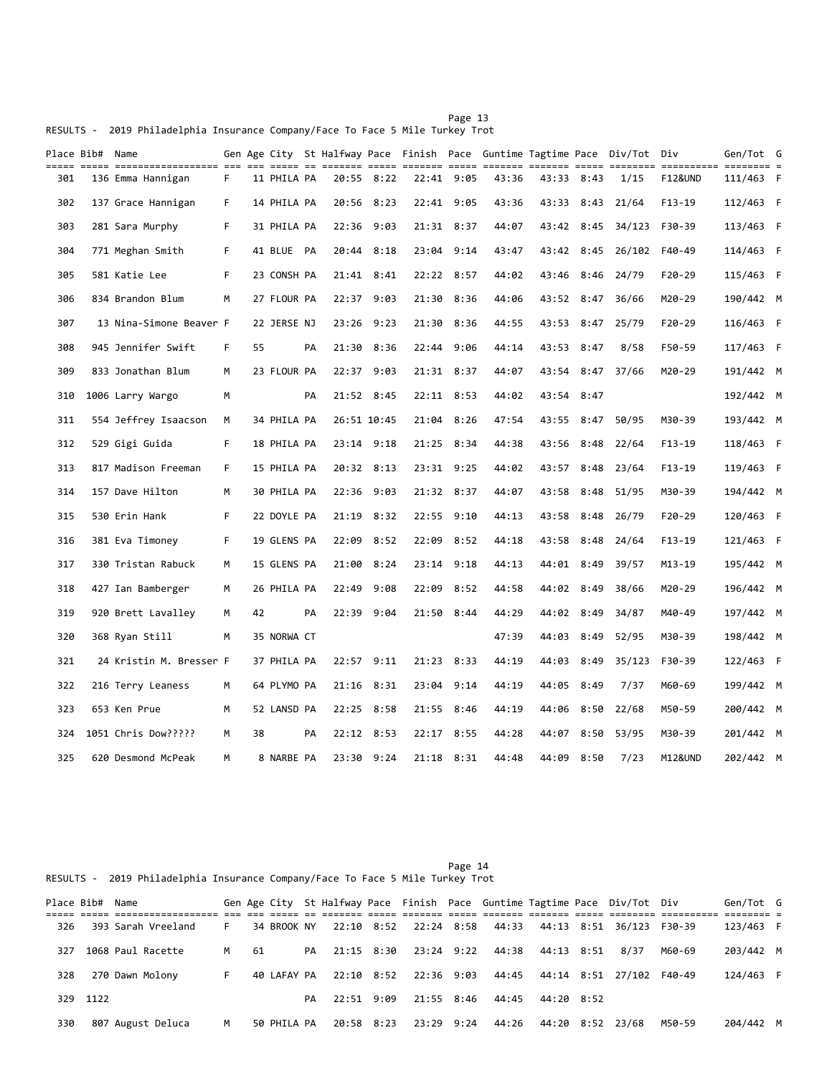Page 13 RESULTS - 2019 Philadelphia Insurance Company/Face To Face 5 Mile Turkey Trot

| $=$ $=$ $=$ $=$ | Place Bib# Name | ----- ------------------ --- |    |    |             |    |             |      |            |      |       |            |      | Gen Age City St Halfway Pace Finish Pace Guntime Tagtime Pace Div/Tot Div |                       | Gen/Tot G                            |  |
|-----------------|-----------------|------------------------------|----|----|-------------|----|-------------|------|------------|------|-------|------------|------|---------------------------------------------------------------------------|-----------------------|--------------------------------------|--|
| 301             |                 | 136 Emma Hannigan            | F. |    | 11 PHILA PA |    | 20:55 8:22  |      | 22:41 9:05 |      | 43:36 | 43:33 8:43 |      | 1/15                                                                      | ==========<br>F12&UND | $=$ $=$ $=$ $=$ $=$ $=$<br>111/463 F |  |
| 302             |                 | 137 Grace Hannigan           | F. |    | 14 PHILA PA |    | 20:56 8:23  |      | 22:41 9:05 |      | 43:36 | 43:33      | 8:43 | 21/64                                                                     | F13-19                | 112/463 F                            |  |
| 303             |                 | 281 Sara Murphy              | F. |    | 31 PHILA PA |    | 22:36       | 9:03 | 21:31 8:37 |      | 44:07 | 43:42      | 8:45 | 34/123                                                                    | F30-39                | 113/463 F                            |  |
| 304             |                 | 771 Meghan Smith             | F. |    | 41 BLUE PA  |    | 20:44 8:18  |      | 23:04 9:14 |      | 43:47 |            |      | 43:42 8:45 26/102                                                         | F40-49                | 114/463 F                            |  |
| 305             |                 | 581 Katie Lee                | F. |    | 23 CONSH PA |    | 21:41 8:41  |      | 22:22 8:57 |      | 44:02 | 43:46      | 8:46 | 24/79                                                                     | $F20-29$              | 115/463 F                            |  |
| 306             |                 | 834 Brandon Blum             | M  |    | 27 FLOUR PA |    | 22:37 9:03  |      | 21:30      | 8:36 | 44:06 | 43:52 8:47 |      | 36/66                                                                     | M20-29                | 190/442 M                            |  |
| 307             |                 | 13 Nina-Simone Beaver F      |    |    | 22 JERSE NJ |    | 23:26 9:23  |      | 21:30      | 8:36 | 44:55 | 43:53      |      | 8:47 25/79                                                                | $F20-29$              | 116/463 F                            |  |
| 308             |                 | 945 Jennifer Swift           | F. | 55 |             | PA | 21:30       | 8:36 | 22:44      | 9:06 | 44:14 | 43:53 8:47 |      | 8/58                                                                      | F50-59                | 117/463 F                            |  |
| 309             |                 | 833 Jonathan Blum            | M  |    | 23 FLOUR PA |    | 22:37 9:03  |      | 21:31 8:37 |      | 44:07 |            |      | 43:54 8:47 37/66                                                          | M20-29                | 191/442 M                            |  |
| 310             |                 | 1006 Larry Wargo             | М  |    |             | PA | 21:52 8:45  |      | 22:11 8:53 |      | 44:02 | 43:54      | 8:47 |                                                                           |                       | 192/442 M                            |  |
| 311             |                 | 554 Jeffrey Isaacson         | М  |    | 34 PHILA PA |    | 26:51 10:45 |      | 21:04      | 8:26 | 47:54 | 43:55      | 8:47 | 50/95                                                                     | M30-39                | 193/442 M                            |  |
| 312             |                 | 529 Gigi Guida               | F. |    | 18 PHILA PA |    | 23:14 9:18  |      | 21:25      | 8:34 | 44:38 | 43:56      | 8:48 | 22/64                                                                     | $F13-19$              | 118/463 F                            |  |
| 313             |                 | 817 Madison Freeman          | F. |    | 15 PHILA PA |    | 20:32 8:13  |      | 23:31 9:25 |      | 44:02 | 43:57 8:48 |      | 23/64                                                                     | $F13-19$              | 119/463 F                            |  |
| 314             |                 | 157 Dave Hilton              | М  |    | 30 PHILA PA |    | 22:36       | 9:03 | 21:32 8:37 |      | 44:07 | 43:58      | 8:48 | 51/95                                                                     | M30-39                | 194/442 M                            |  |
| 315             |                 | 530 Erin Hank                | F. |    | 22 DOYLE PA |    | 21:19 8:32  |      | 22:55      | 9:10 | 44:13 | 43:58      | 8:48 | 26/79                                                                     | $F20-29$              | 120/463 F                            |  |
| 316             |                 | 381 Eva Timoney              | F. |    | 19 GLENS PA |    | 22:09 8:52  |      | 22:09      | 8:52 | 44:18 | 43:58      |      | 8:48 24/64                                                                | $F13-19$              | 121/463 F                            |  |
| 317             |                 | 330 Tristan Rabuck           | M  |    | 15 GLENS PA |    | 21:00       | 8:24 | 23:14 9:18 |      | 44:13 | 44:01 8:49 |      | 39/57                                                                     | M13-19                | 195/442 M                            |  |
| 318             |                 | 427 Ian Bamberger            | M  |    | 26 PHILA PA |    | 22:49       | 9:08 | 22:09      | 8:52 | 44:58 | 44:02 8:49 |      | 38/66                                                                     | M20-29                | 196/442 M                            |  |
| 319             |                 | 920 Brett Lavalley           | м  | 42 |             | PA | 22:39       | 9:04 | 21:50      | 8:44 | 44:29 | 44:02      | 8:49 | 34/87                                                                     | M40-49                | 197/442 M                            |  |
| 320             |                 | 368 Ryan Still               | м  |    | 35 NORWA CT |    |             |      |            |      | 47:39 | 44:03      | 8:49 | 52/95                                                                     | M30-39                | 198/442 M                            |  |
| 321             |                 | 24 Kristin M. Bresser F      |    |    | 37 PHILA PA |    | 22:57 9:11  |      | 21:23 8:33 |      | 44:19 | 44:03      | 8:49 | 35/123                                                                    | F30-39                | 122/463 F                            |  |
| 322             |                 | 216 Terry Leaness            | м  |    | 64 PLYMO PA |    | 21:16 8:31  |      | 23:04      | 9:14 | 44:19 | 44:05      | 8:49 | 7/37                                                                      | M60-69                | 199/442 M                            |  |
| 323             |                 | 653 Ken Prue                 | М  |    | 52 LANSD PA |    | 22:25 8:58  |      | 21:55 8:46 |      | 44:19 | 44:06      |      | 8:50 22/68                                                                | M50-59                | 200/442 M                            |  |
| 324             |                 | 1051 Chris Dow?????          | м  | 38 |             | PA | 22:12 8:53  |      | 22:17 8:55 |      | 44:28 | 44:07      | 8:50 | 53/95                                                                     | M30-39                | 201/442 M                            |  |
| 325             |                 | 620 Desmond McPeak           | M  |    | 8 NARBE PA  |    | 23:30 9:24  |      | 21:18 8:31 |      | 44:48 | 44:09 8:50 |      | 7/23                                                                      | M12&UND               | 202/442 M                            |  |

Page 14 RESULTS - 2019 Philadelphia Insurance Company/Face To Face 5 Mile Turkey Trot

|     | Place Bib# | Name               |    |      |             |    |                          |                       |                             |            | Gen Age City St Halfway Pace Finish Pace Guntime Tagtime Pace Div/Tot Div |        | Gen/Tot G |  |
|-----|------------|--------------------|----|------|-------------|----|--------------------------|-----------------------|-----------------------------|------------|---------------------------------------------------------------------------|--------|-----------|--|
|     |            |                    |    |      |             |    |                          |                       |                             |            |                                                                           |        |           |  |
| 326 |            | 393 Sarah Vreeland | F. |      | 34 BROOK NY |    |                          |                       | 22:10 8:52 22:24 8:58 44:33 |            | 44:13 8:51 36/123 F30-39                                                  |        | 123/463 F |  |
| 327 |            | 1068 Paul Racette  | M  | - 61 |             |    | PA 21:15 8:30 23:24 9:22 |                       | 44:38                       | 44:13 8:51 | 8/37                                                                      | M60-69 | 203/442 M |  |
| 328 |            | 270 Dawn Molony    | F. |      | 40 LAFAY PA |    |                          | 22:10 8:52 22:36 9:03 | 44:45                       |            | 44:14 8:51 27/102                                                         | F40-49 | 124/463 F |  |
|     | 329 1122   |                    |    |      |             | PA | 22:51 9:09               | 21:55 8:46            | 44:45                       | 44:20 8:52 |                                                                           |        |           |  |
| 330 |            | 807 August Deluca  | м  |      | 50 PHILA PA |    | 20:58 8:23               | 23:29 9:24            | 44:26                       |            | 44:20 8:52 23/68                                                          | M50-59 | 204/442 M |  |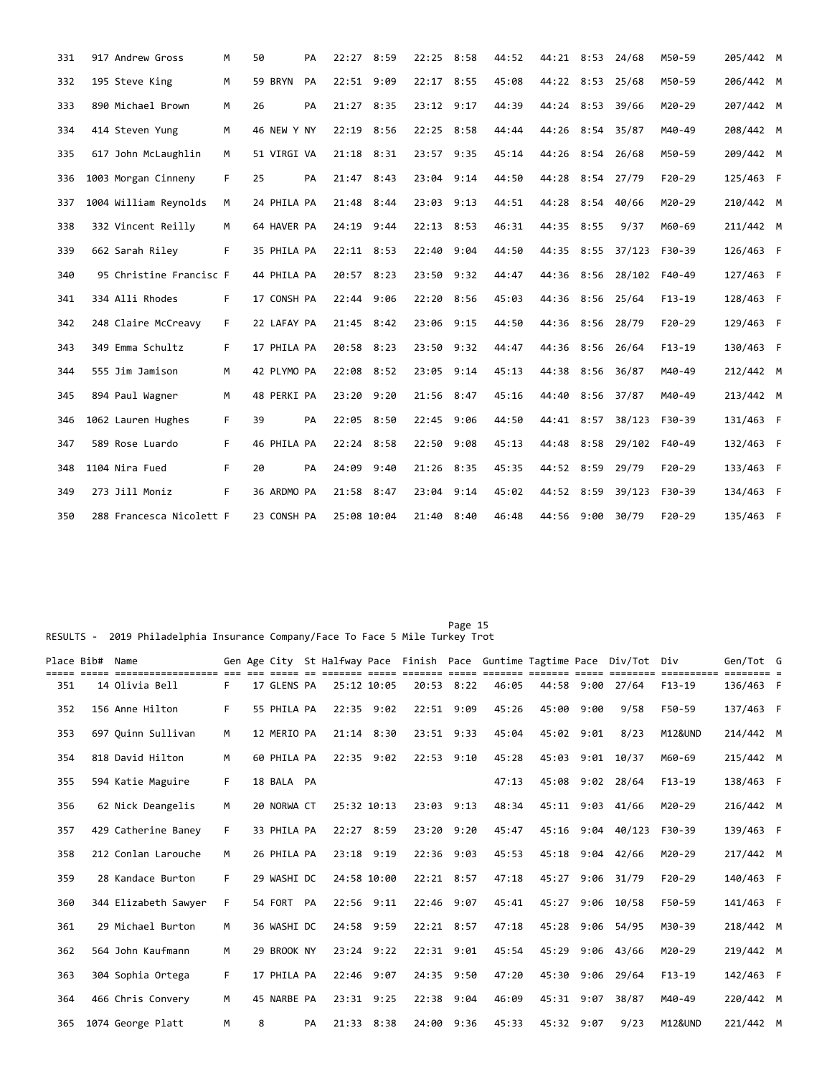| 331 | 917 Andrew Gross         | M  | 50          | PA | 22:27       | 8:59 | 22:25 8:58 |      | 44:52 | 44:21 8:53 24/68 |      |                   | M50-59     | 205/442 M |  |
|-----|--------------------------|----|-------------|----|-------------|------|------------|------|-------|------------------|------|-------------------|------------|-----------|--|
| 332 | 195 Steve King           | M  | 59 BRYN     | PA | 22:51       | 9:09 | 22:17      | 8:55 | 45:08 | 44:22 8:53       |      | 25/68             | M50-59     | 206/442 M |  |
| 333 | 890 Michael Brown        | M  | 26          | PA | 21:27       | 8:35 | 23:12      | 9:17 | 44:39 | 44:24 8:53       |      | 39/66             | M20-29     | 207/442 M |  |
| 334 | 414 Steven Yung          | M  | 46 NEW Y NY |    | 22:19 8:56  |      | 22:25 8:58 |      | 44:44 | 44:26 8:54 35/87 |      |                   | M40-49     | 208/442 M |  |
| 335 | 617 John McLaughlin      | M  | 51 VIRGI VA |    | 21:18 8:31  |      | 23:57 9:35 |      | 45:14 | 44:26 8:54 26/68 |      |                   | M50-59     | 209/442 M |  |
| 336 | 1003 Morgan Cinneny      | F. | 25          | PA | 21:47 8:43  |      | 23:04 9:14 |      | 44:50 | 44:28            |      | 8:54 27/79        | $F20-29$   | 125/463 F |  |
| 337 | 1004 William Reynolds    | M  | 24 PHILA PA |    | 21:48 8:44  |      | 23:03 9:13 |      | 44:51 | 44:28 8:54 40/66 |      |                   | M20-29     | 210/442 M |  |
| 338 | 332 Vincent Reilly       | M  | 64 HAVER PA |    | 24:19 9:44  |      | 22:13 8:53 |      | 46:31 | 44:35 8:55       |      | 9/37              | M60-69     | 211/442 M |  |
| 339 | 662 Sarah Riley          | F. | 35 PHILA PA |    | 22:11 8:53  |      | 22:40 9:04 |      | 44:50 |                  |      | 44:35 8:55 37/123 | F30-39     | 126/463 F |  |
| 340 | 95 Christine Francisc F  |    | 44 PHILA PA |    | 20:57 8:23  |      | 23:50 9:32 |      | 44:47 | 44:36            |      | 8:56 28/102       | F40-49     | 127/463 F |  |
| 341 | 334 Alli Rhodes          | F  | 17 CONSH PA |    | 22:44 9:06  |      | 22:20 8:56 |      | 45:03 | 44:36            |      | $8:56$ 25/64      | $F13-19$   | 128/463 F |  |
| 342 | 248 Claire McCreavy      | F  | 22 LAFAY PA |    | 21:45 8:42  |      | 23:06      | 9:15 | 44:50 | 44:36 8:56       |      | 28/79             | $F20 - 29$ | 129/463 F |  |
| 343 | 349 Emma Schultz         | F. | 17 PHILA PA |    | 20:58 8:23  |      | 23:50 9:32 |      | 44:47 | 44:36            | 8:56 | 26/64             | $F13-19$   | 130/463 F |  |
| 344 | 555 Jim Jamison          | M  | 42 PLYMO PA |    | 22:08 8:52  |      | 23:05 9:14 |      | 45:13 | 44:38 8:56       |      | 36/87             | M40-49     | 212/442 M |  |
| 345 | 894 Paul Wagner          | M  | 48 PERKI PA |    | 23:20       | 9:20 | 21:56 8:47 |      | 45:16 | 44:40            | 8:56 | 37/87             | M40-49     | 213/442 M |  |
| 346 | 1062 Lauren Hughes       | F  | 39          | PA | 22:05 8:50  |      | 22:45 9:06 |      | 44:50 | 44:41 8:57       |      | 38/123            | F30-39     | 131/463 F |  |
| 347 | 589 Rose Luardo          | F. | 46 PHILA PA |    | 22:24 8:58  |      | 22:50 9:08 |      | 45:13 | 44:48            | 8:58 | 29/102            | F40-49     | 132/463 F |  |
| 348 | 1104 Nira Fued           | F. | 20          | PA | 24:09 9:40  |      | 21:26 8:35 |      | 45:35 | 44:52 8:59       |      | 29/79             | $F20-29$   | 133/463 F |  |
| 349 | 273 Jill Moniz           | F. | 36 ARDMO PA |    | 21:58 8:47  |      | 23:04 9:14 |      | 45:02 | 44:52 8:59       |      | 39/123            | F30-39     | 134/463 F |  |
| 350 | 288 Francesca Nicolett F |    | 23 CONSH PA |    | 25:08 10:04 |      | 21:40 8:40 |      | 46:48 | 44:56 9:00       |      | 30/79             | $F20-29$   | 135/463 F |  |

RESULTS - 2019 Philadelphia Insurance Company/Face To Face 5 Mile Turkey Trot

| Place Bib# | Name                 |    |   |             |    |                |                |                | Gen Age City St Halfway Pace Finish Pace Guntime Tagtime Pace |            |      | Div/Tot Div      |                    | Gen/Tot G |  |
|------------|----------------------|----|---|-------------|----|----------------|----------------|----------------|---------------------------------------------------------------|------------|------|------------------|--------------------|-----------|--|
| 351        | 14 Olivia Bell       | F. |   | 17 GLENS PA |    | 25:12 10:05    |                | 20:53 8:22     | 46:05                                                         | 44:58      | 9:00 | 27/64            | $F13-19$           | 136/463 F |  |
| 352        | 156 Anne Hilton      | F. |   | 55 PHILA PA |    | 22:35 9:02     | 22:51 9:09     |                | 45:26                                                         | 45:00      | 9:00 | 9/58             | F50-59             | 137/463 F |  |
| 353        | 697 Quinn Sullivan   | M  |   | 12 MERIO PA |    | $21:14$ 8:30   | 23:51 9:33     |                | 45:04                                                         | 45:02 9:01 |      | 8/23             | <b>M12&amp;UND</b> | 214/442 M |  |
| 354        | 818 David Hilton     | M  |   | 60 PHILA PA |    | $22:35$ 9:02   |                | $22:53$ $9:10$ | 45:28                                                         | 45:03      |      | $9:01$ $10/37$   | M60-69             | 215/442 M |  |
| 355        | 594 Katie Maguire    | F. |   | 18 BALA PA  |    |                |                |                | 47:13                                                         | 45:08      |      | $9:02$ 28/64     | $F13-19$           | 138/463 F |  |
| 356        | 62 Nick Deangelis    | M  |   | 20 NORWA CT |    | 25:32 10:13    | 23:03 9:13     |                | 48:34                                                         | 45:11      | 9:03 | 41/66            | M20-29             | 216/442 M |  |
| 357        | 429 Catherine Baney  | F  |   | 33 PHILA PA |    | 22:27 8:59     |                | 23:20 9:20     | 45:47                                                         | 45:16      |      | $9:04$ $40/123$  | F30-39             | 139/463 F |  |
| 358        | 212 Conlan Larouche  | M  |   | 26 PHILA PA |    | 23:18 9:19     | 22:36 9:03     |                | 45:53                                                         | 45:18      | 9:04 | 42/66            | M20-29             | 217/442 M |  |
| 359        | 28 Kandace Burton    | F. |   | 29 WASHI DC |    | 24:58 10:00    | $22:21$ 8:57   |                | 47:18                                                         | 45:27      | 9:06 | 31/79            | $F20-29$           | 140/463 F |  |
| 360        | 344 Elizabeth Sawyer | F  |   | 54 FORT PA  |    | 22:56 9:11     |                | 22:46 9:07     | 45:41                                                         |            |      | 45:27 9:06 10/58 | F50-59             | 141/463 F |  |
| 361        | 29 Michael Burton    | M  |   | 36 WASHI DC |    | 24:58 9:59     | 22:21 8:57     |                | 47:18                                                         | 45:28      | 9:06 | 54/95            | M30-39             | 218/442 M |  |
| 362        | 564 John Kaufmann    | M  |   | 29 BROOK NY |    | $23:24$ $9:22$ | $22:31$ $9:01$ |                | 45:54                                                         | 45:29      | 9:06 | 43/66            | M20-29             | 219/442 M |  |
| 363        | 304 Sophia Ortega    | F. |   | 17 PHILA PA |    | 22:46 9:07     |                | 24:35 9:50     | 47:20                                                         | 45:30 9:06 |      | 29/64            | $F13-19$           | 142/463 F |  |
| 364        | 466 Chris Convery    | M  |   | 45 NARBE PA |    | 23:31 9:25     |                | 22:38 9:04     | 46:09                                                         | 45:31      | 9:07 | 38/87            | M40-49             | 220/442 M |  |
| 365        | 1074 George Platt    | M  | 8 |             | PA | 21:33 8:38     |                | 24:00 9:36     | 45:33                                                         | 45:32 9:07 |      | 9/23             | <b>M12&amp;UND</b> | 221/442 M |  |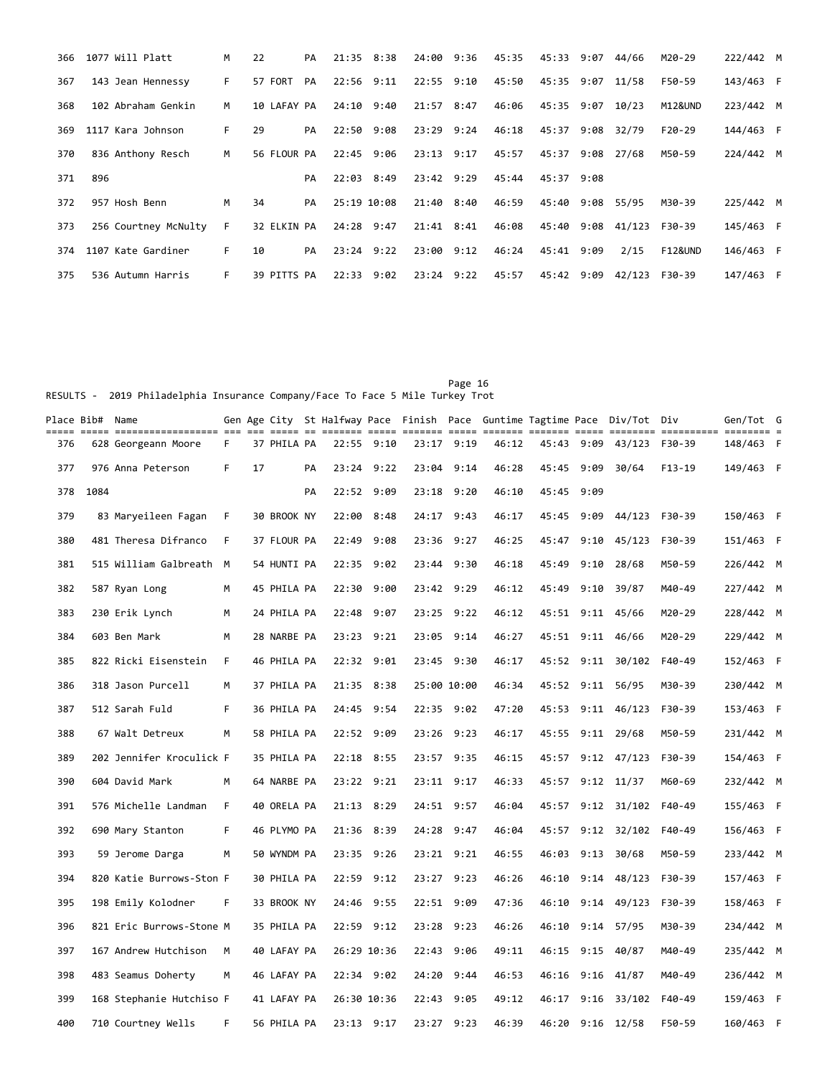|     | 366 1077 Will Platt  | м  | 22          | PA | 21:35 8:38  |      | 24:00 9:36 | 45:35 | 45:33 9:07       | 44/66  | M20-29             | 222/442 M |  |
|-----|----------------------|----|-------------|----|-------------|------|------------|-------|------------------|--------|--------------------|-----------|--|
| 367 | 143 Jean Hennessy    | F. | 57 FORT     | PA | 22:56 9:11  |      | 22:55 9:10 | 45:50 | 45:35 9:07 11/58 |        | F50-59             | 143/463 F |  |
| 368 | 102 Abraham Genkin   | M  | 10 LAFAY PA |    | 24:10 9:40  |      | 21:57 8:47 | 46:06 | 45:35 9:07 10/23 |        | M12&UND            | 223/442 M |  |
| 369 | 1117 Kara Johnson    | F. | 29          | PA | 22:50 9:08  |      | 23:29 9:24 | 46:18 | 45:37 9:08 32/79 |        | $F20-29$           | 144/463 F |  |
| 370 | 836 Anthony Resch    | M  | 56 FLOUR PA |    | 22:45 9:06  |      | 23:13 9:17 | 45:57 | 45:37 9:08       | 27/68  | M50-59             | 224/442 M |  |
| 371 | 896                  |    |             | PA | 22:03 8:49  |      | 23:42 9:29 | 45:44 | 45:37 9:08       |        |                    |           |  |
| 372 | 957 Hosh Benn        | M  | 34          | PA | 25:19 10:08 |      | 21:40 8:40 | 46:59 | 45:40 9:08       | 55/95  | M30-39             | 225/442 M |  |
| 373 | 256 Courtney McNulty | F. | 32 ELKIN PA |    | 24:28 9:47  |      | 21:41 8:41 | 46:08 | 45:40 9:08       | 41/123 | F30-39             | 145/463 F |  |
| 374 | 1107 Kate Gardiner   | F. | 10          | PA | 23:24 9:22  |      | 23:00 9:12 | 46:24 | 45:41 9:09       | 2/15   | <b>F12&amp;UND</b> | 146/463 F |  |
| 375 | 536 Autumn Harris    | F. | 39 PITTS PA |    | 22:33       | 9:02 | 23:24 9:22 | 45:57 | 45:42 9:09       | 42/123 | F30-39             | 147/463 F |  |

Page 16 RESULTS - 2019 Philadelphia Insurance Company/Face To Face 5 Mile Turkey Trot

|     | Place Bib#  Name |                          |    |    |             |    |                |      |             |            |       |       |            | Gen Age City St Halfway Pace Finish Pace Guntime Tagtime Pace Div/Tot Div |          | Gen/Tot G |  |
|-----|------------------|--------------------------|----|----|-------------|----|----------------|------|-------------|------------|-------|-------|------------|---------------------------------------------------------------------------|----------|-----------|--|
| 376 |                  | 628 Georgeann Moore      | F. |    | 37 PHILA PA |    | 22:55 9:10     |      | 23:17 9:19  |            | 46:12 |       |            | 45:43 9:09 43/123                                                         | F30-39   | 148/463 F |  |
| 377 |                  | 976 Anna Peterson        | F  | 17 |             | PA | 23:24          | 9:22 | 23:04       | 9:14       | 46:28 | 45:45 | 9:09       | 30/64                                                                     | $F13-19$ | 149/463 F |  |
| 378 | 1084             |                          |    |    |             | PA | 22:52 9:09     |      | 23:18 9:20  |            | 46:10 |       | 45:45 9:09 |                                                                           |          |           |  |
| 379 |                  | 83 Maryeileen Fagan      | F  |    | 30 BROOK NY |    | 22:00          | 8:48 | 24:17       | 9:43       | 46:17 | 45:45 | 9:09       | 44/123                                                                    | F30-39   | 150/463 F |  |
| 380 |                  | 481 Theresa Difranco     | F  |    | 37 FLOUR PA |    | 22:49 9:08     |      |             | 23:36 9:27 | 46:25 | 45:47 |            | $9:10$ $45/123$                                                           | F30-39   | 151/463 F |  |
| 381 |                  | 515 William Galbreath M  |    |    | 54 HUNTI PA |    | 22:35          | 9:02 | 23:44       | 9:30       | 46:18 | 45:49 | 9:10       | 28/68                                                                     | M50-59   | 226/442 M |  |
| 382 |                  | 587 Ryan Long            | м  |    | 45 PHILA PA |    | 22:30          | 9:00 | 23:42 9:29  |            | 46:12 |       |            | 45:49 9:10 39/87                                                          | M40-49   | 227/442 M |  |
| 383 |                  | 230 Erik Lynch           | м  |    | 24 PHILA PA |    | 22:48          | 9:07 |             | 23:25 9:22 | 46:12 |       |            | 45:51 9:11 45/66                                                          | M20-29   | 228/442 M |  |
| 384 |                  | 603 Ben Mark             | м  |    | 28 NARBE PA |    | 23:23 9:21     |      |             | 23:05 9:14 | 46:27 |       |            | 45:51 9:11 46/66                                                          | M20-29   | 229/442 M |  |
| 385 |                  | 822 Ricki Eisenstein     | F. |    | 46 PHILA PA |    | 22:32 9:01     |      | 23:45 9:30  |            | 46:17 |       |            | 45:52 9:11 30/102                                                         | F40-49   | 152/463 F |  |
| 386 |                  | 318 Jason Purcell        | м  |    | 37 PHILA PA |    | 21:35 8:38     |      | 25:00 10:00 |            | 46:34 |       |            | 45:52 9:11 56/95                                                          | M30-39   | 230/442 M |  |
| 387 |                  | 512 Sarah Fuld           | F  |    | 36 PHILA PA |    | 24:45          | 9:54 | 22:35       | 9:02       | 47:20 | 45:53 |            | $9:11$ $46/123$                                                           | F30-39   | 153/463 F |  |
| 388 |                  | 67 Walt Detreux          | M  |    | 58 PHILA PA |    | 22:52 9:09     |      | 23:26       | 9:23       | 46:17 | 45:55 |            | $9:11$ 29/68                                                              | M50-59   | 231/442 M |  |
| 389 |                  | 202 Jennifer Kroculick F |    |    | 35 PHILA PA |    | 22:18          | 8:55 | 23:57       | 9:35       | 46:15 | 45:57 |            | $9:12$ $47/123$                                                           | F30-39   | 154/463 F |  |
| 390 |                  | 604 David Mark           | м  |    | 64 NARBE PA |    | 23:22 9:21     |      | 23:11 9:17  |            | 46:33 | 45:57 |            | $9:12$ $11/37$                                                            | M60-69   | 232/442 M |  |
| 391 |                  | 576 Michelle Landman     | F. |    | 40 ORELA PA |    | 21:13 8:29     |      |             | 24:51 9:57 | 46:04 |       |            | 45:57 9:12 31/102                                                         | F40-49   | 155/463 F |  |
| 392 |                  | 690 Mary Stanton         | F. |    | 46 PLYMO PA |    | 21:36 8:39     |      | 24:28       | 9:47       | 46:04 | 45:57 |            | $9:12$ $32/102$                                                           | F40-49   | 156/463 F |  |
| 393 |                  | 59 Jerome Darga          | м  |    | 50 WYNDM PA |    | 23:35 9:26     |      |             | 23:21 9:21 | 46:55 |       |            | 46:03 9:13 30/68                                                          | M50-59   | 233/442 M |  |
| 394 |                  | 820 Katie Burrows-Ston F |    |    | 30 PHILA PA |    | 22:59          | 9:12 | 23:27 9:23  |            | 46:26 | 46:10 |            | $9:14$ $48/123$                                                           | F30-39   | 157/463 F |  |
| 395 |                  | 198 Emily Kolodner       | F  |    | 33 BROOK NY |    | 24:46 9:55     |      | 22:51 9:09  |            | 47:36 | 46:10 |            | $9:14$ $49/123$                                                           | F30-39   | 158/463 F |  |
| 396 |                  | 821 Eric Burrows-Stone M |    |    | 35 PHILA PA |    | 22:59 9:12     |      | 23:28       | 9:23       | 46:26 | 46:10 |            | $9:14$ 57/95                                                              | M30-39   | 234/442 M |  |
| 397 |                  | 167 Andrew Hutchison     | M  |    | 40 LAFAY PA |    | 26:29 10:36    |      |             | 22:43 9:06 | 49:11 |       |            | 46:15 9:15 40/87                                                          | M40-49   | 235/442 M |  |
| 398 |                  | 483 Seamus Doherty       | м  |    | 46 LAFAY PA |    | 22:34 9:02     |      | 24:20       | 9:44       | 46:53 | 46:16 |            | $9:16$ $41/87$                                                            | M40-49   | 236/442 M |  |
| 399 |                  | 168 Stephanie Hutchiso F |    |    | 41 LAFAY PA |    | 26:30 10:36    |      | 22:43 9:05  |            | 49:12 | 46:17 |            | $9:16$ $33/102$                                                           | F40-49   | 159/463 F |  |
| 400 |                  | 710 Courtney Wells       | F. |    | 56 PHILA PA |    | $23:13$ $9:17$ |      | 23:27 9:23  |            | 46:39 |       |            | 46:20 9:16 12/58                                                          | F50-59   | 160/463 F |  |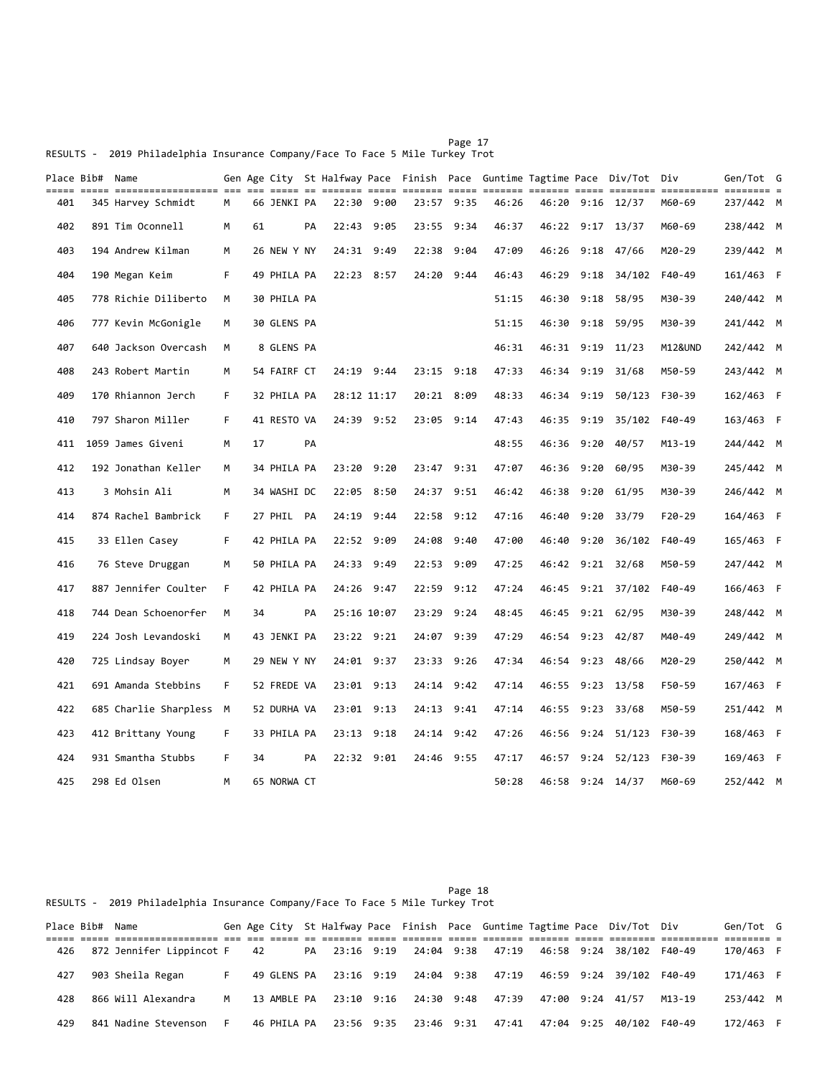Page 17 RESULTS - 2019 Philadelphia Insurance Company/Face To Face 5 Mile Turkey Trot

RESULTS - 2019 Philadelphia Insurance Company/Face To Face 5 Mile Turkey Trot

| Place Bib# Name |                         |    |    |             |    |             |            |                |            |       |       |      | Gen Age City St Halfway Pace Finish Pace Guntime Tagtime Pace Div/Tot Div |          | Gen/Tot G |  |
|-----------------|-------------------------|----|----|-------------|----|-------------|------------|----------------|------------|-------|-------|------|---------------------------------------------------------------------------|----------|-----------|--|
| 401             | 345 Harvey Schmidt      | М  |    | 66 JENKI PA |    |             | 22:30 9:00 | 23:57 9:35     |            | 46:26 |       |      | 46:20 9:16 12/37                                                          | M60-69   | 237/442 M |  |
| 402             | 891 Tim Oconnell        | M  | 61 |             | PA | 22:43       | 9:05       | 23:55          | 9:34       | 46:37 |       |      | 46:22 9:17 13/37                                                          | M60-69   | 238/442 M |  |
| 403             | 194 Andrew Kilman       | M  |    | 26 NEW Y NY |    | 24:31 9:49  |            | 22:38          | 9:04       | 47:09 | 46:26 |      | $9:18$ 47/66                                                              | M20-29   | 239/442 M |  |
| 404             | 190 Megan Keim          | F. |    | 49 PHILA PA |    |             | 22:23 8:57 | 24:20          | 9:44       | 46:43 | 46:29 | 9:18 | 34/102                                                                    | F40-49   | 161/463 F |  |
| 405             | 778 Richie Diliberto    | M  |    | 30 PHILA PA |    |             |            |                |            | 51:15 | 46:30 | 9:18 | 58/95                                                                     | M30-39   | 240/442 M |  |
| 406             | 777 Kevin McGonigle     | M  |    | 30 GLENS PA |    |             |            |                |            | 51:15 | 46:30 | 9:18 | 59/95                                                                     | M30-39   | 241/442 M |  |
| 407             | 640 Jackson Overcash    | M  |    | 8 GLENS PA  |    |             |            |                |            | 46:31 |       |      | 46:31 9:19 11/23                                                          | M12&UND  | 242/442 M |  |
| 408             | 243 Robert Martin       | M  |    | 54 FAIRF CT |    |             | 24:19 9:44 | $23:15$ $9:18$ |            | 47:33 | 46:34 | 9:19 | 31/68                                                                     | M50-59   | 243/442 M |  |
| 409             | 170 Rhiannon Jerch      | F  |    | 32 PHILA PA |    | 28:12 11:17 |            | 20:21 8:09     |            | 48:33 | 46:34 | 9:19 | 50/123                                                                    | F30-39   | 162/463 F |  |
| 410             | 797 Sharon Miller       | F  |    | 41 RESTO VA |    |             | 24:39 9:52 | 23:05 9:14     |            | 47:43 | 46:35 | 9:19 | 35/102                                                                    | F40-49   | 163/463 F |  |
| 411             | 1059 James Giveni       | M  | 17 |             | PA |             |            |                |            | 48:55 | 46:36 | 9:20 | 40/57                                                                     | M13-19   | 244/442 M |  |
| 412             | 192 Jonathan Keller     | M  |    | 34 PHILA PA |    |             | 23:20 9:20 | 23:47 9:31     |            | 47:07 | 46:36 | 9:20 | 60/95                                                                     | M30-39   | 245/442 M |  |
| 413             | 3 Mohsin Ali            | M  |    | 34 WASHI DC |    | 22:05       | 8:50       | 24:37          | 9:51       | 46:42 | 46:38 | 9:20 | 61/95                                                                     | M30-39   | 246/442 M |  |
| 414             | 874 Rachel Bambrick     | F  |    | 27 PHIL PA  |    | 24:19 9:44  |            | 22:58          | 9:12       | 47:16 | 46:40 |      | $9:20$ $33/79$                                                            | $F20-29$ | 164/463 F |  |
| 415             | 33 Ellen Casey          | F  |    | 42 PHILA PA |    | 22:52 9:09  |            | 24:08          | 9:40       | 47:00 | 46:40 | 9:20 | 36/102                                                                    | F40-49   | 165/463 F |  |
| 416             | 76 Steve Druggan        | M  |    | 50 PHILA PA |    | 24:33 9:49  |            | 22:53 9:09     |            | 47:25 |       |      | 46:42 9:21 32/68                                                          | M50-59   | 247/442 M |  |
| 417             | 887 Jennifer Coulter    | F  |    | 42 PHILA PA |    | 24:26 9:47  |            | 22:59          | 9:12       | 47:24 | 46:45 |      | $9:21$ $37/102$                                                           | F40-49   | 166/463 F |  |
| 418             | 744 Dean Schoenorfer    | M  | 34 |             | PA | 25:16 10:07 |            | 23:29          | 9:24       | 48:45 | 46:45 |      | $9:21$ 62/95                                                              | M30-39   | 248/442 M |  |
| 419             | 224 Josh Levandoski     | M  |    | 43 JENKI PA |    |             | 23:22 9:21 | 24:07          | 9:39       | 47:29 | 46:54 |      | $9:23$ 42/87                                                              | M40-49   | 249/442 M |  |
| 420             | 725 Lindsay Boyer       | м  |    | 29 NEW Y NY |    |             | 24:01 9:37 | 23:33          | 9:26       | 47:34 | 46:54 |      | 9:23 48/66                                                                | M20-29   | 250/442 M |  |
| 421             | 691 Amanda Stebbins     | F  |    | 52 FREDE VA |    | 23:01 9:13  |            | 24:14          | 9:42       | 47:14 | 46:55 |      | 9:23 13/58                                                                | F50-59   | 167/463 F |  |
| 422             | 685 Charlie Sharpless M |    |    | 52 DURHA VA |    | 23:01 9:13  |            | 24:13          | 9:41       | 47:14 | 46:55 |      | 9:23 33/68                                                                | M50-59   | 251/442 M |  |
| 423             | 412 Brittany Young      | F  |    | 33 PHILA PA |    |             | 23:13 9:18 |                | 24:14 9:42 | 47:26 |       |      | 46:56 9:24 51/123                                                         | F30-39   | 168/463 F |  |
| 424             | 931 Smantha Stubbs      | F  | 34 |             | PA |             | 22:32 9:01 | 24:46 9:55     |            | 47:17 | 46:57 |      | $9:24$ $52/123$                                                           | F30-39   | 169/463 F |  |
| 425             | 298 Ed Olsen            | M  |    | 65 NORWA CT |    |             |            |                |            | 50:28 |       |      | 46:58 9:24 14/37                                                          | M60-69   | 252/442 M |  |

## Page 18

|     | Place Bib# Name |                          |    |    |             |  |                       |                                         |                  | Gen Age City St Halfway Pace Finish Pace Guntime Tagtime Pace Div/Tot Div |        | Gen/Tot G |  |
|-----|-----------------|--------------------------|----|----|-------------|--|-----------------------|-----------------------------------------|------------------|---------------------------------------------------------------------------|--------|-----------|--|
| 426 |                 | 872 Jennifer Lippincot F |    | 42 |             |  |                       | PA 23:16 9:19 24:04 9:38 47:19          |                  | 46:58 9:24 38/102                                                         | F40-49 | 170/463 F |  |
| 427 |                 | 903 Sheila Regan         |    |    |             |  |                       | 49 GLENS PA 23:16 9:19 24:04 9:38 47:19 |                  | 46:59 9:24 39/102                                                         | F40-49 | 171/463 F |  |
| 428 |                 | 866 Will Alexandra       | м  |    | 13 AMBLE PA |  |                       | 23:10 9:16 24:30 9:48 47:39             | 47:00 9:24 41/57 |                                                                           | M13-19 | 253/442 M |  |
| 429 |                 | 841 Nadine Stevenson     | F. |    | 46 PHILA PA |  | 23:56 9:35 23:46 9:31 | 47:41                                   |                  | 47:04 9:25 40/102                                                         | F40-49 | 172/463 F |  |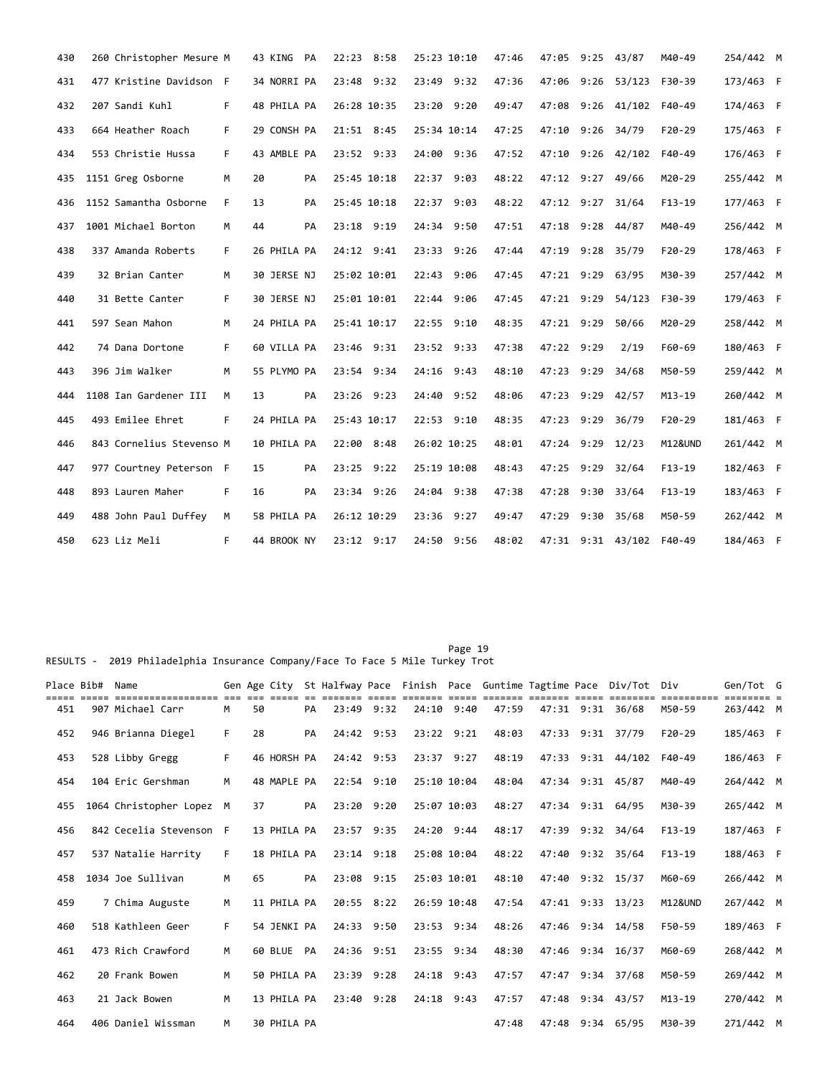| 430 | 260 Christopher Mesure M |    | 43 KING PA  |    | 22:23 8:58  | 25:23 10:10 | 47:46 | 47:05            |      | $9:25$ 43/87             | M40-49     | 254/442 M |  |
|-----|--------------------------|----|-------------|----|-------------|-------------|-------|------------------|------|--------------------------|------------|-----------|--|
| 431 | 477 Kristine Davidson F  |    | 34 NORRI PA |    | 23:48 9:32  | 23:49 9:32  | 47:36 | 47:06            | 9:26 | 53/123                   | F30-39     | 173/463 F |  |
| 432 | 207 Sandi Kuhl           | F. | 48 PHILA PA |    | 26:28 10:35 | 23:20 9:20  | 49:47 |                  |      | 47:08 9:26 41/102        | F40-49     | 174/463 F |  |
| 433 | 664 Heather Roach        | F. | 29 CONSH PA |    | 21:51 8:45  | 25:34 10:14 | 47:25 | 47:10 9:26 34/79 |      |                          | $F20-29$   | 175/463 F |  |
| 434 | 553 Christie Hussa       | F. | 43 AMBLE PA |    | 23:52 9:33  | 24:00 9:36  | 47:52 |                  |      | 47:10 9:26 42/102        | F40-49     | 176/463 F |  |
| 435 | 1151 Greg Osborne        | M  | 20          | PA | 25:45 10:18 | 22:37 9:03  | 48:22 | 47:12 9:27 49/66 |      |                          | M20-29     | 255/442 M |  |
| 436 | 1152 Samantha Osborne    | F. | 13          | PA | 25:45 10:18 | 22:37 9:03  | 48:22 | 47:12 9:27 31/64 |      |                          | $F13-19$   | 177/463 F |  |
| 437 | 1001 Michael Borton      | M  | 44          | PA | 23:18 9:19  | 24:34 9:50  | 47:51 | 47:18 9:28 44/87 |      |                          | M40-49     | 256/442 M |  |
| 438 | 337 Amanda Roberts       | F. | 26 PHILA PA |    | 24:12 9:41  | 23:33 9:26  | 47:44 | 47:19 9:28 35/79 |      |                          | $F20-29$   | 178/463 F |  |
| 439 | 32 Brian Canter          | M  | 30 JERSE NJ |    | 25:02 10:01 | 22:43 9:06  | 47:45 | 47:21 9:29 63/95 |      |                          | M30-39     | 257/442 M |  |
| 440 | 31 Bette Canter          | F. | 30 JERSE NJ |    | 25:01 10:01 | 22:44 9:06  | 47:45 |                  |      | 47:21 9:29 54/123        | F30-39     | 179/463 F |  |
| 441 | 597 Sean Mahon           | M  | 24 PHILA PA |    | 25:41 10:17 | 22:55 9:10  | 48:35 | 47:21 9:29       |      | 50/66                    | M20-29     | 258/442 M |  |
| 442 | 74 Dana Dortone          | F. | 60 VILLA PA |    | 23:46 9:31  | 23:52 9:33  | 47:38 | 47:22 9:29       |      | 2/19                     | F60-69     | 180/463 F |  |
| 443 | 396 Jim Walker           | M  | 55 PLYMO PA |    | 23:54 9:34  | 24:16 9:43  | 48:10 | 47:23 9:29       |      | 34/68                    | M50-59     | 259/442 M |  |
| 444 | 1108 Ian Gardener III    | M  | 13          | PA | 23:26 9:23  | 24:40 9:52  | 48:06 | 47:23 9:29 42/57 |      |                          | $M13 - 19$ | 260/442 M |  |
| 445 | 493 Emilee Ehret         | F. | 24 PHILA PA |    | 25:43 10:17 | 22:53 9:10  | 48:35 | 47:23 9:29 36/79 |      |                          | $F20-29$   | 181/463 F |  |
| 446 | 843 Cornelius Stevenso M |    | 10 PHILA PA |    | 22:00 8:48  | 26:02 10:25 | 48:01 | 47:24 9:29 12/23 |      |                          | M12&UND    | 261/442 M |  |
| 447 | 977 Courtney Peterson F  |    | 15          | PA | 23:25 9:22  | 25:19 10:08 | 48:43 | 47:25 9:29 32/64 |      |                          | $F13-19$   | 182/463 F |  |
| 448 | 893 Lauren Maher         | F  | 16          | PA | 23:34 9:26  | 24:04 9:38  | 47:38 | 47:28 9:30       |      | 33/64                    | $F13-19$   | 183/463 F |  |
| 449 | 488 John Paul Duffey     | M  | 58 PHILA PA |    | 26:12 10:29 | 23:36 9:27  | 49:47 | 47:29            |      | $9:30$ $35/68$           | M50-59     | 262/442 M |  |
| 450 | 623 Liz Meli             | F. | 44 BROOK NY |    | 23:12 9:17  | 24:50 9:56  | 48:02 |                  |      | 47:31 9:31 43/102 F40-49 |            | 184/463 F |  |

RESULTS - 2019 Philadelphia Insurance Company/Face To Face 5 Mile Turkey Trot

| Place Bib# | Name                     |    |    |             |    |                |             |                |       |       | Gen Age City St Halfway Pace Finish Pace Guntime Tagtime Pace Div/Tot Div |                    | Gen/Tot G |  |
|------------|--------------------------|----|----|-------------|----|----------------|-------------|----------------|-------|-------|---------------------------------------------------------------------------|--------------------|-----------|--|
| 451        | 907 Michael Carr         | M  | 50 |             | PA | 23:49 9:32     |             | $24:10$ 9:40   | 47:59 |       | 47:31 9:31 36/68                                                          | M50-59             | 263/442 M |  |
| 452        | 946 Brianna Diegel       | F  | 28 |             | PA | 24:42 9:53     |             | $23:22$ $9:21$ | 48:03 |       | 47:33 9:31 37/79                                                          | $F20-29$           | 185/463 F |  |
| 453        | 528 Libby Gregg          | F  |    | 46 HORSH PA |    | 24:42 9:53     |             | 23:37 9:27     | 48:19 |       | 47:33 9:31 44/102                                                         | F40-49             | 186/463 F |  |
| 454        | 104 Eric Gershman        | M  |    | 48 MAPLE PA |    | 22:54 9:10     |             | 25:10 10:04    | 48:04 |       | 47:34 9:31 45/87                                                          | M40-49             | 264/442 M |  |
| 455        | 1064 Christopher Lopez M |    | 37 |             | PA | 23:20 9:20     | 25:07 10:03 |                | 48:27 |       | 47:34 9:31 64/95                                                          | M30-39             | 265/442 M |  |
| 456        | 842 Cecelia Stevenson F  |    |    | 13 PHILA PA |    | 23:57 9:35     |             | 24:20 9:44     | 48:17 |       | 47:39 9:32 34/64                                                          | $F13-19$           | 187/463 F |  |
| 457        | 537 Natalie Harrity      | F  |    | 18 PHILA PA |    | $23:14$ $9:18$ |             | 25:08 10:04    | 48:22 |       | 47:40 9:32 35/64                                                          | $F13-19$           | 188/463 F |  |
| 458        | 1034 Joe Sullivan        | M  | 65 |             | PA | 23:08 9:15     |             | 25:03 10:01    | 48:10 |       | 47:40 9:32 15/37                                                          | M60-69             | 266/442 M |  |
| 459        | 7 Chima Auguste          | M  |    | 11 PHILA PA |    | 20:55 8:22     |             | 26:59 10:48    | 47:54 |       | 47:41 9:33 13/23                                                          | <b>M12&amp;UND</b> | 267/442 M |  |
| 460        | 518 Kathleen Geer        | F. |    | 54 JENKI PA |    | 24:33 9:50     |             | 23:53 9:34     | 48:26 |       | 47:46 9:34 14/58                                                          | F50-59             | 189/463 F |  |
| 461        | 473 Rich Crawford        | M  |    | 60 BLUE     | PA | 24:36 9:51     |             | 23:55 9:34     | 48:30 |       | 47:46 9:34 16/37                                                          | M60-69             | 268/442 M |  |
| 462        | 20 Frank Bowen           | M  |    | 50 PHILA PA |    | 23:39 9:28     |             | $24:18$ 9:43   | 47:57 | 47:47 | $9:34$ 37/68                                                              | M50-59             | 269/442 M |  |
| 463        | 21 Jack Bowen            | M  |    | 13 PHILA PA |    | 23:40 9:28     |             | $24:18$ 9:43   | 47:57 | 47:48 | $9:34$ 43/57                                                              | $M13 - 19$         | 270/442 M |  |
| 464        | 406 Daniel Wissman       | м  |    | 30 PHILA PA |    |                |             |                | 47:48 |       | 47:48 9:34 65/95                                                          | M30-39             | 271/442 M |  |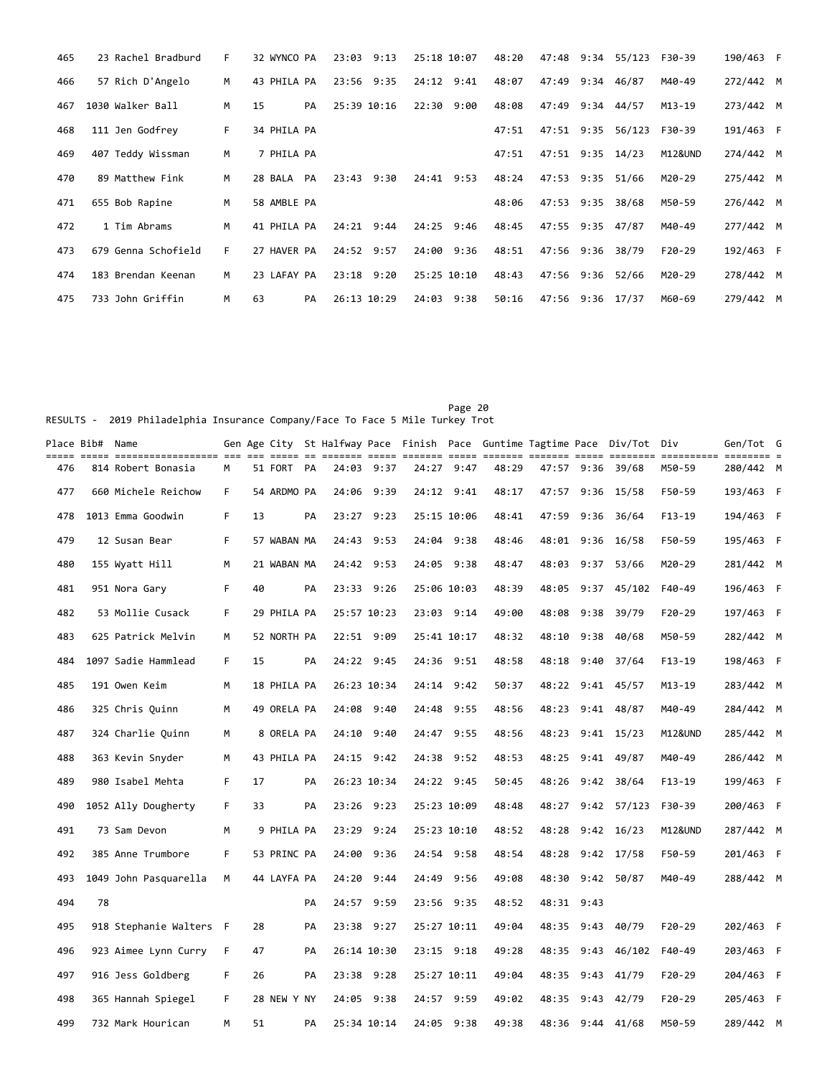| 465 | 23 Rachel Bradburd  | F  | 32 WYNCO PA |    | 23:03          | 9:13 | 25:18 10:07 | 48:20 | 47:48            | 9:34 | 55/123 | F30-39   | 190/463 F |  |
|-----|---------------------|----|-------------|----|----------------|------|-------------|-------|------------------|------|--------|----------|-----------|--|
| 466 | 57 Rich D'Angelo    | M  | 43 PHILA PA |    | 23:56 9:35     |      | 24:12 9:41  | 48:07 | 47:49            | 9:34 | 46/87  | M40-49   | 272/442 M |  |
| 467 | 1030 Walker Ball    | M  | 15          | PA | 25:39 10:16    |      | 22:30 9:00  | 48:08 | 47:49            | 9:34 | 44/57  | M13-19   | 273/442 M |  |
| 468 | 111 Jen Godfrey     | F. | 34 PHILA PA |    |                |      |             | 47:51 | 47:51 9:35       |      | 56/123 | F30-39   | 191/463 F |  |
| 469 | 407 Teddy Wissman   | M  | 7 PHILA PA  |    |                |      |             | 47:51 | 47:51 9:35 14/23 |      |        | M12&UND  | 274/442 M |  |
| 470 | 89 Matthew Fink     | M  | 28 BALA     | PA | 23:43          | 9:30 | 24:41 9:53  | 48:24 | 47:53 9:35       |      | 51/66  | M20-29   | 275/442 M |  |
| 471 | 655 Bob Rapine      | M  | 58 AMBLE PA |    |                |      |             | 48:06 | 47:53 9:35 38/68 |      |        | M50-59   | 276/442 M |  |
| 472 | 1 Tim Abrams        | M  | 41 PHILA PA |    | $24:21$ 9:44   |      | 24:25 9:46  | 48:45 | 47:55 9:35       |      | 47/87  | M40-49   | 277/442 M |  |
| 473 | 679 Genna Schofield | F. | 27 HAVER PA |    | 24:52 9:57     |      | 24:00 9:36  | 48:51 | 47:56 9:36 38/79 |      |        | $F20-29$ | 192/463 F |  |
| 474 | 183 Brendan Keenan  | M  | 23 LAFAY PA |    | $23:18$ $9:20$ |      | 25:25 10:10 | 48:43 | 47:56 9:36       |      | 52/66  | M20-29   | 278/442 M |  |
| 475 | 733 John Griffin    | M  | 63          | PA | 26:13 10:29    |      | 24:03 9:38  | 50:16 | 47:56 9:36 17/37 |      |        | M60-69   | 279/442 M |  |

Page 20 RESULTS - 2019 Philadelphia Insurance Company/Face To Face 5 Mile Turkey Trot

| Place Bib#  Name |    |                         |    |    |             |    |              |      |                |              |       |            |      | Gen Age City St Halfway Pace Finish Pace Guntime Tagtime Pace Div/Tot Div |          | Gen/Tot G |  |
|------------------|----|-------------------------|----|----|-------------|----|--------------|------|----------------|--------------|-------|------------|------|---------------------------------------------------------------------------|----------|-----------|--|
| 476              |    | 814 Robert Bonasia      | м  |    | 51 FORT PA  |    | 24:03        | 9:37 | 24:27          | 9:47         | 48:29 | 47:57 9:36 |      | 39/68                                                                     | M50-59   | 280/442 M |  |
| 477              |    | 660 Michele Reichow     | F. |    | 54 ARDMO PA |    | 24:06 9:39   |      | 24:12 9:41     |              | 48:17 | 47:57      |      | $9:36$ 15/58                                                              | F50-59   | 193/463 F |  |
| 478              |    | 1013 Emma Goodwin       | F  | 13 |             | PA | 23:27 9:23   |      | 25:15 10:06    |              | 48:41 | 47:59      | 9:36 | 36/64                                                                     | $F13-19$ | 194/463 F |  |
| 479              |    | 12 Susan Bear           | F. |    | 57 WABAN MA |    | 24:43 9:53   |      | 24:04 9:38     |              | 48:46 |            |      | 48:01 9:36 16/58                                                          | F50-59   | 195/463 F |  |
| 480              |    | 155 Wyatt Hill          | M  |    | 21 WABAN MA |    | 24:42 9:53   |      | 24:05 9:38     |              | 48:47 | 48:03      | 9:37 | 53/66                                                                     | M20-29   | 281/442 M |  |
| 481              |    | 951 Nora Gary           | F  | 40 |             | PA | 23:33 9:26   |      | 25:06 10:03    |              | 48:39 | 48:05      |      | $9:37$ $45/102$                                                           | F40-49   | 196/463 F |  |
| 482              |    | 53 Mollie Cusack        | F  |    | 29 PHILA PA |    | 25:57 10:23  |      |                | 23:03 9:14   | 49:00 | 48:08      | 9:38 | 39/79                                                                     | $F20-29$ | 197/463 F |  |
| 483              |    | 625 Patrick Melvin      | M  |    | 52 NORTH PA |    | 22:51 9:09   |      | 25:41 10:17    |              | 48:32 | 48:10      | 9:38 | 40/68                                                                     | M50-59   | 282/442 M |  |
| 484              |    | 1097 Sadie Hammlead     | F. | 15 |             | PA | 24:22 9:45   |      | 24:36          | 9:51         | 48:58 | 48:18      | 9:40 | 37/64                                                                     | $F13-19$ | 198/463 F |  |
| 485              |    | 191 Owen Keim           | M  |    | 18 PHILA PA |    | 26:23 10:34  |      |                | $24:14$ 9:42 | 50:37 | 48:22      |      | $9:41$ $45/57$                                                            | M13-19   | 283/442 M |  |
| 486              |    | 325 Chris Quinn         | M  |    | 49 ORELA PA |    | 24:08 9:40   |      | 24:48          | 9:55         | 48:56 | 48:23      |      | $9:41$ $48/87$                                                            | M40-49   | 284/442 M |  |
| 487              |    | 324 Charlie Quinn       | M  |    | 8 ORELA PA  |    | 24:10        | 9:40 | 24:47          | 9:55         | 48:56 | 48:23      |      | $9:41$ $15/23$                                                            | M12&UND  | 285/442 M |  |
| 488              |    | 363 Kevin Snyder        | M  |    | 43 PHILA PA |    | $24:15$ 9:42 |      | 24:38          | 9:52         | 48:53 | 48:25      |      | $9:41$ 49/87                                                              | M40-49   | 286/442 M |  |
| 489              |    | 980 Isabel Mehta        | F  | 17 |             | PA | 26:23 10:34  |      | 24:22 9:45     |              | 50:45 | 48:26      |      | $9:42$ 38/64                                                              | $F13-19$ | 199/463 F |  |
| 490              |    | 1052 Ally Dougherty     | F  | 33 |             | PA | 23:26        | 9:23 | 25:23 10:09    |              | 48:48 | 48:27      |      | $9:42$ 57/123                                                             | F30-39   | 200/463 F |  |
| 491              |    | 73 Sam Devon            | M  |    | 9 PHILA PA  |    | 23:29        | 9:24 | 25:23 10:10    |              | 48:52 | 48:28      |      | $9:42$ $16/23$                                                            | M12&UND  | 287/442 M |  |
| 492              |    | 385 Anne Trumbore       | F. |    | 53 PRINC PA |    | 24:00        | 9:36 | 24:54 9:58     |              | 48:54 | 48:28      |      | $9:42$ 17/58                                                              | F50-59   | 201/463 F |  |
| 493              |    | 1049 John Pasquarella   | M  |    | 44 LAYFA PA |    | 24:20        | 9:44 | 24:49          | 9:56         | 49:08 | 48:30      |      | $9:42$ 50/87                                                              | M40-49   | 288/442 M |  |
| 494              | 78 |                         |    |    |             | PA | 24:57        | 9:59 | 23:56 9:35     |              | 48:52 | 48:31 9:43 |      |                                                                           |          |           |  |
| 495              |    | 918 Stephanie Walters F |    | 28 |             | PA | 23:38 9:27   |      | 25:27 10:11    |              | 49:04 | 48:35      | 9:43 | 40/79                                                                     | $F20-29$ | 202/463 F |  |
| 496              |    | 923 Aimee Lynn Curry    | F  | 47 |             | PA | 26:14 10:30  |      | $23:15$ $9:18$ |              | 49:28 | 48:35      |      | 9:43 46/102                                                               | F40-49   | 203/463 F |  |
| 497              |    | 916 Jess Goldberg       | F  | 26 |             | PA | 23:38 9:28   |      | 25:27 10:11    |              | 49:04 | 48:35      |      | $9:43$ $41/79$                                                            | $F20-29$ | 204/463 F |  |
| 498              |    | 365 Hannah Spiegel      | F. |    | 28 NEW Y NY |    | 24:05 9:38   |      | 24:57 9:59     |              | 49:02 | 48:35      |      | 9:43 42/79                                                                | $F20-29$ | 205/463 F |  |
| 499              |    | 732 Mark Hourican       | м  | 51 |             | PA | 25:34 10:14  |      | 24:05 9:38     |              | 49:38 |            |      | 48:36 9:44 41/68                                                          | M50-59   | 289/442 M |  |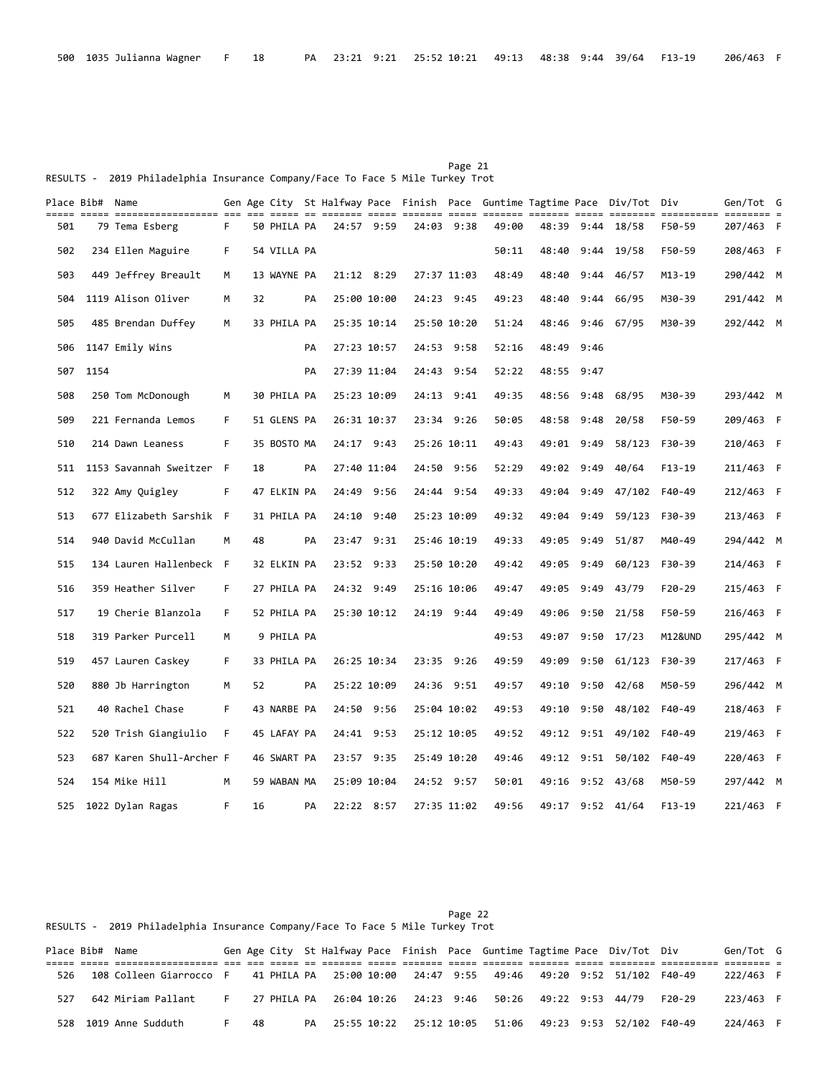Page 21 RESULTS - 2019 Philadelphia Insurance Company/Face To Face 5 Mile Turkey Trot

| ===== | Place Bib# Name |                          |     |    |             |    |             |             |             |             |       |       |            | Gen Age City  St Halfway Pace  Finish  Pace  Guntime Tagtime Pace  Div/Tot  Div | ========== ======== = | Gen/Tot G |  |
|-------|-----------------|--------------------------|-----|----|-------------|----|-------------|-------------|-------------|-------------|-------|-------|------------|---------------------------------------------------------------------------------|-----------------------|-----------|--|
| 501   |                 | 79 Tema Esberg           | F.  |    | 50 PHILA PA |    | 24:57 9:59  |             |             | 24:03 9:38  | 49:00 |       | 48:39 9:44 | 18/58                                                                           | F50-59                | 207/463 F |  |
| 502   |                 | 234 Ellen Maguire        | F.  |    | 54 VILLA PA |    |             |             |             |             | 50:11 | 48:40 | 9:44       | 19/58                                                                           | F50-59                | 208/463 F |  |
| 503   |                 | 449 Jeffrey Breault      | M   |    | 13 WAYNE PA |    | 21:12 8:29  |             |             | 27:37 11:03 | 48:49 | 48:40 |            | $9:44$ 46/57                                                                    | M13-19                | 290/442 M |  |
| 504   |                 | 1119 Alison Oliver       | м   | 32 |             | PA | 25:00 10:00 |             |             | 24:23 9:45  | 49:23 | 48:40 | 9:44       | 66/95                                                                           | M30-39                | 291/442 M |  |
| 505   |                 | 485 Brendan Duffey       | M   |    | 33 PHILA PA |    | 25:35 10:14 |             |             | 25:50 10:20 | 51:24 |       |            | 48:46 9:46 67/95                                                                | M30-39                | 292/442 M |  |
| 506   |                 | 1147 Emily Wins          |     |    |             | PA | 27:23 10:57 |             |             | 24:53 9:58  | 52:16 |       | 48:49 9:46 |                                                                                 |                       |           |  |
| 507   | 1154            |                          |     |    |             | PA | 27:39 11:04 |             |             | 24:43 9:54  | 52:22 |       | 48:55 9:47 |                                                                                 |                       |           |  |
| 508   |                 | 250 Tom McDonough        | М   |    | 30 PHILA PA |    | 25:23 10:09 |             | 24:13 9:41  |             | 49:35 | 48:56 | 9:48       | 68/95                                                                           | M30-39                | 293/442 M |  |
| 509   |                 | 221 Fernanda Lemos       | F.  |    | 51 GLENS PA |    | 26:31 10:37 |             |             | 23:34 9:26  | 50:05 | 48:58 | 9:48       | 20/58                                                                           | F50-59                | 209/463 F |  |
| 510   |                 | 214 Dawn Leaness         | F.  |    | 35 BOSTO MA |    | 24:17 9:43  |             |             | 25:26 10:11 | 49:43 |       | 49:01 9:49 | 58/123                                                                          | F30-39                | 210/463 F |  |
| 511   |                 | 1153 Savannah Sweitzer   | - F | 18 |             | PA | 27:40 11:04 |             |             | 24:50 9:56  | 52:29 |       | 49:02 9:49 | 40/64                                                                           | $F13-19$              | 211/463 F |  |
| 512   |                 | 322 Amy Quigley          | F.  |    | 47 ELKIN PA |    | 24:49 9:56  |             |             | 24:44 9:54  | 49:33 | 49:04 |            | $9:49$ $47/102$                                                                 | F40-49                | 212/463 F |  |
| 513   |                 | 677 Elizabeth Sarshik F  |     |    | 31 PHILA PA |    | 24:10       | 9:40        | 25:23 10:09 |             | 49:32 | 49:04 | 9:49       | 59/123                                                                          | F30-39                | 213/463 F |  |
| 514   |                 | 940 David McCullan       | M   | 48 |             | PA | 23:47 9:31  |             |             | 25:46 10:19 | 49:33 |       | 49:05 9:49 | 51/87                                                                           | M40-49                | 294/442 M |  |
| 515   |                 | 134 Lauren Hallenbeck F  |     |    | 32 ELKIN PA |    | 23:52 9:33  |             | 25:50 10:20 |             | 49:42 | 49:05 | 9:49       | 60/123                                                                          | F30-39                | 214/463 F |  |
| 516   |                 | 359 Heather Silver       | F.  |    | 27 PHILA PA |    | 24:32 9:49  |             |             | 25:16 10:06 | 49:47 |       |            | 49:05 9:49 43/79                                                                | $F20-29$              | 215/463 F |  |
| 517   |                 | 19 Cherie Blanzola       | F.  |    | 52 PHILA PA |    |             | 25:30 10:12 |             | 24:19 9:44  | 49:49 | 49:06 |            | $9:50$ 21/58                                                                    | F50-59                | 216/463 F |  |
| 518   |                 | 319 Parker Purcell       | М   |    | 9 PHILA PA  |    |             |             |             |             | 49:53 | 49:07 |            | $9:50$ $17/23$                                                                  | M12&UND               | 295/442 M |  |
| 519   |                 | 457 Lauren Caskey        | F.  |    | 33 PHILA PA |    | 26:25 10:34 |             |             | 23:35 9:26  | 49:59 | 49:09 | 9:50       | 61/123                                                                          | F30-39                | 217/463 F |  |
| 520   |                 | 880 Jb Harrington        | М   | 52 |             | PA | 25:22 10:09 |             |             | 24:36 9:51  | 49:57 | 49:10 |            | $9:50$ $42/68$                                                                  | M50-59                | 296/442 M |  |
| 521   |                 | 40 Rachel Chase          | F.  |    | 43 NARBE PA |    | 24:50 9:56  |             |             | 25:04 10:02 | 49:53 | 49:10 |            | $9:50$ $48/102$                                                                 | F40-49                | 218/463 F |  |
| 522   |                 | 520 Trish Giangiulio     | F.  |    | 45 LAFAY PA |    | 24:41 9:53  |             |             | 25:12 10:05 | 49:52 | 49:12 |            | 9:51 49/102                                                                     | F40-49                | 219/463 F |  |
| 523   |                 | 687 Karen Shull-Archer F |     |    | 46 SWART PA |    | 23:57 9:35  |             |             | 25:49 10:20 | 49:46 |       |            | 49:12 9:51 50/102                                                               | F40-49                | 220/463 F |  |
| 524   |                 | 154 Mike Hill            | м   |    | 59 WABAN MA |    | 25:09 10:04 |             |             | 24:52 9:57  | 50:01 | 49:16 |            | 9:52 43/68                                                                      | M50-59                | 297/442 M |  |
| 525   |                 | 1022 Dylan Ragas         | F   | 16 |             | PA |             | 22:22 8:57  |             | 27:35 11:02 | 49:56 |       |            | 49:17 9:52 41/64                                                                | $F13-19$              | 221/463 F |  |

|                                                                               |  |  | Page 22 |  |
|-------------------------------------------------------------------------------|--|--|---------|--|
| RESULTS - 2019 Philadelphia Insurance Company/Face To Face 5 Mile Turkey Trot |  |  |         |  |

| Place Bib# Name |                         |    |     |  |  |  |  | Gen Age City St Halfway Pace Finish Pace Guntime Tagtime Pace Div/Tot Div             |          | Gen/Tot G |  |
|-----------------|-------------------------|----|-----|--|--|--|--|---------------------------------------------------------------------------------------|----------|-----------|--|
|                 |                         |    |     |  |  |  |  |                                                                                       |          |           |  |
| 526             | 108 Colleen Giarrocco F |    |     |  |  |  |  | 41 PHILA PA    25:00 10:00    24:47   9:55    49:46    49:20   9:52   51/102   F40-49 |          | 222/463 F |  |
| 527             | 642 Miriam Pallant      | E. |     |  |  |  |  |                                                                                       | $F20-29$ | 223/463 F |  |
|                 | 528 1019 Anne Sudduth   | F. | -48 |  |  |  |  | PA 25:55 10:22 25:12 10:05 51:06 49:23 9:53 52/102 F40-49                             |          | 224/463 F |  |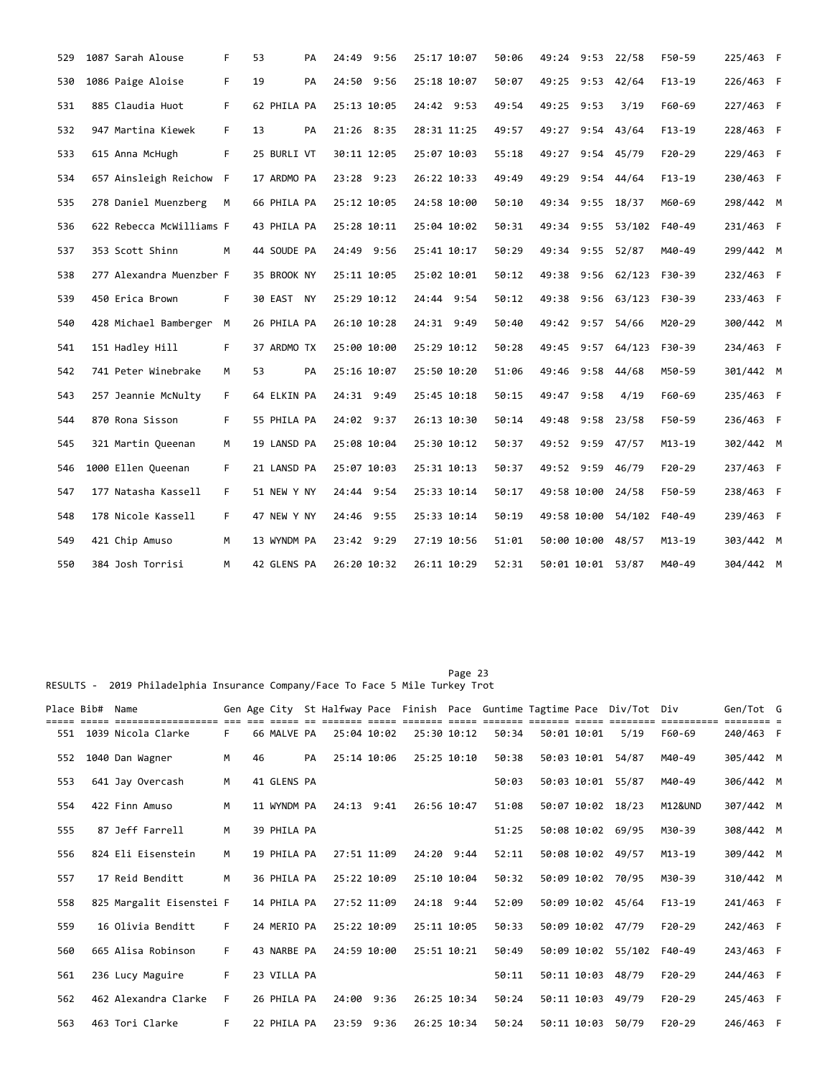| 529 | 1087 Sarah Alouse        | F  | 53          | PA | 24:49 9:56  | 25:17 10:07 | 50:06 | 49:24 9:53 22/58  |      |                   | F50-59   | 225/463 F |  |
|-----|--------------------------|----|-------------|----|-------------|-------------|-------|-------------------|------|-------------------|----------|-----------|--|
| 530 | 1086 Paige Aloise        | F  | 19          | PA | 24:50 9:56  | 25:18 10:07 | 50:07 | 49:25 9:53 42/64  |      |                   | $F13-19$ | 226/463 F |  |
| 531 | 885 Claudia Huot         | F. | 62 PHILA PA |    | 25:13 10:05 | 24:42 9:53  | 49:54 | 49:25 9:53        |      | 3/19              | F60-69   | 227/463 F |  |
| 532 | 947 Martina Kiewek       | F. | 13          | PA | 21:26 8:35  | 28:31 11:25 | 49:57 | 49:27 9:54 43/64  |      |                   | $F13-19$ | 228/463 F |  |
| 533 | 615 Anna McHugh          | F. | 25 BURLI VT |    | 30:11 12:05 | 25:07 10:03 | 55:18 | 49:27 9:54 45/79  |      |                   | F20-29   | 229/463 F |  |
| 534 | 657 Ainsleigh Reichow F  |    | 17 ARDMO PA |    | 23:28 9:23  | 26:22 10:33 | 49:49 | 49:29             |      | $9:54$ 44/64      | $F13-19$ | 230/463 F |  |
| 535 | 278 Daniel Muenzberg     | M  | 66 PHILA PA |    | 25:12 10:05 | 24:58 10:00 | 50:10 | 49:34 9:55 18/37  |      |                   | M60-69   | 298/442 M |  |
| 536 | 622 Rebecca McWilliams F |    | 43 PHILA PA |    | 25:28 10:11 | 25:04 10:02 | 50:31 |                   |      | 49:34 9:55 53/102 | F40-49   | 231/463 F |  |
| 537 | 353 Scott Shinn          | м  | 44 SOUDE PA |    | 24:49 9:56  | 25:41 10:17 | 50:29 | 49:34 9:55 52/87  |      |                   | M40-49   | 299/442 M |  |
| 538 | 277 Alexandra Muenzber F |    | 35 BROOK NY |    | 25:11 10:05 | 25:02 10:01 | 50:12 |                   |      | 49:38 9:56 62/123 | F30-39   | 232/463 F |  |
| 539 | 450 Erica Brown          | F  | 30 EAST NY  |    | 25:29 10:12 | 24:44 9:54  | 50:12 |                   |      | 49:38 9:56 63/123 | F30-39   | 233/463 F |  |
| 540 | 428 Michael Bamberger    | M  | 26 PHILA PA |    | 26:10 10:28 | 24:31 9:49  | 50:40 | 49:42 9:57 54/66  |      |                   | M20-29   | 300/442 M |  |
| 541 | 151 Hadley Hill          | F. | 37 ARDMO TX |    | 25:00 10:00 | 25:29 10:12 | 50:28 | 49:45             |      | $9:57$ 64/123     | F30-39   | 234/463 F |  |
| 542 | 741 Peter Winebrake      | М  | 53          | PA | 25:16 10:07 | 25:50 10:20 | 51:06 | 49:46             |      | $9:58$ 44/68      | M50-59   | 301/442 M |  |
| 543 | 257 Jeannie McNulty      | F. | 64 ELKIN PA |    | 24:31 9:49  | 25:45 10:18 | 50:15 | 49:47             | 9:58 | 4/19              | F60-69   | 235/463 F |  |
| 544 | 870 Rona Sisson          | F. | 55 PHILA PA |    | 24:02 9:37  | 26:13 10:30 | 50:14 | 49:48             |      | $9:58$ 23/58      | F50-59   | 236/463 F |  |
| 545 | 321 Martin Queenan       | М  | 19 LANSD PA |    | 25:08 10:04 | 25:30 10:12 | 50:37 | 49:52 9:59        |      | 47/57             | M13-19   | 302/442 M |  |
| 546 | 1000 Ellen Queenan       | F. | 21 LANSD PA |    | 25:07 10:03 | 25:31 10:13 | 50:37 | 49:52 9:59 46/79  |      |                   | $F20-29$ | 237/463 F |  |
| 547 | 177 Natasha Kassell      | F. | 51 NEW Y NY |    | 24:44 9:54  | 25:33 10:14 | 50:17 | 49:58 10:00 24/58 |      |                   | F50-59   | 238/463 F |  |
| 548 | 178 Nicole Kassell       | F. | 47 NEW Y NY |    | 24:46 9:55  | 25:33 10:14 | 50:19 | 49:58 10:00       |      | 54/102            | F40-49   | 239/463 F |  |
| 549 | 421 Chip Amuso           | М  | 13 WYNDM PA |    | 23:42 9:29  | 27:19 10:56 | 51:01 | 50:00 10:00 48/57 |      |                   | M13-19   | 303/442 M |  |
| 550 | 384 Josh Torrisi         | м  | 42 GLENS PA |    | 26:20 10:32 | 26:11 10:29 | 52:31 | 50:01 10:01 53/87 |      |                   | M40-49   | 304/442 M |  |

RESULTS - 2019 Philadelphia Insurance Company/Face To Face 5 Mile Turkey Trot

| Place Bib# | Name                     |    |    |             |    |             |            |             | Gen Age City St Halfway Pace Finish Pace Guntime Tagtime Pace |             |             | Div/Tot Div        | ======             | Gen/Tot G |  |
|------------|--------------------------|----|----|-------------|----|-------------|------------|-------------|---------------------------------------------------------------|-------------|-------------|--------------------|--------------------|-----------|--|
| 551        | 1039 Nicola Clarke       | F. |    | 66 MALVE PA |    | 25:04 10:02 |            | 25:30 10:12 | 50:34                                                         | 50:01 10:01 |             | 5/19               | F60-69             | 240/463 F |  |
| 552        | 1040 Dan Wagner          | M  | 46 |             | PA | 25:14 10:06 |            | 25:25 10:10 | 50:38                                                         |             |             | 50:03 10:01 54/87  | M40-49             | 305/442 M |  |
| 553        | 641 Jay Overcash         | M  |    | 41 GLENS PA |    |             |            |             | 50:03                                                         |             | 50:03 10:01 | 55/87              | M40-49             | 306/442 M |  |
| 554        | 422 Finn Amuso           | M  |    | 11 WYNDM PA |    |             | 24:13 9:41 | 26:56 10:47 | 51:08                                                         |             |             | 50:07 10:02 18/23  | <b>M12&amp;UND</b> | 307/442 M |  |
| 555        | 87 Jeff Farrell          | M  |    | 39 PHILA PA |    |             |            |             | 51:25                                                         |             |             | 50:08 10:02 69/95  | M30-39             | 308/442 M |  |
| 556        | 824 Eli Eisenstein       | M  |    | 19 PHILA PA |    | 27:51 11:09 |            | 24:20 9:44  | 52:11                                                         |             |             | 50:08 10:02 49/57  | $M13 - 19$         | 309/442 M |  |
| 557        | 17 Reid Benditt          | M  |    | 36 PHILA PA |    | 25:22 10:09 |            | 25:10 10:04 | 50:32                                                         |             |             | 50:09 10:02 70/95  | M30-39             | 310/442 M |  |
| 558        | 825 Margalit Eisenstei F |    |    | 14 PHILA PA |    | 27:52 11:09 |            | 24:18 9:44  | 52:09                                                         |             |             | 50:09 10:02 45/64  | $F13-19$           | 241/463 F |  |
| 559        | 16 Olivia Benditt        | F. |    | 24 MERIO PA |    | 25:22 10:09 |            | 25:11 10:05 | 50:33                                                         |             |             | 50:09 10:02 47/79  | $F20-29$           | 242/463 F |  |
| 560        | 665 Alisa Robinson       | F. |    | 43 NARBE PA |    | 24:59 10:00 |            | 25:51 10:21 | 50:49                                                         |             |             | 50:09 10:02 55/102 | F40-49             | 243/463 F |  |
| 561        | 236 Lucy Maguire         | F. |    | 23 VILLA PA |    |             |            |             | 50:11                                                         |             | 50:11 10:03 | 48/79              | $F20-29$           | 244/463 F |  |
| 562        | 462 Alexandra Clarke     | F. |    | 26 PHILA PA |    | 24:00 9:36  |            | 26:25 10:34 | 50:24                                                         |             | 50:11 10:03 | 49/79              | $F20-29$           | 245/463 F |  |
| 563        | 463 Tori Clarke          | F. |    | 22 PHILA PA |    | 23:59 9:36  |            | 26:25 10:34 | 50:24                                                         |             | 50:11 10:03 | 50/79              | $F20-29$           | 246/463 F |  |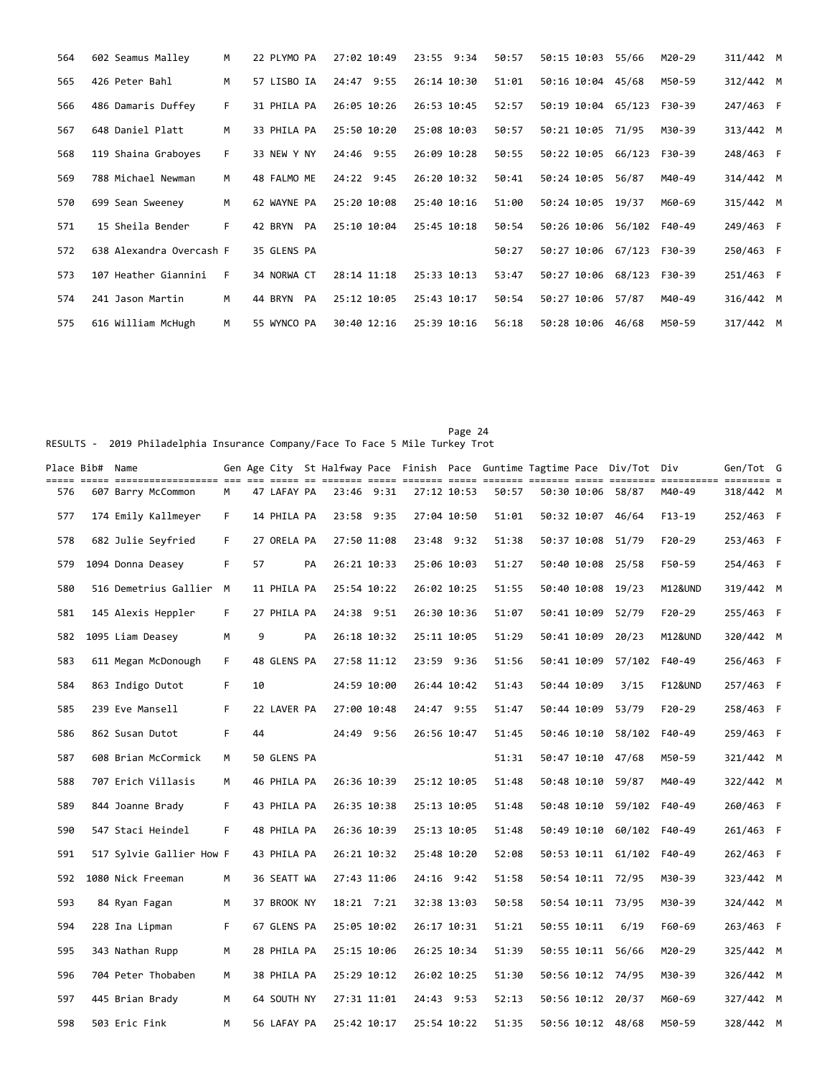| 564 | 602 Seamus Malley        | M  | 22 PLYMO PA   | 27:02 10:49 | 23:55 9:34  | 50:57 | 50:15 10:03        | 55/66  | M20-29 | 311/442 M |  |
|-----|--------------------------|----|---------------|-------------|-------------|-------|--------------------|--------|--------|-----------|--|
| 565 | 426 Peter Bahl           | M  | 57 LISBO IA   | 24:47 9:55  | 26:14 10:30 | 51:01 | 50:16 10:04        | 45/68  | M50-59 | 312/442 M |  |
| 566 | 486 Damaris Duffey       | F. | 31 PHILA PA   | 26:05 10:26 | 26:53 10:45 | 52:57 | 50:19 10:04        | 65/123 | F30-39 | 247/463 F |  |
| 567 | 648 Daniel Platt         | M  | 33 PHILA PA   | 25:50 10:20 | 25:08 10:03 | 50:57 | 50:21 10:05        | 71/95  | M30-39 | 313/442 M |  |
| 568 | 119 Shaina Graboyes      | F. | 33 NEW Y NY   | 24:46 9:55  | 26:09 10:28 | 50:55 | 50:22 10:05        | 66/123 | F30-39 | 248/463 F |  |
| 569 | 788 Michael Newman       | м  | 48 FALMO ME   | 24:22 9:45  | 26:20 10:32 | 50:41 | 50:24 10:05        | 56/87  | M40-49 | 314/442 M |  |
| 570 | 699 Sean Sweeney         | M  | 62 WAYNE PA   | 25:20 10:08 | 25:40 10:16 | 51:00 | 50:24 10:05        | 19/37  | M60-69 | 315/442 M |  |
| 571 | 15 Sheila Bender         | F  | 42 BRYN<br>PA | 25:10 10:04 | 25:45 10:18 | 50:54 | 50:26 10:06        | 56/102 | F40-49 | 249/463 F |  |
| 572 | 638 Alexandra Overcash F |    | 35 GLENS PA   |             |             | 50:27 | 50:27 10:06 67/123 |        | F30-39 | 250/463 F |  |
| 573 | 107 Heather Giannini     | F  | 34 NORWA CT   | 28:14 11:18 | 25:33 10:13 | 53:47 | 50:27 10:06        | 68/123 | F30-39 | 251/463 F |  |
| 574 | 241 Jason Martin         | M  | 44 BRYN<br>PA | 25:12 10:05 | 25:43 10:17 | 50:54 | 50:27 10:06        | 57/87  | M40-49 | 316/442 M |  |
| 575 | 616 William McHugh       | M  | 55 WYNCO PA   | 30:40 12:16 | 25:39 10:16 | 56:18 | 50:28 10:06        | 46/68  | M50-59 | 317/442 M |  |

Page 24 RESULTS - 2019 Philadelphia Insurance Company/Face To Face 5 Mile Turkey Trot

| Place Bib#  Name |                          |    |    |             |    |              |             |             |       |             | Gen Age City St Halfway Pace Finish Pace Guntime Tagtime Pace Div/Tot Div |                    | Gen/Tot G |  |
|------------------|--------------------------|----|----|-------------|----|--------------|-------------|-------------|-------|-------------|---------------------------------------------------------------------------|--------------------|-----------|--|
| 576              | 607 Barry McCommon       | M  |    | 47 LAFAY PA |    | 23:46 9:31   |             | 27:12 10:53 | 50:57 |             | 50:30 10:06 58/87                                                         | M40-49             | 318/442 M |  |
| 577              | 174 Emily Kallmeyer      | F. |    | 14 PHILA PA |    | 23:58 9:35   |             | 27:04 10:50 | 51:01 |             | 50:32 10:07 46/64                                                         | $F13-19$           | 252/463 F |  |
| 578              | 682 Julie Seyfried       | F. |    | 27 ORELA PA |    | 27:50 11:08  |             | 23:48 9:32  | 51:38 |             | 50:37 10:08 51/79                                                         | $F20-29$           | 253/463 F |  |
| 579              | 1094 Donna Deasey        | F  | 57 |             | PA | 26:21 10:33  |             | 25:06 10:03 | 51:27 |             | 50:40 10:08 25/58                                                         | F50-59             | 254/463 F |  |
| 580              | 516 Demetrius Gallier    | M  |    | 11 PHILA PA |    | 25:54 10:22  |             | 26:02 10:25 | 51:55 |             | 50:40 10:08 19/23                                                         | M12&UND            | 319/442 M |  |
| 581              | 145 Alexis Heppler       | F. |    | 27 PHILA PA |    | 24:38 9:51   |             | 26:30 10:36 | 51:07 | 50:41 10:09 | 52/79                                                                     | $F20-29$           | 255/463 F |  |
| 582              | 1095 Liam Deasey         | М  | 9  |             | PA | 26:18 10:32  |             | 25:11 10:05 | 51:29 |             | 50:41 10:09 20/23                                                         | M12&UND            | 320/442 M |  |
| 583              | 611 Megan McDonough      | F. |    | 48 GLENS PA |    | 27:58 11:12  |             | 23:59 9:36  | 51:56 | 50:41 10:09 | 57/102                                                                    | F40-49             | 256/463 F |  |
| 584              | 863 Indigo Dutot         | F. | 10 |             |    | 24:59 10:00  |             | 26:44 10:42 | 51:43 | 50:44 10:09 | 3/15                                                                      | <b>F12&amp;UND</b> | 257/463 F |  |
| 585              | 239 Eve Mansell          | F. |    | 22 LAVER PA |    | 27:00 10:48  | 24:47 9:55  |             | 51:47 | 50:44 10:09 | 53/79                                                                     | $F20-29$           | 258/463 F |  |
| 586              | 862 Susan Dutot          | F. | 44 |             |    | 24:49 9:56   |             | 26:56 10:47 | 51:45 | 50:46 10:10 | 58/102                                                                    | F40-49             | 259/463 F |  |
| 587              | 608 Brian McCormick      | M  |    | 50 GLENS PA |    |              |             |             | 51:31 |             | 50:47 10:10 47/68                                                         | M50-59             | 321/442 M |  |
| 588              | 707 Erich Villasis       | M  |    | 46 PHILA PA |    | 26:36 10:39  | 25:12 10:05 |             | 51:48 |             | 50:48 10:10 59/87                                                         | M40-49             | 322/442 M |  |
| 589              | 844 Joanne Brady         | F. |    | 43 PHILA PA |    | 26:35 10:38  |             | 25:13 10:05 | 51:48 |             | 50:48 10:10 59/102                                                        | F40-49             | 260/463 F |  |
| 590              | 547 Staci Heindel        | F. |    | 48 PHILA PA |    | 26:36 10:39  |             | 25:13 10:05 | 51:48 | 50:49 10:10 | 60/102                                                                    | F40-49             | 261/463 F |  |
| 591              | 517 Sylvie Gallier How F |    |    | 43 PHILA PA |    | 26:21 10:32  |             | 25:48 10:20 | 52:08 |             | 50:53 10:11 61/102                                                        | F40-49             | 262/463 F |  |
| 592              | 1080 Nick Freeman        | м  |    | 36 SEATT WA |    | 27:43 11:06  |             | 24:16 9:42  | 51:58 |             | 50:54 10:11 72/95                                                         | M30-39             | 323/442 M |  |
| 593              | 84 Ryan Fagan            | м  |    | 37 BROOK NY |    | $18:21$ 7:21 |             | 32:38 13:03 | 50:58 |             | 50:54 10:11 73/95                                                         | M30-39             | 324/442 M |  |
| 594              | 228 Ina Lipman           | F. |    | 67 GLENS PA |    | 25:05 10:02  |             | 26:17 10:31 | 51:21 | 50:55 10:11 | 6/19                                                                      | F60-69             | 263/463 F |  |
| 595              | 343 Nathan Rupp          | м  |    | 28 PHILA PA |    | 25:15 10:06  |             | 26:25 10:34 | 51:39 |             | 50:55 10:11 56/66                                                         | M20-29             | 325/442 M |  |
| 596              | 704 Peter Thobaben       | M  |    | 38 PHILA PA |    | 25:29 10:12  |             | 26:02 10:25 | 51:30 |             | 50:56 10:12 74/95                                                         | M30-39             | 326/442 M |  |
| 597              | 445 Brian Brady          | M  |    | 64 SOUTH NY |    | 27:31 11:01  |             | 24:43 9:53  | 52:13 |             | 50:56 10:12 20/37                                                         | M60-69             | 327/442 M |  |
| 598              | 503 Eric Fink            | M  |    | 56 LAFAY PA |    | 25:42 10:17  |             | 25:54 10:22 | 51:35 |             | 50:56 10:12 48/68                                                         | M50-59             | 328/442 M |  |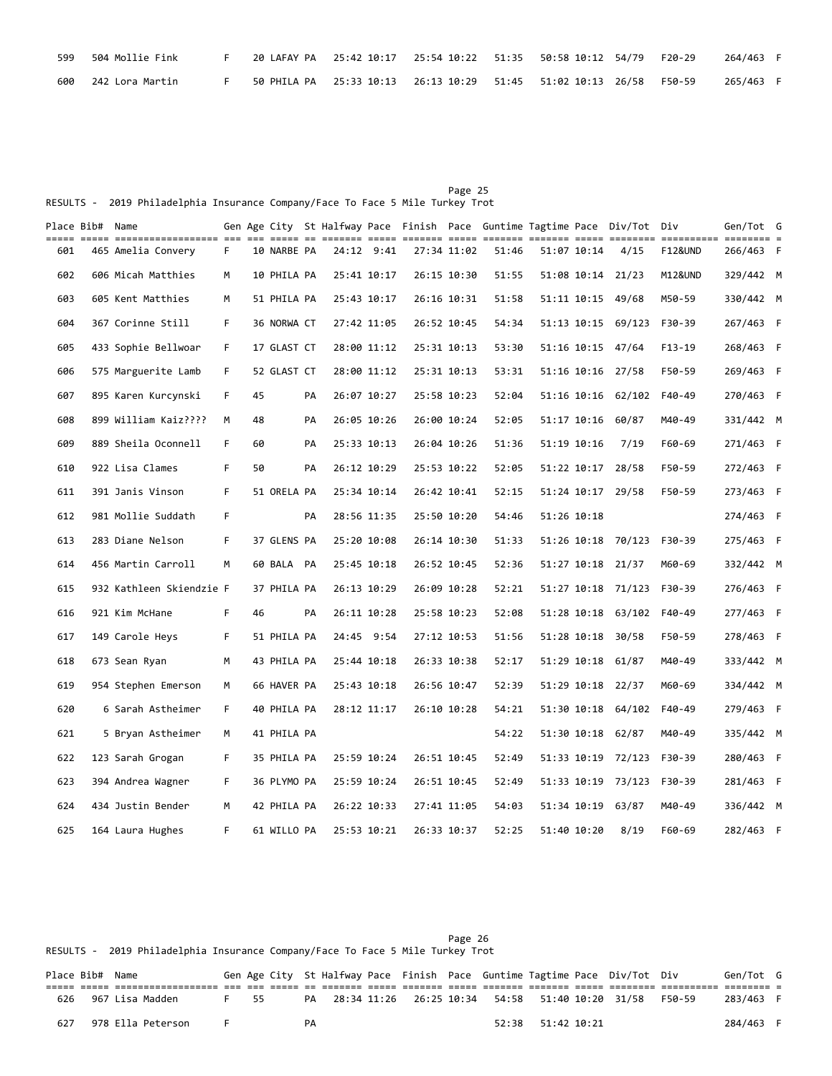| 599 | 504 Mollie Fink |  |  |  |  | 264/463 F |  |
|-----|-----------------|--|--|--|--|-----------|--|
| 600 | 242 Lora Martin |  |  |  |  | 265/463 F |  |

|                                                                               |  |  |  | Page 25 |  |
|-------------------------------------------------------------------------------|--|--|--|---------|--|
| RESULTS - 2019 Philadelphia Insurance Company/Face To Face 5 Mile Turkey Trot |  |  |  |         |  |

|     | Place Bib# Name |                          |    |    |             |    |             |             |             |             |       |             | Gen Age City St Halfway Pace Finish Pace Guntime Tagtime Pace Div/Tot Div |          | Gen/Tot G |  |
|-----|-----------------|--------------------------|----|----|-------------|----|-------------|-------------|-------------|-------------|-------|-------------|---------------------------------------------------------------------------|----------|-----------|--|
| 601 |                 | 465 Amelia Convery       | F. |    | 10 NARBE PA |    | 24:12 9:41  |             |             | 27:34 11:02 | 51:46 | 51:07 10:14 | 4/15                                                                      | F12&UND  | 266/463 F |  |
| 602 |                 | 606 Micah Matthies       | м  |    | 10 PHILA PA |    | 25:41 10:17 |             |             | 26:15 10:30 | 51:55 |             | 51:08 10:14 21/23                                                         | M12&UND  | 329/442 M |  |
| 603 |                 | 605 Kent Matthies        | M  |    | 51 PHILA PA |    |             | 25:43 10:17 |             | 26:16 10:31 | 51:58 |             | 51:11 10:15 49/68                                                         | M50-59   | 330/442 M |  |
| 604 |                 | 367 Corinne Still        | F. |    | 36 NORWA CT |    |             | 27:42 11:05 |             | 26:52 10:45 | 54:34 | 51:13 10:15 | 69/123                                                                    | F30-39   | 267/463 F |  |
| 605 |                 | 433 Sophie Bellwoar      | F. |    | 17 GLAST CT |    |             | 28:00 11:12 |             | 25:31 10:13 | 53:30 |             | 51:16 10:15 47/64                                                         | $F13-19$ | 268/463 F |  |
| 606 |                 | 575 Marguerite Lamb      | F. |    | 52 GLAST CT |    |             | 28:00 11:12 |             | 25:31 10:13 | 53:31 |             | 51:16 10:16 27/58                                                         | F50-59   | 269/463 F |  |
| 607 |                 | 895 Karen Kurcynski      | F. | 45 |             | PA |             | 26:07 10:27 |             | 25:58 10:23 | 52:04 |             | 51:16 10:16 62/102                                                        | F40-49   | 270/463 F |  |
| 608 |                 | 899 William Kaiz????     | M  | 48 |             | PA |             | 26:05 10:26 |             | 26:00 10:24 | 52:05 |             | 51:17 10:16 60/87                                                         | M40-49   | 331/442 M |  |
| 609 |                 | 889 Sheila Oconnell      | F. | 60 |             | PA |             | 25:33 10:13 |             | 26:04 10:26 | 51:36 | 51:19 10:16 | 7/19                                                                      | F60-69   | 271/463 F |  |
| 610 |                 | 922 Lisa Clames          | F. | 50 |             | PA |             | 26:12 10:29 |             | 25:53 10:22 | 52:05 |             | 51:22 10:17 28/58                                                         | F50-59   | 272/463 F |  |
| 611 |                 | 391 Janis Vinson         | F. |    | 51 ORELA PA |    |             | 25:34 10:14 | 26:42 10:41 |             | 52:15 |             | 51:24 10:17 29/58                                                         | F50-59   | 273/463 F |  |
| 612 |                 | 981 Mollie Suddath       | F. |    |             | PA |             | 28:56 11:35 |             | 25:50 10:20 | 54:46 | 51:26 10:18 |                                                                           |          | 274/463 F |  |
| 613 |                 | 283 Diane Nelson         | F. |    | 37 GLENS PA |    |             | 25:20 10:08 |             | 26:14 10:30 | 51:33 |             | 51:26 10:18 70/123                                                        | F30-39   | 275/463 F |  |
| 614 |                 | 456 Martin Carroll       | M  |    | 60 BALA PA  |    |             | 25:45 10:18 |             | 26:52 10:45 | 52:36 |             | 51:27 10:18 21/37                                                         | M60-69   | 332/442 M |  |
| 615 |                 | 932 Kathleen Skiendzie F |    |    | 37 PHILA PA |    |             | 26:13 10:29 |             | 26:09 10:28 | 52:21 |             | 51:27 10:18 71/123                                                        | F30-39   | 276/463 F |  |
| 616 |                 | 921 Kim McHane           | F. | 46 |             | PA |             | 26:11 10:28 |             | 25:58 10:23 | 52:08 |             | 51:28 10:18 63/102                                                        | F40-49   | 277/463 F |  |
| 617 |                 | 149 Carole Heys          | F. |    | 51 PHILA PA |    |             | 24:45 9:54  |             | 27:12 10:53 | 51:56 |             | 51:28 10:18 30/58                                                         | F50-59   | 278/463 F |  |
| 618 |                 | 673 Sean Ryan            | M  |    | 43 PHILA PA |    |             | 25:44 10:18 |             | 26:33 10:38 | 52:17 |             | 51:29 10:18 61/87                                                         | M40-49   | 333/442 M |  |
| 619 |                 | 954 Stephen Emerson      | м  |    | 66 HAVER PA |    |             | 25:43 10:18 |             | 26:56 10:47 | 52:39 |             | 51:29 10:18 22/37                                                         | M60-69   | 334/442 M |  |
| 620 |                 | 6 Sarah Astheimer        | F. |    | 40 PHILA PA |    |             | 28:12 11:17 |             | 26:10 10:28 | 54:21 |             | 51:30 10:18 64/102                                                        | F40-49   | 279/463 F |  |
| 621 |                 | 5 Bryan Astheimer        | M  |    | 41 PHILA PA |    |             |             |             |             | 54:22 |             | 51:30 10:18 62/87                                                         | M40-49   | 335/442 M |  |
| 622 |                 | 123 Sarah Grogan         | F. |    | 35 PHILA PA |    |             | 25:59 10:24 |             | 26:51 10:45 | 52:49 |             | 51:33 10:19 72/123                                                        | F30-39   | 280/463 F |  |
| 623 |                 | 394 Andrea Wagner        | F. |    | 36 PLYMO PA |    |             | 25:59 10:24 |             | 26:51 10:45 | 52:49 |             | 51:33 10:19 73/123                                                        | F30-39   | 281/463 F |  |
| 624 |                 | 434 Justin Bender        | М  |    | 42 PHILA PA |    | 26:22 10:33 |             |             | 27:41 11:05 | 54:03 |             | 51:34 10:19 63/87                                                         | M40-49   | 336/442 M |  |
| 625 |                 | 164 Laura Hughes         | F. |    | 61 WILLO PA |    |             | 25:53 10:21 |             | 26:33 10:37 | 52:25 | 51:40 10:20 | 8/19                                                                      | F60-69   | 282/463 F |  |

Page 26 RESULTS - 2019 Philadelphia Insurance Company/Face To Face 5 Mile Turkey Trot

| Place Bib# Name |                   |      |  |    |  |  |                   | Gen Age City St Halfway Pace Finish Pace Guntime Tagtime Pace Div/Tot Div |        | Gen/Tot G |  |
|-----------------|-------------------|------|--|----|--|--|-------------------|---------------------------------------------------------------------------|--------|-----------|--|
|                 |                   |      |  |    |  |  |                   |                                                                           |        |           |  |
| 626             | 967 Lisa Madden   | F 55 |  |    |  |  |                   | PA 28:34 11:26  26:25  10:34  54:58  51:40  10:20  31/58                  | F50-59 | 283/463 F |  |
| 627             | 978 Ella Peterson |      |  | PA |  |  | 52:38 51:42 10:21 |                                                                           |        | 284/463 F |  |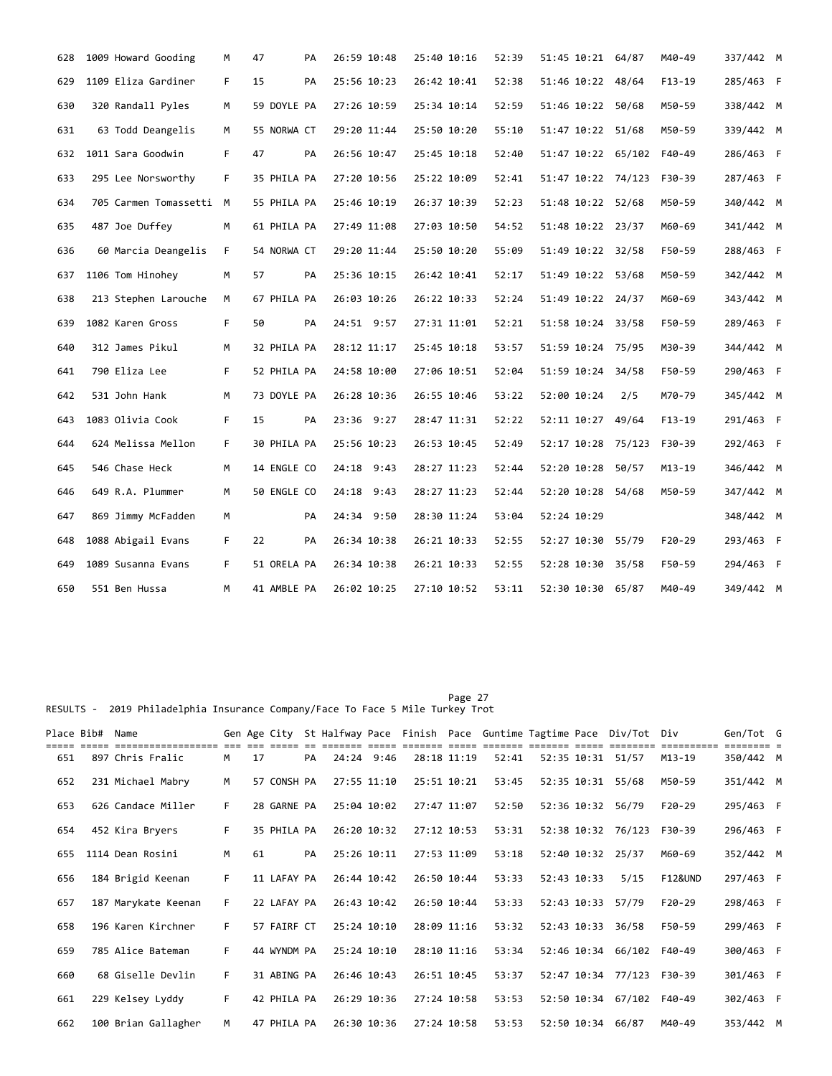| 628 | 1009 Howard Gooding     | м  | 47          | PA | 26:59 10:48 | 25:40 10:16 | 52:39 | 51:45 10:21 64/87  |     | M40-49   | 337/442 M |  |
|-----|-------------------------|----|-------------|----|-------------|-------------|-------|--------------------|-----|----------|-----------|--|
| 629 | 1109 Eliza Gardiner     | F  | 15          | PA | 25:56 10:23 | 26:42 10:41 | 52:38 | 51:46 10:22 48/64  |     | $F13-19$ | 285/463 F |  |
| 630 | 320 Randall Pyles       | M  | 59 DOYLE PA |    | 27:26 10:59 | 25:34 10:14 | 52:59 | 51:46 10:22 50/68  |     | M50-59   | 338/442 M |  |
| 631 | 63 Todd Deangelis       | M  | 55 NORWA CT |    | 29:20 11:44 | 25:50 10:20 | 55:10 | 51:47 10:22 51/68  |     | M50-59   | 339/442 M |  |
| 632 | 1011 Sara Goodwin       | F. | 47          | PA | 26:56 10:47 | 25:45 10:18 | 52:40 | 51:47 10:22 65/102 |     | F40-49   | 286/463 F |  |
| 633 | 295 Lee Norsworthy      | F. | 35 PHILA PA |    | 27:20 10:56 | 25:22 10:09 | 52:41 | 51:47 10:22 74/123 |     | F30-39   | 287/463 F |  |
| 634 | 705 Carmen Tomassetti M |    | 55 PHILA PA |    | 25:46 10:19 | 26:37 10:39 | 52:23 | 51:48 10:22 52/68  |     | M50-59   | 340/442 M |  |
| 635 | 487 Joe Duffey          | М  | 61 PHILA PA |    | 27:49 11:08 | 27:03 10:50 | 54:52 | 51:48 10:22 23/37  |     | M60-69   | 341/442 M |  |
| 636 | 60 Marcia Deangelis     | F. | 54 NORWA CT |    | 29:20 11:44 | 25:50 10:20 | 55:09 | 51:49 10:22 32/58  |     | F50-59   | 288/463 F |  |
| 637 | 1106 Tom Hinohey        | м  | 57          | PA | 25:36 10:15 | 26:42 10:41 | 52:17 | 51:49 10:22 53/68  |     | M50-59   | 342/442 M |  |
| 638 | 213 Stephen Larouche    | M  | 67 PHILA PA |    | 26:03 10:26 | 26:22 10:33 | 52:24 | 51:49 10:22 24/37  |     | M60-69   | 343/442 M |  |
| 639 | 1082 Karen Gross        | F. | 50          | PA | 24:51 9:57  | 27:31 11:01 | 52:21 | 51:58 10:24 33/58  |     | F50-59   | 289/463 F |  |
| 640 | 312 James Pikul         | M  | 32 PHILA PA |    | 28:12 11:17 | 25:45 10:18 | 53:57 | 51:59 10:24 75/95  |     | M30-39   | 344/442 M |  |
| 641 | 790 Eliza Lee           | F. | 52 PHILA PA |    | 24:58 10:00 | 27:06 10:51 | 52:04 | 51:59 10:24 34/58  |     | F50-59   | 290/463 F |  |
| 642 | 531 John Hank           | M  | 73 DOYLE PA |    | 26:28 10:36 | 26:55 10:46 | 53:22 | 52:00 10:24        | 2/5 | M70-79   | 345/442 M |  |
| 643 | 1083 Olivia Cook        | F. | 15          | PA | 23:36 9:27  | 28:47 11:31 | 52:22 | 52:11 10:27 49/64  |     | $F13-19$ | 291/463 F |  |
| 644 | 624 Melissa Mellon      | F. | 30 PHILA PA |    | 25:56 10:23 | 26:53 10:45 | 52:49 | 52:17 10:28 75/123 |     | F30-39   | 292/463 F |  |
| 645 | 546 Chase Heck          | М  | 14 ENGLE CO |    | 24:18 9:43  | 28:27 11:23 | 52:44 | 52:20 10:28 50/57  |     | M13-19   | 346/442 M |  |
| 646 | 649 R.A. Plummer        | М  | 50 ENGLE CO |    | 24:18 9:43  | 28:27 11:23 | 52:44 | 52:20 10:28 54/68  |     | M50-59   | 347/442 M |  |
| 647 | 869 Jimmy McFadden      | М  |             | PA | 24:34 9:50  | 28:30 11:24 | 53:04 | 52:24 10:29        |     |          | 348/442 M |  |
| 648 | 1088 Abigail Evans      | F. | 22          | PA | 26:34 10:38 | 26:21 10:33 | 52:55 | 52:27 10:30 55/79  |     | $F20-29$ | 293/463 F |  |
| 649 | 1089 Susanna Evans      | F. | 51 ORELA PA |    | 26:34 10:38 | 26:21 10:33 | 52:55 | 52:28 10:30 35/58  |     | F50-59   | 294/463 F |  |
| 650 | 551 Ben Hussa           | M  | 41 AMBLE PA |    | 26:02 10:25 | 27:10 10:52 | 53:11 | 52:30 10:30 65/87  |     | M40-49   | 349/442 M |  |

RESULTS - 2019 Philadelphia Insurance Company/Face To Face 5 Mile Turkey Trot

|     | Place Bib# Name |                     |    |    |             |    |             |  |             |       |             | Gen Age City St Halfway Pace Finish Pace Guntime Tagtime Pace Div/Tot Div |                    | Gen/Tot G |  |
|-----|-----------------|---------------------|----|----|-------------|----|-------------|--|-------------|-------|-------------|---------------------------------------------------------------------------|--------------------|-----------|--|
| 651 |                 | 897 Chris Fralic    | M  | 17 |             | PA | 24:24 9:46  |  | 28:18 11:19 | 52:41 |             | 52:35 10:31 51/57                                                         | M13-19             | 350/442 M |  |
| 652 |                 | 231 Michael Mabry   | M  |    | 57 CONSH PA |    | 27:55 11:10 |  | 25:51 10:21 | 53:45 |             | 52:35 10:31 55/68                                                         | M50-59             | 351/442 M |  |
| 653 |                 | 626 Candace Miller  | F. |    | 28 GARNE PA |    | 25:04 10:02 |  | 27:47 11:07 | 52:50 |             | 52:36 10:32 56/79                                                         | $F20-29$           | 295/463 F |  |
| 654 |                 | 452 Kira Bryers     | F. |    | 35 PHILA PA |    | 26:20 10:32 |  | 27:12 10:53 | 53:31 |             | 52:38 10:32 76/123                                                        | F30-39             | 296/463 F |  |
| 655 |                 | 1114 Dean Rosini    | M  | 61 |             | PA | 25:26 10:11 |  | 27:53 11:09 | 53:18 |             | 52:40 10:32 25/37                                                         | M60-69             | 352/442 M |  |
| 656 |                 | 184 Brigid Keenan   | F. |    | 11 LAFAY PA |    | 26:44 10:42 |  | 26:50 10:44 | 53:33 | 52:43 10:33 | 5/15                                                                      | <b>F12&amp;UND</b> | 297/463 F |  |
| 657 |                 | 187 Marykate Keenan | F. |    | 22 LAFAY PA |    | 26:43 10:42 |  | 26:50 10:44 | 53:33 | 52:43 10:33 | 57/79                                                                     | $F20-29$           | 298/463 F |  |
| 658 |                 | 196 Karen Kirchner  | F. |    | 57 FAIRF CT |    | 25:24 10:10 |  | 28:09 11:16 | 53:32 | 52:43 10:33 | 36/58                                                                     | F50-59             | 299/463 F |  |
| 659 |                 | 785 Alice Bateman   | F  |    | 44 WYNDM PA |    | 25:24 10:10 |  | 28:10 11:16 | 53:34 |             | 52:46 10:34 66/102                                                        | F40-49             | 300/463 F |  |
| 660 |                 | 68 Giselle Devlin   | F. |    | 31 ABING PA |    | 26:46 10:43 |  | 26:51 10:45 | 53:37 |             | 52:47 10:34 77/123                                                        | F30-39             | 301/463 F |  |
| 661 |                 | 229 Kelsey Lyddy    | F. |    | 42 PHILA PA |    | 26:29 10:36 |  | 27:24 10:58 | 53:53 |             | 52:50 10:34 67/102                                                        | F40-49             | 302/463 F |  |
| 662 |                 | 100 Brian Gallagher | M  |    | 47 PHILA PA |    | 26:30 10:36 |  | 27:24 10:58 | 53:53 | 52:50 10:34 | 66/87                                                                     | M40-49             | 353/442 M |  |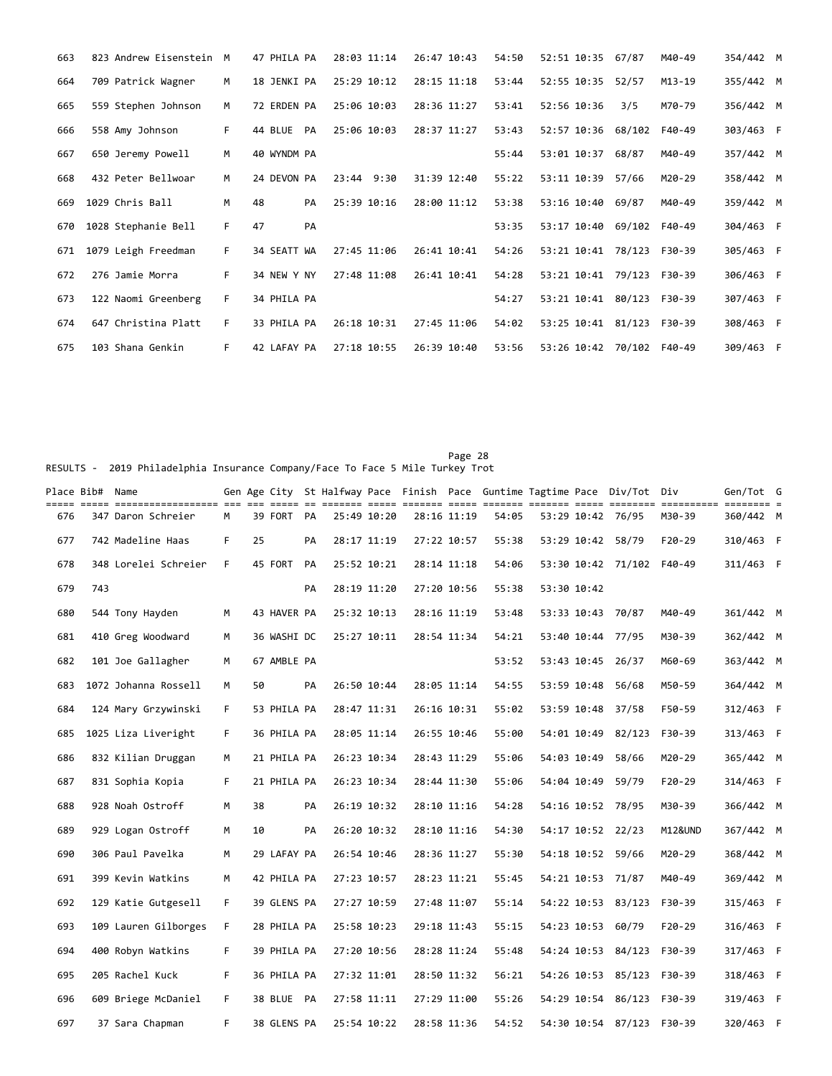| 663 | 823 Andrew Eisenstein M |    | 47 PHILA PA   | 28:03 11:14    | 26:47 10:43 | 54:50 | 52:51 10:35 67/87  |       | M40-49 | 354/442 M |  |
|-----|-------------------------|----|---------------|----------------|-------------|-------|--------------------|-------|--------|-----------|--|
| 664 | 709 Patrick Wagner      | M  | 18 JENKI PA   | 25:29 10:12    | 28:15 11:18 | 53:44 | 52:55 10:35 52/57  |       | M13-19 | 355/442 M |  |
| 665 | 559 Stephen Johnson     | M  | 72 ERDEN PA   | 25:06 10:03    | 28:36 11:27 | 53:41 | 52:56 10:36        | 3/5   | M70-79 | 356/442 M |  |
| 666 | 558 Amy Johnson         | F. | 44 BLUE<br>PA | 25:06 10:03    | 28:37 11:27 | 53:43 | 52:57 10:36 68/102 |       | F40-49 | 303/463 F |  |
| 667 | 650 Jeremy Powell       | M  | 40 WYNDM PA   |                |             | 55:44 | 53:01 10:37 68/87  |       | M40-49 | 357/442 M |  |
| 668 | 432 Peter Bellwoar      | M  | 24 DEVON PA   | $23:44$ $9:30$ | 31:39 12:40 | 55:22 | 53:11 10:39        | 57/66 | M20-29 | 358/442 M |  |
| 669 | 1029 Chris Ball         | M  | 48<br>PA      | 25:39 10:16    | 28:00 11:12 | 53:38 | 53:16 10:40        | 69/87 | M40-49 | 359/442 M |  |
| 670 | 1028 Stephanie Bell     | F. | 47<br>PA      |                |             | 53:35 | 53:17 10:40 69/102 |       | F40-49 | 304/463 F |  |
| 671 | 1079 Leigh Freedman     | F. | 34 SEATT WA   | 27:45 11:06    | 26:41 10:41 | 54:26 | 53:21 10:41 78/123 |       | F30-39 | 305/463 F |  |
| 672 | 276 Jamie Morra         | F  | 34 NEW Y NY   | 27:48 11:08    | 26:41 10:41 | 54:28 | 53:21 10:41 79/123 |       | F30-39 | 306/463 F |  |
| 673 | 122 Naomi Greenberg     | F. | 34 PHILA PA   |                |             | 54:27 | 53:21 10:41 80/123 |       | F30-39 | 307/463 F |  |
| 674 | 647 Christina Platt     | F  | 33 PHILA PA   | 26:18 10:31    | 27:45 11:06 | 54:02 | 53:25 10:41 81/123 |       | F30-39 | 308/463 F |  |
| 675 | 103 Shana Genkin        | F  | 42 LAFAY PA   | 27:18 10:55    | 26:39 10:40 | 53:56 | 53:26 10:42 70/102 |       | F40-49 | 309/463 F |  |

Page 28 and 20 and 20 and 20 and 20 and 20 and 20 and 20 and 20 and 20 and 20 and 20 and 20 and 20 and 20 and RESULTS - 2019 Philadelphia Insurance Company/Face To Face 5 Mile Turkey Trot

| Place Bib#  Name |     |                      |    |    |             |    |             |             |             |       |             | Gen Age City St Halfway Pace Finish Pace Guntime Tagtime Pace Div/Tot Div |          | Gen/Tot G |  |
|------------------|-----|----------------------|----|----|-------------|----|-------------|-------------|-------------|-------|-------------|---------------------------------------------------------------------------|----------|-----------|--|
| 676              |     | 347 Daron Schreier   | M  |    | 39 FORT PA  |    | 25:49 10:20 |             | 28:16 11:19 | 54:05 |             | 53:29 10:42 76/95                                                         | M30-39   | 360/442 M |  |
| 677              |     | 742 Madeline Haas    | F  | 25 |             | PA | 28:17 11:19 |             | 27:22 10:57 | 55:38 |             | 53:29 10:42 58/79                                                         | $F20-29$ | 310/463 F |  |
| 678              |     | 348 Lorelei Schreier | F. |    | 45 FORT     | PA | 25:52 10:21 |             | 28:14 11:18 | 54:06 |             | 53:30 10:42 71/102                                                        | F40-49   | 311/463 F |  |
| 679              | 743 |                      |    |    |             | PA | 28:19 11:20 |             | 27:20 10:56 | 55:38 | 53:30 10:42 |                                                                           |          |           |  |
| 680              |     | 544 Tony Hayden      | M  |    | 43 HAVER PA |    | 25:32 10:13 |             | 28:16 11:19 | 53:48 |             | 53:33 10:43 70/87                                                         | M40-49   | 361/442 M |  |
| 681              |     | 410 Greg Woodward    | M  |    | 36 WASHI DC |    |             | 25:27 10:11 | 28:54 11:34 | 54:21 |             | 53:40 10:44 77/95                                                         | M30-39   | 362/442 M |  |
| 682              |     | 101 Joe Gallagher    | M  |    | 67 AMBLE PA |    |             |             |             | 53:52 |             | 53:43 10:45 26/37                                                         | M60-69   | 363/442 M |  |
| 683              |     | 1072 Johanna Rossell | м  | 50 |             | PA | 26:50 10:44 |             | 28:05 11:14 | 54:55 |             | 53:59 10:48 56/68                                                         | M50-59   | 364/442 M |  |
| 684              |     | 124 Mary Grzywinski  | F. |    | 53 PHILA PA |    | 28:47 11:31 |             | 26:16 10:31 | 55:02 |             | 53:59 10:48 37/58                                                         | F50-59   | 312/463 F |  |
| 685              |     | 1025 Liza Liveright  | F. |    | 36 PHILA PA |    | 28:05 11:14 |             | 26:55 10:46 | 55:00 |             | 54:01 10:49 82/123                                                        | F30-39   | 313/463 F |  |
| 686              |     | 832 Kilian Druggan   | м  |    | 21 PHILA PA |    |             | 26:23 10:34 | 28:43 11:29 | 55:06 |             | 54:03 10:49 58/66                                                         | M20-29   | 365/442 M |  |
| 687              |     | 831 Sophia Kopia     | F. |    | 21 PHILA PA |    | 26:23 10:34 |             | 28:44 11:30 | 55:06 |             | 54:04 10:49 59/79                                                         | $F20-29$ | 314/463 F |  |
| 688              |     | 928 Noah Ostroff     | M  | 38 |             | PA | 26:19 10:32 |             | 28:10 11:16 | 54:28 |             | 54:16 10:52 78/95                                                         | M30-39   | 366/442 M |  |
| 689              |     | 929 Logan Ostroff    | М  | 10 |             | PA | 26:20 10:32 |             | 28:10 11:16 | 54:30 |             | 54:17 10:52 22/23                                                         | M12&UND  | 367/442 M |  |
| 690              |     | 306 Paul Pavelka     | M  |    | 29 LAFAY PA |    | 26:54 10:46 |             | 28:36 11:27 | 55:30 |             | 54:18 10:52 59/66                                                         | M20-29   | 368/442 M |  |
| 691              |     | 399 Kevin Watkins    | м  |    | 42 PHILA PA |    | 27:23 10:57 |             | 28:23 11:21 | 55:45 |             | 54:21 10:53 71/87                                                         | M40-49   | 369/442 M |  |
| 692              |     | 129 Katie Gutgesell  | F. |    | 39 GLENS PA |    | 27:27 10:59 |             | 27:48 11:07 | 55:14 |             | 54:22 10:53 83/123                                                        | F30-39   | 315/463 F |  |
| 693              |     | 109 Lauren Gilborges | F. |    | 28 PHILA PA |    | 25:58 10:23 |             | 29:18 11:43 | 55:15 |             | 54:23 10:53 60/79                                                         | $F20-29$ | 316/463 F |  |
| 694              |     | 400 Robyn Watkins    | F. |    | 39 PHILA PA |    | 27:20 10:56 |             | 28:28 11:24 | 55:48 |             | 54:24 10:53 84/123                                                        | F30-39   | 317/463 F |  |
| 695              |     | 205 Rachel Kuck      | F. |    | 36 PHILA PA |    | 27:32 11:01 |             | 28:50 11:32 | 56:21 |             | 54:26 10:53 85/123                                                        | F30-39   | 318/463 F |  |
| 696              |     | 609 Briege McDaniel  | F. |    | 38 BLUE PA  |    | 27:58 11:11 |             | 27:29 11:00 | 55:26 |             | 54:29 10:54 86/123                                                        | F30-39   | 319/463 F |  |
| 697              |     | 37 Sara Chapman      | F. |    | 38 GLENS PA |    | 25:54 10:22 |             | 28:58 11:36 | 54:52 |             | 54:30 10:54 87/123 F30-39                                                 |          | 320/463 F |  |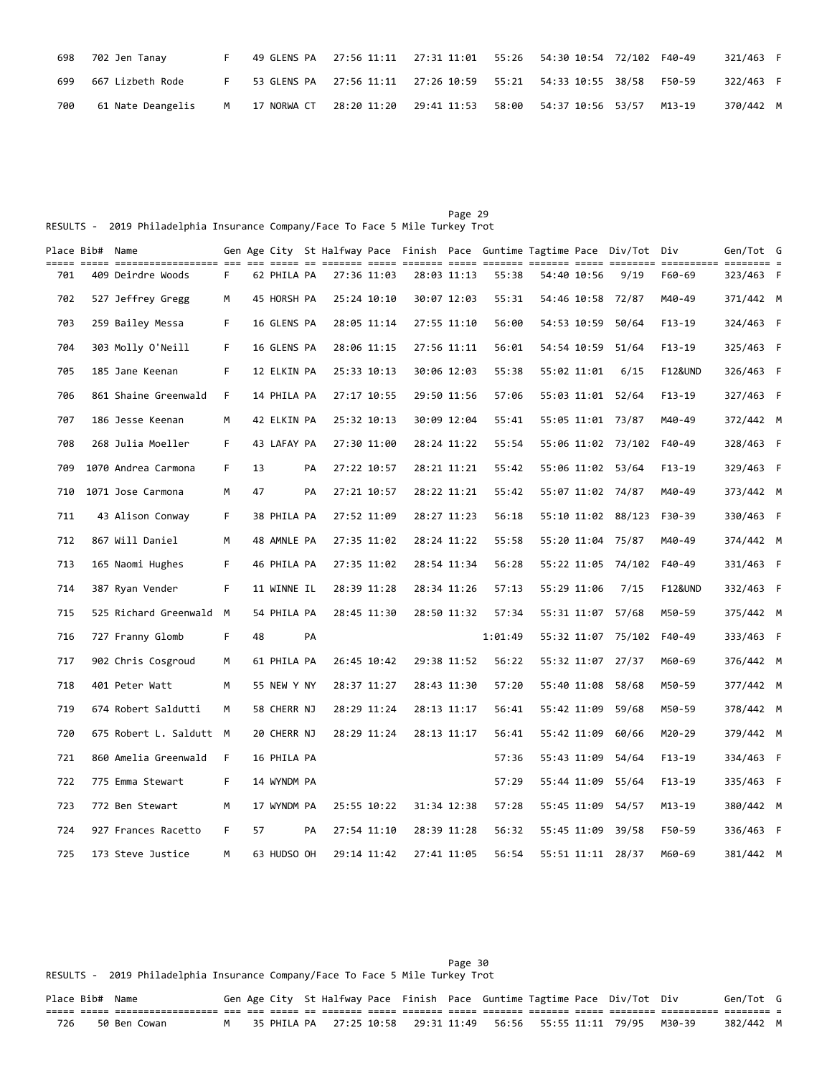| 698 | 702 Jen Tanay     |                                                               | 49 GLENS PA  27:56 11:11  27:31 11:01  55:26  54:30  10:54  72/102  F40-49 |  |        | 321/463 F |  |
|-----|-------------------|---------------------------------------------------------------|----------------------------------------------------------------------------|--|--------|-----------|--|
| 699 | 667 Lizbeth Rode  |                                                               |                                                                            |  | F50-59 | 322/463 F |  |
| 700 | 61 Nate Deangelis | M 17 NORWA CT 28:20 11:20 29:41 11:53 58:00 54:37 10:56 53/57 |                                                                            |  | M13-19 | 370/442 M |  |

Page 29 and the contract of the contract of the contract of the contract of the contract of the contract of the contract of the contract of the contract of the contract of the contract of the contract of the contract of th RESULTS - 2019 Philadelphia Insurance Company/Face To Face 5 Mile Turkey Trot

|     | Place Bib# Name |                         |    |    |             |    |             |             |             |             |         |             | Gen Age City St Halfway Pace Finish Pace Guntime Tagtime Pace Div/Tot Div |          | Gen/Tot G |  |
|-----|-----------------|-------------------------|----|----|-------------|----|-------------|-------------|-------------|-------------|---------|-------------|---------------------------------------------------------------------------|----------|-----------|--|
| 701 |                 | 409 Deirdre Woods       | F. |    | 62 PHILA PA |    | 27:36 11:03 |             | 28:03 11:13 |             | 55:38   | 54:40 10:56 | 9/19                                                                      | F60-69   | 323/463 F |  |
| 702 |                 | 527 Jeffrey Gregg       | M  |    | 45 HORSH PA |    | 25:24 10:10 |             |             | 30:07 12:03 | 55:31   | 54:46 10:58 | 72/87                                                                     | M40-49   | 371/442 M |  |
| 703 |                 | 259 Bailey Messa        | F. |    | 16 GLENS PA |    | 28:05 11:14 |             |             | 27:55 11:10 | 56:00   |             | 54:53 10:59 50/64                                                         | $F13-19$ | 324/463 F |  |
| 704 |                 | 303 Molly O'Neill       | F. |    | 16 GLENS PA |    | 28:06 11:15 |             |             | 27:56 11:11 | 56:01   |             | 54:54 10:59 51/64                                                         | $F13-19$ | 325/463 F |  |
| 705 |                 | 185 Jane Keenan         | F. |    | 12 ELKIN PA |    | 25:33 10:13 |             |             | 30:06 12:03 | 55:38   | 55:02 11:01 | 6/15                                                                      | F12&UND  | 326/463 F |  |
| 706 |                 | 861 Shaine Greenwald    | F. |    | 14 PHILA PA |    | 27:17 10:55 |             |             | 29:50 11:56 | 57:06   |             | 55:03 11:01 52/64                                                         | F13-19   | 327/463 F |  |
| 707 |                 | 186 Jesse Keenan        | M  |    | 42 ELKIN PA |    | 25:32 10:13 |             |             | 30:09 12:04 | 55:41   |             | 55:05 11:01 73/87                                                         | M40-49   | 372/442 M |  |
| 708 |                 | 268 Julia Moeller       | F. |    | 43 LAFAY PA |    | 27:30 11:00 |             |             | 28:24 11:22 | 55:54   |             | 55:06 11:02 73/102                                                        | F40-49   | 328/463 F |  |
| 709 |                 | 1070 Andrea Carmona     | F. | 13 |             | PA | 27:22 10:57 |             |             | 28:21 11:21 | 55:42   |             | 55:06 11:02 53/64                                                         | F13-19   | 329/463 F |  |
| 710 |                 | 1071 Jose Carmona       | м  | 47 |             | PA | 27:21 10:57 |             |             | 28:22 11:21 | 55:42   |             | 55:07 11:02 74/87                                                         | M40-49   | 373/442 M |  |
| 711 |                 | 43 Alison Conway        | F. |    | 38 PHILA PA |    | 27:52 11:09 |             |             | 28:27 11:23 | 56:18   |             | 55:10 11:02 88/123                                                        | F30-39   | 330/463 F |  |
| 712 |                 | 867 Will Daniel         | M  |    | 48 AMNLE PA |    | 27:35 11:02 |             |             | 28:24 11:22 | 55:58   |             | 55:20 11:04 75/87                                                         | M40-49   | 374/442 M |  |
| 713 |                 | 165 Naomi Hughes        | F. |    | 46 PHILA PA |    | 27:35 11:02 |             |             | 28:54 11:34 | 56:28   |             | 55:22 11:05 74/102                                                        | F40-49   | 331/463 F |  |
| 714 |                 | 387 Ryan Vender         | F. |    | 11 WINNE IL |    | 28:39 11:28 |             |             | 28:34 11:26 | 57:13   | 55:29 11:06 | 7/15                                                                      | F12&UND  | 332/463 F |  |
| 715 |                 | 525 Richard Greenwald M |    |    | 54 PHILA PA |    | 28:45 11:30 |             |             | 28:50 11:32 | 57:34   |             | 55:31 11:07 57/68                                                         | M50-59   | 375/442 M |  |
| 716 |                 | 727 Franny Glomb        | F. | 48 |             | PA |             |             |             |             | 1:01:49 |             | 55:32 11:07 75/102                                                        | F40-49   | 333/463 F |  |
| 717 |                 | 902 Chris Cosgroud      | м  |    | 61 PHILA PA |    | 26:45 10:42 |             |             | 29:38 11:52 | 56:22   |             | 55:32 11:07 27/37                                                         | M60-69   | 376/442 M |  |
| 718 |                 | 401 Peter Watt          | M  |    | 55 NEW Y NY |    | 28:37 11:27 |             |             | 28:43 11:30 | 57:20   |             | 55:40 11:08 58/68                                                         | M50-59   | 377/442 M |  |
| 719 |                 | 674 Robert Saldutti     | M  |    | 58 CHERR NJ |    | 28:29 11:24 |             | 28:13 11:17 |             | 56:41   |             | 55:42 11:09 59/68                                                         | M50-59   | 378/442 M |  |
| 720 |                 | 675 Robert L. Saldutt M |    |    | 20 CHERR NJ |    |             | 28:29 11:24 |             | 28:13 11:17 | 56:41   |             | 55:42 11:09 60/66                                                         | M20-29   | 379/442 M |  |
| 721 |                 | 860 Amelia Greenwald    | F. |    | 16 PHILA PA |    |             |             |             |             | 57:36   | 55:43 11:09 | 54/64                                                                     | F13-19   | 334/463 F |  |
| 722 |                 | 775 Emma Stewart        | F. |    | 14 WYNDM PA |    |             |             |             |             | 57:29   |             | 55:44 11:09 55/64                                                         | $F13-19$ | 335/463 F |  |
| 723 |                 | 772 Ben Stewart         | м  |    | 17 WYNDM PA |    | 25:55 10:22 |             |             | 31:34 12:38 | 57:28   |             | 55:45 11:09 54/57                                                         | M13-19   | 380/442 M |  |
| 724 |                 | 927 Frances Racetto     | F. | 57 |             | PA | 27:54 11:10 |             |             | 28:39 11:28 | 56:32   | 55:45 11:09 | 39/58                                                                     | F50-59   | 336/463 F |  |
| 725 |                 | 173 Steve Justice       | M  |    | 63 HUDSO OH |    |             | 29:14 11:42 |             | 27:41 11:05 | 56:54   |             | 55:51 11:11 28/37                                                         | M60-69   | 381/442 M |  |

Page 30 Page 30 RESULTS - 2019 Philadelphia Insurance Company/Face To Face 5 Mile Turkey Trot

| Place Bib# Name |                                         |  |  |  |  |  | Gen Age City St Halfway Pace Finish Pace Guntime Tagtime Pace Div/Tot Div | Gen/Tot G |  |
|-----------------|-----------------------------------------|--|--|--|--|--|---------------------------------------------------------------------------|-----------|--|
|                 | ----- ----- ------------------- --- --- |  |  |  |  |  |                                                                           |           |  |
| 726             | 50 Ben Cowan                            |  |  |  |  |  | M 35 PHILA PA 27:25 10:58 29:31 11:49 56:56 55:55 11:11 79/95 M30-39      | 382/442 M |  |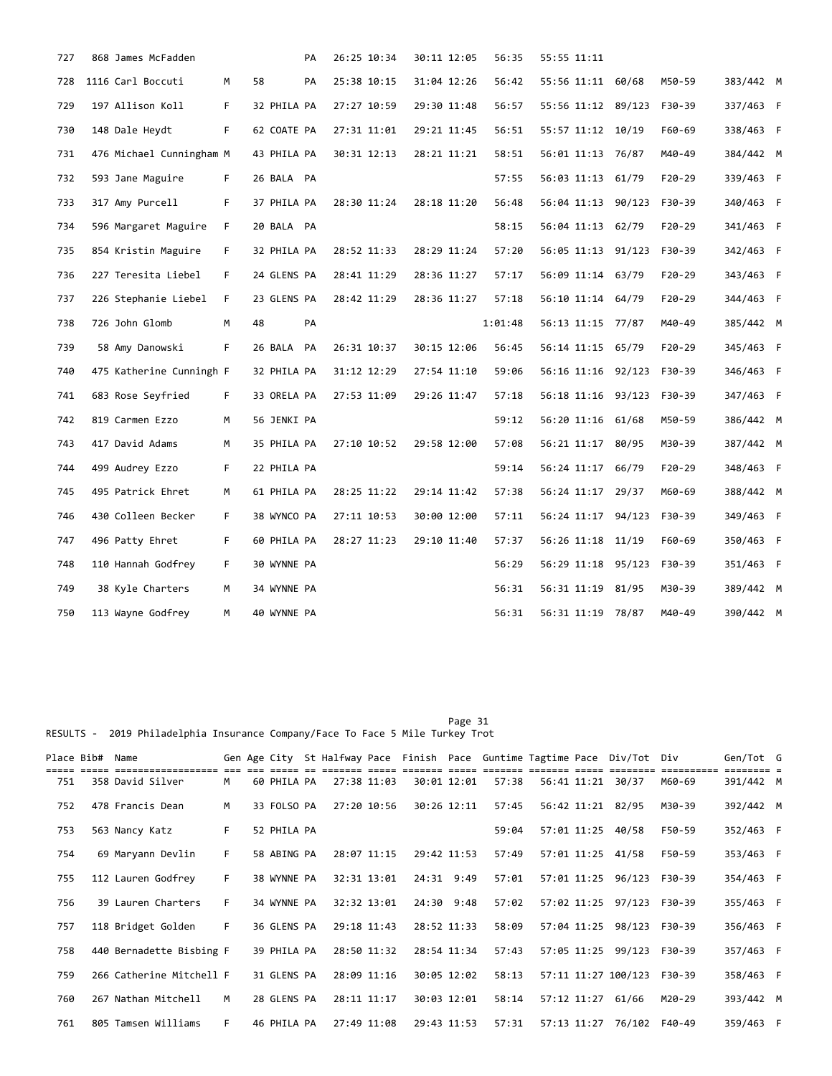| 727 | 868 James McFadden       |    |             | PA | 26:25 10:34 | 30:11 12:05 | 56:35   | 55:55 11:11        |          |           |  |
|-----|--------------------------|----|-------------|----|-------------|-------------|---------|--------------------|----------|-----------|--|
| 728 | 1116 Carl Boccuti        | м  | 58          | PA | 25:38 10:15 | 31:04 12:26 | 56:42   | 55:56 11:11 60/68  | M50-59   | 383/442 M |  |
| 729 | 197 Allison Koll         | F. | 32 PHILA PA |    | 27:27 10:59 | 29:30 11:48 | 56:57   | 55:56 11:12 89/123 | F30-39   | 337/463 F |  |
| 730 | 148 Dale Heydt           | F. | 62 COATE PA |    | 27:31 11:01 | 29:21 11:45 | 56:51   | 55:57 11:12 10/19  | F60-69   | 338/463 F |  |
| 731 | 476 Michael Cunningham M |    | 43 PHILA PA |    | 30:31 12:13 | 28:21 11:21 | 58:51   | 56:01 11:13 76/87  | M40-49   | 384/442 M |  |
| 732 | 593 Jane Maguire         | F. | 26 BALA PA  |    |             |             | 57:55   | 56:03 11:13 61/79  | F20-29   | 339/463 F |  |
| 733 | 317 Amy Purcell          | F. | 37 PHILA PA |    | 28:30 11:24 | 28:18 11:20 | 56:48   | 56:04 11:13 90/123 | F30-39   | 340/463 F |  |
| 734 | 596 Margaret Maguire     | F. | 20 BALA PA  |    |             |             | 58:15   | 56:04 11:13 62/79  | $F20-29$ | 341/463 F |  |
| 735 | 854 Kristin Maguire      | F. | 32 PHILA PA |    | 28:52 11:33 | 28:29 11:24 | 57:20   | 56:05 11:13 91/123 | F30-39   | 342/463 F |  |
| 736 | 227 Teresita Liebel      | F. | 24 GLENS PA |    | 28:41 11:29 | 28:36 11:27 | 57:17   | 56:09 11:14 63/79  | $F20-29$ | 343/463 F |  |
| 737 | 226 Stephanie Liebel     | F. | 23 GLENS PA |    | 28:42 11:29 | 28:36 11:27 | 57:18   | 56:10 11:14 64/79  | $F20-29$ | 344/463 F |  |
| 738 | 726 John Glomb           | M  | 48          | PA |             |             | 1:01:48 | 56:13 11:15 77/87  | M40-49   | 385/442 M |  |
| 739 | 58 Amy Danowski          | F. | 26 BALA PA  |    | 26:31 10:37 | 30:15 12:06 | 56:45   | 56:14 11:15 65/79  | $F20-29$ | 345/463 F |  |
| 740 | 475 Katherine Cunningh F |    | 32 PHILA PA |    | 31:12 12:29 | 27:54 11:10 | 59:06   | 56:16 11:16 92/123 | F30-39   | 346/463 F |  |
| 741 | 683 Rose Seyfried        | F. | 33 ORELA PA |    | 27:53 11:09 | 29:26 11:47 | 57:18   | 56:18 11:16 93/123 | F30-39   | 347/463 F |  |
| 742 | 819 Carmen Ezzo          | M  | 56 JENKI PA |    |             |             | 59:12   | 56:20 11:16 61/68  | M50-59   | 386/442 M |  |
| 743 | 417 David Adams          | M  | 35 PHILA PA |    | 27:10 10:52 | 29:58 12:00 | 57:08   | 56:21 11:17 80/95  | M30-39   | 387/442 M |  |
| 744 | 499 Audrey Ezzo          | F. | 22 PHILA PA |    |             |             | 59:14   | 56:24 11:17 66/79  | $F20-29$ | 348/463 F |  |
| 745 | 495 Patrick Ehret        | М  | 61 PHILA PA |    | 28:25 11:22 | 29:14 11:42 | 57:38   | 56:24 11:17 29/37  | M60-69   | 388/442 M |  |
| 746 | 430 Colleen Becker       | F. | 38 WYNCO PA |    | 27:11 10:53 | 30:00 12:00 | 57:11   | 56:24 11:17 94/123 | F30-39   | 349/463 F |  |
| 747 | 496 Patty Ehret          | F. | 60 PHILA PA |    | 28:27 11:23 | 29:10 11:40 | 57:37   | 56:26 11:18 11/19  | F60-69   | 350/463 F |  |
| 748 | 110 Hannah Godfrey       | F. | 30 WYNNE PA |    |             |             | 56:29   | 56:29 11:18 95/123 | F30-39   | 351/463 F |  |
| 749 | 38 Kyle Charters         | м  | 34 WYNNE PA |    |             |             | 56:31   | 56:31 11:19 81/95  | M30-39   | 389/442 M |  |
| 750 | 113 Wayne Godfrey        | M  | 40 WYNNE PA |    |             |             | 56:31   | 56:31 11:19 78/87  | M40-49   | 390/442 M |  |

Page 31 RESULTS - 2019 Philadelphia Insurance Company/Face To Face 5 Mile Turkey Trot

| Place Bib# | Name                     |    |             |             |             |             |       |             | Gen Age City St Halfway Pace Finish Pace Guntime Tagtime Pace Div/Tot Div |        | Gen/Tot G |  |
|------------|--------------------------|----|-------------|-------------|-------------|-------------|-------|-------------|---------------------------------------------------------------------------|--------|-----------|--|
| 751        | 358 David Silver         | M  | 60 PHILA PA | 27:38 11:03 |             | 30:01 12:01 | 57:38 | 56:41 11:21 | 30/37                                                                     | M60-69 | 391/442 M |  |
| 752        | 478 Francis Dean         | M  | 33 FOLSO PA | 27:20 10:56 |             | 30:26 12:11 | 57:45 |             | 56:42 11:21 82/95                                                         | M30-39 | 392/442 M |  |
| 753        | 563 Nancy Katz           | F. | 52 PHILA PA |             |             |             | 59:04 | 57:01 11:25 | 40/58                                                                     | F50-59 | 352/463 F |  |
| 754        | 69 Maryann Devlin        | F. | 58 ABING PA | 28:07 11:15 |             | 29:42 11:53 | 57:49 |             | 57:01 11:25 41/58                                                         | F50-59 | 353/463 F |  |
| 755        | 112 Lauren Godfrey       | F. | 38 WYNNE PA |             | 32:31 13:01 | 24:31 9:49  | 57:01 | 57:01 11:25 | 96/123                                                                    | F30-39 | 354/463 F |  |
| 756        | 39 Lauren Charters       | F  | 34 WYNNE PA | 32:32 13:01 |             | 24:30 9:48  | 57:02 |             | 57:02 11:25 97/123                                                        | F30-39 | 355/463 F |  |
| 757        | 118 Bridget Golden       | F. | 36 GLENS PA | 29:18 11:43 |             | 28:52 11:33 | 58:09 | 57:04 11:25 | 98/123                                                                    | F30-39 | 356/463 F |  |
| 758        | 440 Bernadette Bisbing F |    | 39 PHILA PA |             | 28:50 11:32 | 28:54 11:34 | 57:43 |             | 57:05 11:25 99/123                                                        | F30-39 | 357/463 F |  |
| 759        | 266 Catherine Mitchell F |    | 31 GLENS PA | 28:09 11:16 |             | 30:05 12:02 | 58:13 |             | 57:11 11:27 100/123                                                       | F30-39 | 358/463 F |  |
| 760        | 267 Nathan Mitchell      | м  | 28 GLENS PA | 28:11 11:17 |             | 30:03 12:01 | 58:14 | 57:12 11:27 | 61/66                                                                     | M20-29 | 393/442 M |  |
| 761        | 805 Tamsen Williams      | F. | 46 PHILA PA | 27:49 11:08 |             | 29:43 11:53 | 57:31 | 57:13 11:27 | 76/102                                                                    | F40-49 | 359/463 F |  |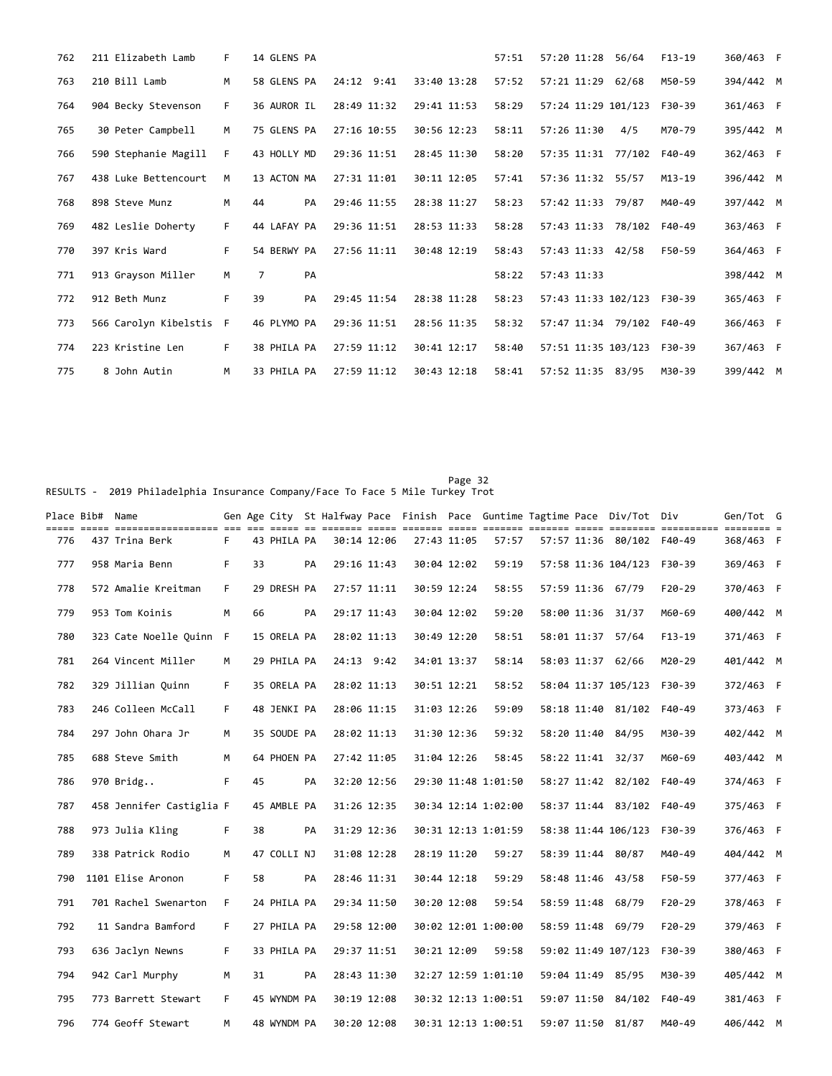| 762 | 211 Elizabeth Lamb      | F. | 14 GLENS PA          |             |             | 57:51 | 57:20 11:28 56/64    | $F13-19$ | 360/463 F |  |
|-----|-------------------------|----|----------------------|-------------|-------------|-------|----------------------|----------|-----------|--|
| 763 | 210 Bill Lamb           | M  | 58 GLENS PA          | 24:12 9:41  | 33:40 13:28 | 57:52 | 57:21 11:29<br>62/68 | M50-59   | 394/442 M |  |
| 764 | 904 Becky Stevenson     | F. | 36 AUROR IL          | 28:49 11:32 | 29:41 11:53 | 58:29 | 57:24 11:29 101/123  | F30-39   | 361/463 F |  |
| 765 | 30 Peter Campbell       | M  | 75 GLENS PA          | 27:16 10:55 | 30:56 12:23 | 58:11 | 57:26 11:30<br>4/5   | M70-79   | 395/442 M |  |
| 766 | 590 Stephanie Magill    | F. | 43 HOLLY MD          | 29:36 11:51 | 28:45 11:30 | 58:20 | 57:35 11:31 77/102   | F40-49   | 362/463 F |  |
| 767 | 438 Luke Bettencourt    | M  | 13 ACTON MA          | 27:31 11:01 | 30:11 12:05 | 57:41 | 57:36 11:32 55/57    | M13-19   | 396/442 M |  |
| 768 | 898 Steve Munz          | M  | 44<br>PA             | 29:46 11:55 | 28:38 11:27 | 58:23 | 57:42 11:33 79/87    | M40-49   | 397/442 M |  |
| 769 | 482 Leslie Doherty      | F. | 44 LAFAY PA          | 29:36 11:51 | 28:53 11:33 | 58:28 | 57:43 11:33 78/102   | F40-49   | 363/463 F |  |
| 770 | 397 Kris Ward           | F. | 54 BERWY PA          | 27:56 11:11 | 30:48 12:19 | 58:43 | 57:43 11:33 42/58    | F50-59   | 364/463 F |  |
| 771 | 913 Grayson Miller      | M  | $\overline{7}$<br>PA |             |             | 58:22 | 57:43 11:33          |          | 398/442 M |  |
| 772 | 912 Beth Munz           | F  | 39<br>PA             | 29:45 11:54 | 28:38 11:28 | 58:23 | 57:43 11:33 102/123  | F30-39   | 365/463 F |  |
| 773 | 566 Carolyn Kibelstis F |    | 46 PLYMO PA          | 29:36 11:51 | 28:56 11:35 | 58:32 | 57:47 11:34 79/102   | F40-49   | 366/463 F |  |
| 774 | 223 Kristine Len        | F. | 38 PHILA PA          | 27:59 11:12 | 30:41 12:17 | 58:40 | 57:51 11:35 103/123  | F30-39   | 367/463 F |  |
| 775 | 8 John Autin            | M  | 33 PHILA PA          | 27:59 11:12 | 30:43 12:18 | 58:41 | 57:52 11:35 83/95    | M30-39   | 399/442 M |  |

Page 32 Page 32 RESULTS - 2019 Philadelphia Insurance Company/Face To Face 5 Mile Turkey Trot

|     | Place Bib# Name |                          |    |    |             |    |             |             |             |             |                     |  | Gen Age City St Halfway Pace Finish Pace Guntime Tagtime Pace Div/Tot Div |          | Gen/Tot G |  |
|-----|-----------------|--------------------------|----|----|-------------|----|-------------|-------------|-------------|-------------|---------------------|--|---------------------------------------------------------------------------|----------|-----------|--|
| 776 |                 | 437 Trina Berk           | F. |    | 43 PHILA PA |    |             | 30:14 12:06 |             | 27:43 11:05 | 57:57               |  | 57:57 11:36 80/102 F40-49                                                 |          | 368/463 F |  |
| 777 |                 | 958 Maria Benn           | F. | 33 |             | PA | 29:16 11:43 |             | 30:04 12:02 |             | 59:19               |  | 57:58 11:36 104/123 F30-39                                                |          | 369/463 F |  |
| 778 |                 | 572 Amalie Kreitman      | F. |    | 29 DRESH PA |    |             | 27:57 11:11 | 30:59 12:24 |             | 58:55               |  | 57:59 11:36 67/79                                                         | $F20-29$ | 370/463 F |  |
| 779 |                 | 953 Tom Koinis           | M  | 66 |             | PA |             | 29:17 11:43 |             | 30:04 12:02 | 59:20               |  | 58:00 11:36 31/37                                                         | M60-69   | 400/442 M |  |
| 780 |                 | 323 Cate Noelle Ouinn F  |    |    | 15 ORELA PA |    |             | 28:02 11:13 |             | 30:49 12:20 | 58:51               |  | 58:01 11:37 57/64                                                         | $F13-19$ | 371/463 F |  |
| 781 |                 | 264 Vincent Miller       | M  |    | 29 PHILA PA |    |             | 24:13 9:42  |             | 34:01 13:37 | 58:14               |  | 58:03 11:37 62/66                                                         | M20-29   | 401/442 M |  |
| 782 |                 | 329 Jillian Quinn        | F. |    | 35 ORELA PA |    | 28:02 11:13 |             |             | 30:51 12:21 | 58:52               |  | 58:04 11:37 105/123                                                       | F30-39   | 372/463 F |  |
| 783 |                 | 246 Colleen McCall       | F. |    | 48 JENKI PA |    |             | 28:06 11:15 |             | 31:03 12:26 | 59:09               |  | 58:18 11:40 81/102                                                        | F40-49   | 373/463 F |  |
| 784 |                 | 297 John Ohara Jr        | М  |    | 35 SOUDE PA |    |             | 28:02 11:13 |             | 31:30 12:36 | 59:32               |  | 58:20 11:40 84/95                                                         | M30-39   | 402/442 M |  |
| 785 |                 | 688 Steve Smith          | M  |    | 64 PHOEN PA |    |             | 27:42 11:05 |             | 31:04 12:26 | 58:45               |  | 58:22 11:41 32/37                                                         | M60-69   | 403/442 M |  |
| 786 |                 | 970 Bridg                | F. | 45 |             | PA | 32:20 12:56 |             |             |             | 29:30 11:48 1:01:50 |  | 58:27 11:42 82/102 F40-49                                                 |          | 374/463 F |  |
| 787 |                 | 458 Jennifer Castiglia F |    |    | 45 AMBLE PA |    |             | 31:26 12:35 |             |             | 30:34 12:14 1:02:00 |  | 58:37 11:44 83/102 F40-49                                                 |          | 375/463 F |  |
| 788 |                 | 973 Julia Kling          | F. | 38 |             | PA |             | 31:29 12:36 |             |             | 30:31 12:13 1:01:59 |  | 58:38 11:44 106/123 F30-39                                                |          | 376/463 F |  |
| 789 |                 | 338 Patrick Rodio        | M  |    | 47 COLLI NJ |    |             | 31:08 12:28 |             | 28:19 11:20 | 59:27               |  | 58:39 11:44 80/87                                                         | M40-49   | 404/442 M |  |
| 790 |                 | 1101 Elise Aronon        | F. | 58 |             | PA | 28:46 11:31 |             |             | 30:44 12:18 | 59:29               |  | 58:48 11:46 43/58                                                         | F50-59   | 377/463 F |  |
| 791 |                 | 701 Rachel Swenarton     | F. |    | 24 PHILA PA |    |             | 29:34 11:50 |             | 30:20 12:08 | 59:54               |  | 58:59 11:48 68/79                                                         | $F20-29$ | 378/463 F |  |
| 792 |                 | 11 Sandra Bamford        | F. |    | 27 PHILA PA |    |             | 29:58 12:00 |             |             | 30:02 12:01 1:00:00 |  | 58:59 11:48 69/79                                                         | $F20-29$ | 379/463 F |  |
| 793 |                 | 636 Jaclyn Newns         | F. |    | 33 PHILA PA |    |             | 29:37 11:51 |             | 30:21 12:09 | 59:58               |  | 59:02 11:49 107/123                                                       | F30-39   | 380/463 F |  |
| 794 |                 | 942 Carl Murphy          | M  | 31 |             | PA | 28:43 11:30 |             |             |             | 32:27 12:59 1:01:10 |  | 59:04 11:49 85/95                                                         | M30-39   | 405/442 M |  |
| 795 |                 | 773 Barrett Stewart      | F. |    | 45 WYNDM PA |    |             | 30:19 12:08 |             |             | 30:32 12:13 1:00:51 |  | 59:07 11:50 84/102 F40-49                                                 |          | 381/463 F |  |
| 796 |                 | 774 Geoff Stewart        | M  |    | 48 WYNDM PA |    |             | 30:20 12:08 |             |             | 30:31 12:13 1:00:51 |  | 59:07 11:50 81/87                                                         | M40-49   | 406/442 M |  |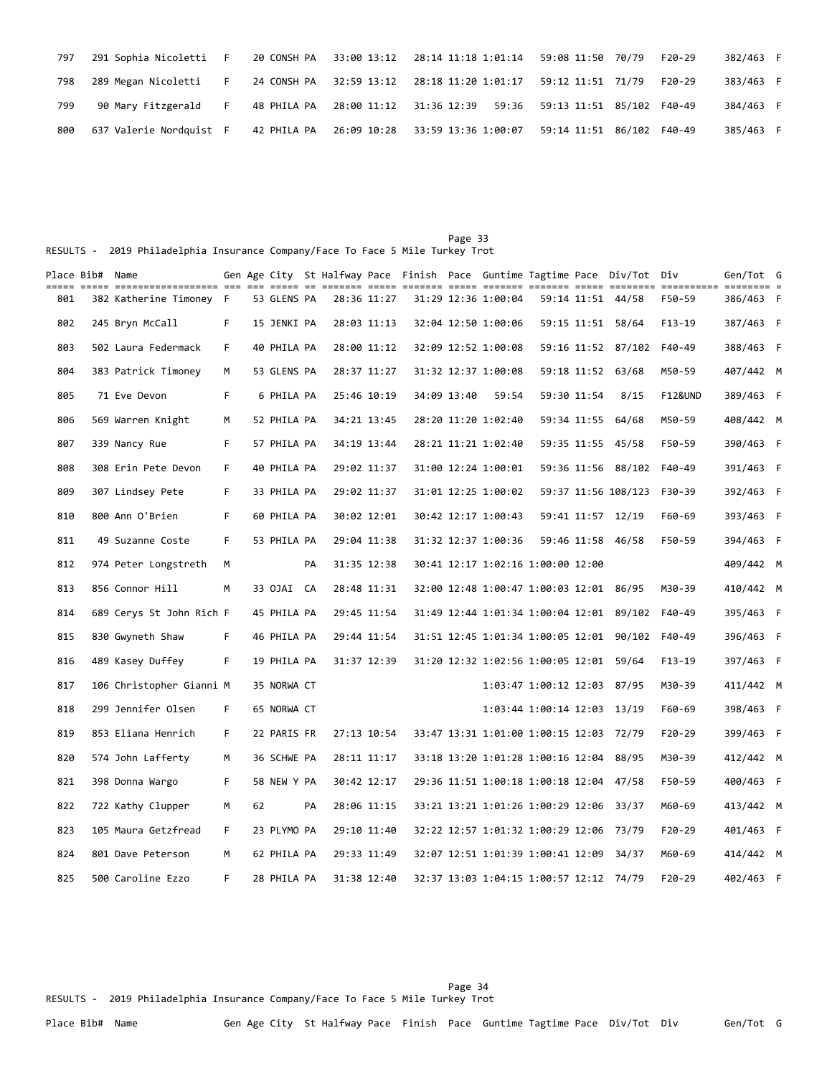| 797 | 291 Sophia Nicoletti F 20 CONSH PA 33:00 13:12 28:14 11:18 1:01:14 59:08 11:50 70/79 |  |                                                                             |  | $F20-29$ | 382/463 F |  |
|-----|--------------------------------------------------------------------------------------|--|-----------------------------------------------------------------------------|--|----------|-----------|--|
| 798 | 289 Megan Nicoletti F                                                                |  | 24 CONSH PA 32:59 13:12 28:18 11:20 1:01:17 59:12 11:51 71/79               |  | F20-29   | 383/463 F |  |
| 799 | 90 Mary Fitzgerald F                                                                 |  | 48 PHILA PA  28:00 11:12  31:36  12:39  59:36  59:13  11:51  85/102  F40-49 |  |          | 384/463 F |  |
| 800 | 637 Valerie Nordquist F                                                              |  | 42 PHILA PA  26:09 10:28  33:59 13:36 1:00:07  59:14 11:51  86/102  F40-49  |  |          | 385/463 F |  |

Page 33 and 23 and 24 and 25 and 26 and 26 and 26 and 26 and 26 and 26 and 26 and 26 and 26 and 26 and 26 and RESULTS - 2019 Philadelphia Insurance Company/Face To Face 5 Mile Turkey Trot

|     | Place Bib# Name |                          |    |    |             |    |             |  |             |                                          |                             |             | Gen Age City St Halfway Pace Finish Pace Guntime Tagtime Pace Div/Tot Div |                    | Gen/Tot G |  |
|-----|-----------------|--------------------------|----|----|-------------|----|-------------|--|-------------|------------------------------------------|-----------------------------|-------------|---------------------------------------------------------------------------|--------------------|-----------|--|
| 801 |                 | 382 Katherine Timoney F  |    |    | 53 GLENS PA |    | 28:36 11:27 |  |             | 31:29 12:36 1:00:04                      |                             |             | 59:14 11:51 44/58                                                         | F50-59             | 386/463 F |  |
| 802 |                 | 245 Bryn McCall          | F. |    | 15 JENKI PA |    | 28:03 11:13 |  |             | 32:04 12:50 1:00:06                      |                             |             | 59:15 11:51 58/64                                                         | F13-19             | 387/463 F |  |
| 803 |                 | 502 Laura Federmack      | F. |    | 40 PHILA PA |    | 28:00 11:12 |  |             | 32:09 12:52 1:00:08                      |                             |             | 59:16 11:52 87/102                                                        | F40-49             | 388/463 F |  |
| 804 |                 | 383 Patrick Timoney      | M  |    | 53 GLENS PA |    | 28:37 11:27 |  |             | 31:32 12:37 1:00:08                      |                             |             | 59:18 11:52 63/68                                                         | M50-59             | 407/442 M |  |
| 805 |                 | 71 Eve Devon             | F. |    | 6 PHILA PA  |    | 25:46 10:19 |  | 34:09 13:40 | 59:54                                    |                             | 59:30 11:54 | 8/15                                                                      | <b>F12&amp;UND</b> | 389/463 F |  |
| 806 |                 | 569 Warren Knight        | М  |    | 52 PHILA PA |    | 34:21 13:45 |  |             | 28:20 11:20 1:02:40                      |                             |             | 59:34 11:55 64/68                                                         | M50-59             | 408/442 M |  |
| 807 |                 | 339 Nancy Rue            | F. |    | 57 PHILA PA |    | 34:19 13:44 |  |             | 28:21 11:21 1:02:40                      |                             |             | 59:35 11:55 45/58                                                         | F50-59             | 390/463 F |  |
| 808 |                 | 308 Erin Pete Devon      | F. |    | 40 PHILA PA |    | 29:02 11:37 |  |             | 31:00 12:24 1:00:01                      |                             |             | 59:36 11:56 88/102                                                        | F40-49             | 391/463 F |  |
| 809 |                 | 307 Lindsey Pete         | F. |    | 33 PHILA PA |    | 29:02 11:37 |  |             | 31:01 12:25 1:00:02                      |                             |             | 59:37 11:56 108/123                                                       | F30-39             | 392/463 F |  |
| 810 |                 | 800 Ann O'Brien          | F. |    | 60 PHILA PA |    | 30:02 12:01 |  |             | 30:42 12:17 1:00:43                      |                             |             | 59:41 11:57 12/19                                                         | F60-69             | 393/463 F |  |
| 811 |                 | 49 Suzanne Coste         | F. |    | 53 PHILA PA |    | 29:04 11:38 |  |             | 31:32 12:37 1:00:36                      |                             |             | 59:46 11:58 46/58                                                         | F50-59             | 394/463 F |  |
| 812 |                 | 974 Peter Longstreth     | м  |    |             | PA | 31:35 12:38 |  |             | 30:41 12:17 1:02:16 1:00:00 12:00        |                             |             |                                                                           |                    | 409/442 M |  |
| 813 |                 | 856 Connor Hill          | M  |    | 33 OJAI CA  |    | 28:48 11:31 |  |             | 32:00 12:48 1:00:47 1:00:03 12:01 86/95  |                             |             |                                                                           | M30-39             | 410/442 M |  |
| 814 |                 | 689 Cerys St John Rich F |    |    | 45 PHILA PA |    | 29:45 11:54 |  |             | 31:49 12:44 1:01:34 1:00:04 12:01 89/102 |                             |             |                                                                           | F40-49             | 395/463 F |  |
| 815 |                 | 830 Gwyneth Shaw         | F. |    | 46 PHILA PA |    | 29:44 11:54 |  |             | 31:51 12:45 1:01:34 1:00:05 12:01 90/102 |                             |             |                                                                           | F40-49             | 396/463 F |  |
| 816 |                 | 489 Kasey Duffey         | F. |    | 19 PHILA PA |    | 31:37 12:39 |  |             | 31:20 12:32 1:02:56 1:00:05 12:01 59/64  |                             |             |                                                                           | F13-19             | 397/463 F |  |
| 817 |                 | 106 Christopher Gianni M |    |    | 35 NORWA CT |    |             |  |             |                                          | 1:03:47 1:00:12 12:03 87/95 |             |                                                                           | M30-39             | 411/442 M |  |
| 818 |                 | 299 Jennifer Olsen       | F. |    | 65 NORWA CT |    |             |  |             |                                          | 1:03:44 1:00:14 12:03 13/19 |             |                                                                           | F60-69             | 398/463 F |  |
| 819 |                 | 853 Eliana Henrich       | F. |    | 22 PARIS FR |    | 27:13 10:54 |  |             | 33:47 13:31 1:01:00 1:00:15 12:03 72/79  |                             |             |                                                                           | F20-29             | 399/463 F |  |
| 820 |                 | 574 John Lafferty        | M  |    | 36 SCHWE PA |    | 28:11 11:17 |  |             | 33:18 13:20 1:01:28 1:00:16 12:04 88/95  |                             |             |                                                                           | M30-39             | 412/442 M |  |
| 821 |                 | 398 Donna Wargo          | F. |    | 58 NEW Y PA |    | 30:42 12:17 |  |             | 29:36 11:51 1:00:18 1:00:18 12:04 47/58  |                             |             |                                                                           | F50-59             | 400/463 F |  |
| 822 |                 | 722 Kathy Clupper        | M  | 62 |             | PA | 28:06 11:15 |  |             | 33:21 13:21 1:01:26 1:00:29 12:06 33/37  |                             |             |                                                                           | M60-69             | 413/442 M |  |
| 823 |                 | 105 Maura Getzfread      | F. |    | 23 PLYMO PA |    | 29:10 11:40 |  |             | 32:22 12:57 1:01:32 1:00:29 12:06 73/79  |                             |             |                                                                           | $F20-29$           | 401/463 F |  |
| 824 |                 | 801 Dave Peterson        | М  |    | 62 PHILA PA |    | 29:33 11:49 |  |             | 32:07 12:51 1:01:39 1:00:41 12:09 34/37  |                             |             |                                                                           | M60-69             | 414/442 M |  |
| 825 |                 | 500 Caroline Ezzo        | F. |    | 28 PHILA PA |    | 31:38 12:40 |  |             | 32:37 13:03 1:04:15 1:00:57 12:12 74/79  |                             |             |                                                                           | F20-29             | 402/463 F |  |

Page 34 RESULTS - 2019 Philadelphia Insurance Company/Face To Face 5 Mile Turkey Trot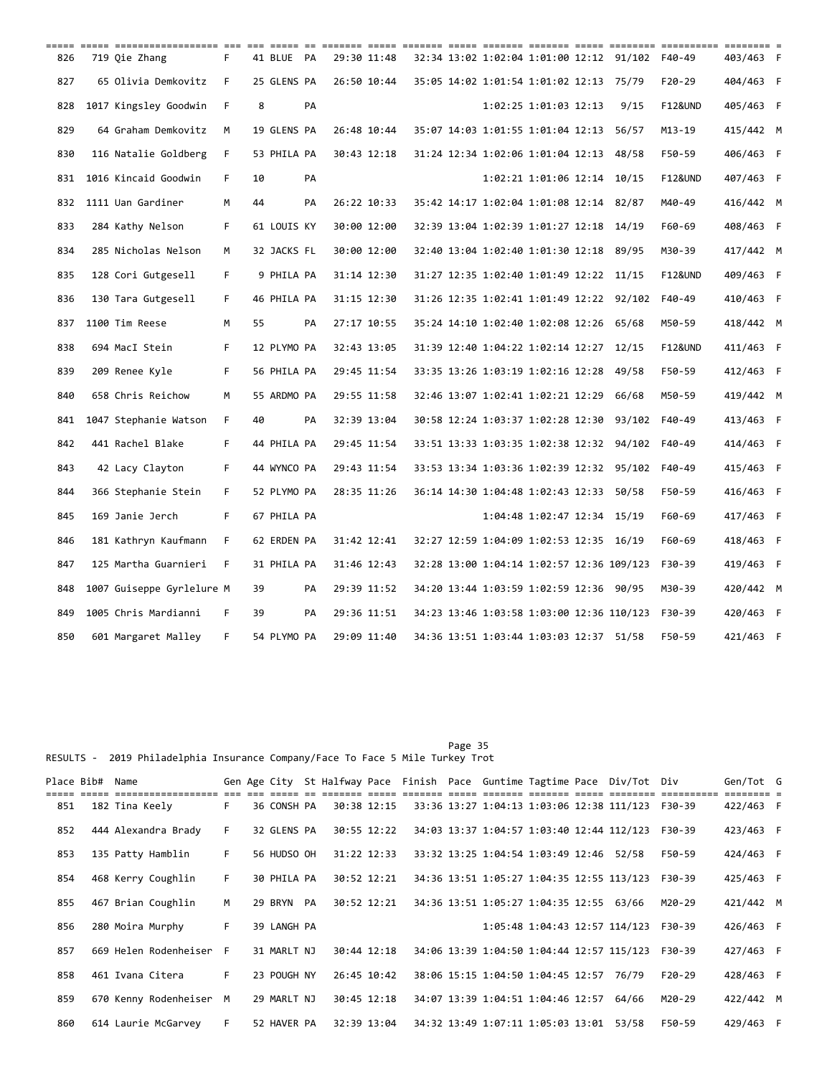| ===== |                   | ----- ----------------- --- --- ---- -- |    |    |             |    |             |  |                                           |                             |                                                 |                    |           |  |
|-------|-------------------|-----------------------------------------|----|----|-------------|----|-------------|--|-------------------------------------------|-----------------------------|-------------------------------------------------|--------------------|-----------|--|
| 826   | 719 Oie Zhang     |                                         | F  |    | 41 BLUE PA  |    | 29:30 11:48 |  |                                           |                             | 32:34 13:02 1:02:04 1:01:00 12:12 91/102 F40-49 |                    | 403/463 F |  |
| 827   |                   | 65 Olivia Demkovitz                     | F  |    | 25 GLENS PA |    | 26:50 10:44 |  | 35:05 14:02 1:01:54 1:01:02 12:13 75/79   |                             |                                                 | $F20-29$           | 404/463 F |  |
| 828   |                   | 1017 Kingsley Goodwin                   | F  | 8  |             | PA |             |  |                                           | 1:02:25 1:01:03 12:13       | 9/15                                            | <b>F12&amp;UND</b> | 405/463 F |  |
| 829   |                   | 64 Graham Demkovitz                     | M  |    | 19 GLENS PA |    | 26:48 10:44 |  | 35:07 14:03 1:01:55 1:01:04 12:13 56/57   |                             |                                                 | M13-19             | 415/442 M |  |
| 830   |                   | 116 Natalie Goldberg                    | F. |    | 53 PHILA PA |    | 30:43 12:18 |  | 31:24 12:34 1:02:06 1:01:04 12:13 48/58   |                             |                                                 | F50-59             | 406/463 F |  |
| 831   |                   | 1016 Kincaid Goodwin                    | F. | 10 |             | PA |             |  |                                           | 1:02:21 1:01:06 12:14 10/15 |                                                 | <b>F12&amp;UND</b> | 407/463 F |  |
| 832   | 1111 Uan Gardiner |                                         | M  | 44 |             | PA | 26:22 10:33 |  | 35:42 14:17 1:02:04 1:01:08 12:14 82/87   |                             |                                                 | M40-49             | 416/442 M |  |
| 833   | 284 Kathy Nelson  |                                         | F. |    | 61 LOUIS KY |    | 30:00 12:00 |  | 32:39 13:04 1:02:39 1:01:27 12:18 14/19   |                             |                                                 | F60-69             | 408/463 F |  |
| 834   |                   | 285 Nicholas Nelson                     | М  |    | 32 JACKS FL |    | 30:00 12:00 |  | 32:40 13:04 1:02:40 1:01:30 12:18 89/95   |                             |                                                 | M30-39             | 417/442 M |  |
| 835   |                   | 128 Cori Gutgesell                      | F. |    | 9 PHILA PA  |    | 31:14 12:30 |  | 31:27 12:35 1:02:40 1:01:49 12:22 11/15   |                             |                                                 | F12&UND            | 409/463 F |  |
| 836   |                   | 130 Tara Gutgesell                      | F. |    | 46 PHILA PA |    | 31:15 12:30 |  | 31:26 12:35 1:02:41 1:01:49 12:22 92/102  |                             |                                                 | F40-49             | 410/463 F |  |
| 837   | 1100 Tim Reese    |                                         | м  | 55 |             | PA | 27:17 10:55 |  | 35:24 14:10 1:02:40 1:02:08 12:26 65/68   |                             |                                                 | M50-59             | 418/442 M |  |
| 838   | 694 MacI Stein    |                                         | F. |    | 12 PLYMO PA |    | 32:43 13:05 |  | 31:39 12:40 1:04:22 1:02:14 12:27 12/15   |                             |                                                 | <b>F12&amp;UND</b> | 411/463 F |  |
| 839   | 209 Renee Kyle    |                                         | F. |    | 56 PHILA PA |    | 29:45 11:54 |  | 33:35 13:26 1:03:19 1:02:16 12:28 49/58   |                             |                                                 | F50-59             | 412/463 F |  |
| 840   |                   | 658 Chris Reichow                       | М  |    | 55 ARDMO PA |    | 29:55 11:58 |  | 32:46 13:07 1:02:41 1:02:21 12:29 66/68   |                             |                                                 | M50-59             | 419/442 M |  |
| 841   |                   | 1047 Stephanie Watson                   | F. | 40 |             | PA | 32:39 13:04 |  | 30:58 12:24 1:03:37 1:02:28 12:30 93/102  |                             |                                                 | F40-49             | 413/463 F |  |
| 842   | 441 Rachel Blake  |                                         | F. |    | 44 PHILA PA |    | 29:45 11:54 |  | 33:51 13:33 1:03:35 1:02:38 12:32 94/102  |                             |                                                 | F40-49             | 414/463 F |  |
| 843   |                   | 42 Lacy Clayton                         | F. |    | 44 WYNCO PA |    | 29:43 11:54 |  | 33:53 13:34 1:03:36 1:02:39 12:32 95/102  |                             |                                                 | F40-49             | 415/463 F |  |
| 844   |                   | 366 Stephanie Stein                     | F. |    | 52 PLYMO PA |    | 28:35 11:26 |  | 36:14 14:30 1:04:48 1:02:43 12:33 50/58   |                             |                                                 | F50-59             | 416/463 F |  |
| 845   | 169 Janie Jerch   |                                         | F. |    | 67 PHILA PA |    |             |  |                                           | 1:04:48 1:02:47 12:34 15/19 |                                                 | F60-69             | 417/463 F |  |
| 846   |                   | 181 Kathryn Kaufmann                    | F. |    | 62 ERDEN PA |    | 31:42 12:41 |  | 32:27 12:59 1:04:09 1:02:53 12:35 16/19   |                             |                                                 | F60-69             | 418/463 F |  |
| 847   |                   | 125 Martha Guarnieri                    | F  |    | 31 PHILA PA |    | 31:46 12:43 |  | 32:28 13:00 1:04:14 1:02:57 12:36 109/123 |                             |                                                 | F30-39             | 419/463 F |  |
| 848   |                   | 1007 Guiseppe Gyrlelure M               |    | 39 |             | PA | 29:39 11:52 |  | 34:20 13:44 1:03:59 1:02:59 12:36 90/95   |                             |                                                 | M30-39             | 420/442 M |  |
| 849   |                   | 1005 Chris Mardianni                    | F  | 39 |             | PA | 29:36 11:51 |  | 34:23 13:46 1:03:58 1:03:00 12:36 110/123 |                             |                                                 | F30-39             | 420/463 F |  |
| 850   |                   | 601 Margaret Malley                     | F  |    | 54 PLYMO PA |    | 29:09 11:40 |  | 34:36 13:51 1:03:44 1:03:03 12:37 51/58   |                             |                                                 | F50-59             | 421/463 F |  |

Page 35 and 20 and 20 and 20 and 20 and 20 and 20 and 20 and 20 and 20 and 20 and 20 and 20 and 20 and 20 and RESULTS - 2019 Philadelphia Insurance Company/Face To Face 5 Mile Turkey Trot

|     | Place Bib# | Name                  |    |             |             |  |                                           |  | Gen Age City St Halfway Pace Finish Pace Guntime Tagtime Pace Div/Tot Div |          | Gen/Tot G |  |
|-----|------------|-----------------------|----|-------------|-------------|--|-------------------------------------------|--|---------------------------------------------------------------------------|----------|-----------|--|
| 851 |            | 182 Tina Keely        | F. | 36 CONSH PA | 30:38 12:15 |  |                                           |  | 33:36 13:27 1:04:13 1:03:06 12:38 111/123                                 | F30-39   | 422/463 F |  |
| 852 |            | 444 Alexandra Brady   | F. | 32 GLENS PA | 30:55 12:22 |  |                                           |  | 34:03 13:37 1:04:57 1:03:40 12:44 112/123                                 | F30-39   | 423/463 F |  |
| 853 |            | 135 Patty Hamblin     | F. | 56 HUDSO OH | 31:22 12:33 |  | 33:32 13:25 1:04:54 1:03:49 12:46 52/58   |  |                                                                           | F50-59   | 424/463 F |  |
| 854 |            | 468 Kerry Coughlin    | F. | 30 PHILA PA | 30:52 12:21 |  |                                           |  | 34:36 13:51 1:05:27 1:04:35 12:55 113/123                                 | F30-39   | 425/463 F |  |
| 855 |            | 467 Brian Coughlin    | M  | 29 BRYN PA  | 30:52 12:21 |  | 34:36 13:51 1:05:27 1:04:35 12:55 63/66   |  |                                                                           | M20-29   | 421/442 M |  |
| 856 |            | 280 Moira Murphy      | F. | 39 LANGH PA |             |  |                                           |  | 1:05:48 1:04:43 12:57 114/123                                             | F30-39   | 426/463 F |  |
| 857 |            | 669 Helen Rodenheiser | F. | 31 MARLT NJ | 30:44 12:18 |  | 34:06 13:39 1:04:50 1:04:44 12:57 115/123 |  |                                                                           | F30-39   | 427/463 F |  |
| 858 |            | 461 Ivana Citera      | F. | 23 POUGH NY | 26:45 10:42 |  | 38:06 15:15 1:04:50 1:04:45 12:57         |  | 76/79                                                                     | $F20-29$ | 428/463 F |  |
| 859 |            | 670 Kenny Rodenheiser | M  | 29 MARLT NJ | 30:45 12:18 |  | 34:07 13:39 1:04:51 1:04:46 12:57 64/66   |  |                                                                           | M20-29   | 422/442 M |  |
| 860 |            | 614 Laurie McGarvey   | F. | 52 HAVER PA | 32:39 13:04 |  | 34:32 13:49 1:07:11 1:05:03 13:01         |  | 53/58                                                                     | F50-59   | 429/463 F |  |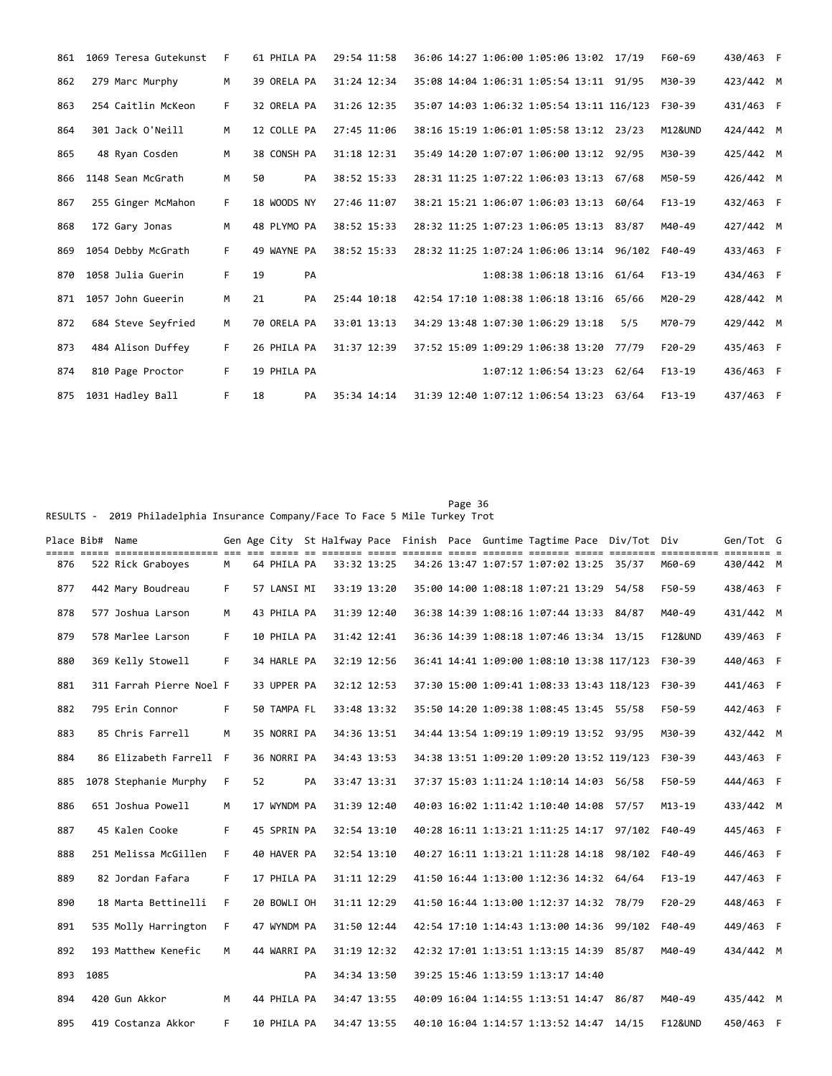| 861 | 1069 Teresa Gutekunst | F  | 61 PHILA PA |    | 29:54 11:58 | 36:06 14:27 1:06:00 1:05:06 13:02 17/19   |                             |       | F60-69             | 430/463 F |  |
|-----|-----------------------|----|-------------|----|-------------|-------------------------------------------|-----------------------------|-------|--------------------|-----------|--|
| 862 | 279 Marc Murphy       | M  | 39 ORELA PA |    | 31:24 12:34 | 35:08 14:04 1:06:31 1:05:54 13:11 91/95   |                             |       | M30-39             | 423/442 M |  |
| 863 | 254 Caitlin McKeon    | F. | 32 ORELA PA |    | 31:26 12:35 | 35:07 14:03 1:06:32 1:05:54 13:11 116/123 |                             |       | F30-39             | 431/463 F |  |
| 864 | 301 Jack O'Neill      | M  | 12 COLLE PA |    | 27:45 11:06 | 38:16 15:19 1:06:01 1:05:58 13:12 23/23   |                             |       | <b>M12&amp;UND</b> | 424/442 M |  |
| 865 | 48 Ryan Cosden        | M  | 38 CONSH PA |    | 31:18 12:31 | 35:49 14:20 1:07:07 1:06:00 13:12 92/95   |                             |       | M30-39             | 425/442 M |  |
| 866 | 1148 Sean McGrath     | M  | 50          | PA | 38:52 15:33 | 28:31 11:25 1:07:22 1:06:03 13:13 67/68   |                             |       | M50-59             | 426/442 M |  |
| 867 | 255 Ginger McMahon    | F. | 18 WOODS NY |    | 27:46 11:07 | 38:21 15:21 1:06:07 1:06:03 13:13 60/64   |                             |       | $F13-19$           | 432/463 F |  |
| 868 | 172 Gary Jonas        | M  | 48 PLYMO PA |    | 38:52 15:33 | 28:32 11:25 1:07:23 1:06:05 13:13 83/87   |                             |       | M40-49             | 427/442 M |  |
| 869 | 1054 Debby McGrath    | F. | 49 WAYNE PA |    | 38:52 15:33 | 28:32 11:25 1:07:24 1:06:06 13:14 96/102  |                             |       | F40-49             | 433/463 F |  |
| 870 | 1058 Julia Guerin     | F. | 19          | PA |             |                                           | 1:08:38 1:06:18 13:16 61/64 |       | $F13-19$           | 434/463 F |  |
| 871 | 1057 John Gueerin     | M  | 21          | PA | 25:44 10:18 | 42:54 17:10 1:08:38 1:06:18 13:16 65/66   |                             |       | M20-29             | 428/442 M |  |
| 872 | 684 Steve Seyfried    | M  | 70 ORELA PA |    | 33:01 13:13 | 34:29 13:48 1:07:30 1:06:29 13:18         |                             | 5/5   | M70-79             | 429/442 M |  |
| 873 | 484 Alison Duffey     | F. | 26 PHILA PA |    | 31:37 12:39 | 37:52 15:09 1:09:29 1:06:38 13:20         |                             | 77/79 | $F20-29$           | 435/463 F |  |
| 874 | 810 Page Proctor      | F. | 19 PHILA PA |    |             |                                           | 1:07:12 1:06:54 13:23 62/64 |       | $F13-19$           | 436/463 F |  |
| 875 | 1031 Hadley Ball      | F  | 18          | PA | 35:34 14:14 | 31:39 12:40 1:07:12 1:06:54 13:23 63/64   |                             |       | $F13-19$           | 437/463 F |  |

Page 36 RESULTS - 2019 Philadelphia Insurance Company/Face To Face 5 Mile Turkey Trot

| Place Bib#  Name |      | aaaa aaaa aaaaaaaaaaaaaaa yoo yoo yoog oo yoogaa waxa aaaaa yooga yoogaa yoogaa yooga waxaaa yoogaaaa yoogaaa y |    |    |             |    |             |  |                                           |  | Gen Age City St Halfway Pace Finish Pace Guntime Tagtime Pace Div/Tot Div |                    | Gen/Tot G |  |
|------------------|------|-----------------------------------------------------------------------------------------------------------------|----|----|-------------|----|-------------|--|-------------------------------------------|--|---------------------------------------------------------------------------|--------------------|-----------|--|
| 876              |      | 522 Rick Graboyes                                                                                               | M  |    | 64 PHILA PA |    | 33:32 13:25 |  | 34:26 13:47 1:07:57 1:07:02 13:25 35/37   |  |                                                                           | M60-69             | 430/442 M |  |
| 877              |      | 442 Mary Boudreau                                                                                               | F. |    | 57 LANSI MI |    | 33:19 13:20 |  | 35:00 14:00 1:08:18 1:07:21 13:29 54/58   |  |                                                                           | F50-59             | 438/463 F |  |
| 878              |      | 577 Joshua Larson                                                                                               | M  |    | 43 PHILA PA |    | 31:39 12:40 |  | 36:38 14:39 1:08:16 1:07:44 13:33 84/87   |  |                                                                           | M40-49             | 431/442 M |  |
| 879              |      | 578 Marlee Larson                                                                                               | F. |    | 10 PHILA PA |    | 31:42 12:41 |  | 36:36 14:39 1:08:18 1:07:46 13:34 13/15   |  |                                                                           | <b>F12&amp;UND</b> | 439/463 F |  |
| 880              |      | 369 Kelly Stowell                                                                                               | F. |    | 34 HARLE PA |    | 32:19 12:56 |  |                                           |  | 36:41 14:41 1:09:00 1:08:10 13:38 117/123                                 | F30-39             | 440/463 F |  |
| 881              |      | 311 Farrah Pierre Noel F                                                                                        |    |    | 33 UPPER PA |    | 32:12 12:53 |  | 37:30 15:00 1:09:41 1:08:33 13:43 118/123 |  |                                                                           | F30-39             | 441/463 F |  |
| 882              |      | 795 Erin Connor                                                                                                 | F. |    | 50 TAMPA FL |    | 33:48 13:32 |  | 35:50 14:20 1:09:38 1:08:45 13:45 55/58   |  |                                                                           | F50-59             | 442/463 F |  |
| 883              |      | 85 Chris Farrell                                                                                                | M  |    | 35 NORRI PA |    | 34:36 13:51 |  | 34:44 13:54 1:09:19 1:09:19 13:52 93/95   |  |                                                                           | M30-39             | 432/442 M |  |
| 884              |      | 86 Elizabeth Farrell F                                                                                          |    |    | 36 NORRI PA |    | 34:43 13:53 |  |                                           |  | 34:38 13:51 1:09:20 1:09:20 13:52 119/123                                 | F30-39             | 443/463 F |  |
| 885              |      | 1078 Stephanie Murphy                                                                                           | F. | 52 |             | PA | 33:47 13:31 |  | 37:37 15:03 1:11:24 1:10:14 14:03 56/58   |  |                                                                           | F50-59             | 444/463 F |  |
| 886              |      | 651 Joshua Powell                                                                                               | M  |    | 17 WYNDM PA |    | 31:39 12:40 |  | 40:03 16:02 1:11:42 1:10:40 14:08 57/57   |  |                                                                           | $M13 - 19$         | 433/442 M |  |
| 887              |      | 45 Kalen Cooke                                                                                                  | F. |    | 45 SPRIN PA |    | 32:54 13:10 |  |                                           |  | 40:28 16:11 1:13:21 1:11:25 14:17 97/102                                  | F40-49             | 445/463 F |  |
| 888              |      | 251 Melissa McGillen                                                                                            | F. |    | 40 HAVER PA |    | 32:54 13:10 |  |                                           |  | 40:27 16:11 1:13:21 1:11:28 14:18 98/102                                  | F40-49             | 446/463 F |  |
| 889              |      | 82 Jordan Fafara                                                                                                | F. |    | 17 PHILA PA |    | 31:11 12:29 |  | 41:50 16:44 1:13:00 1:12:36 14:32 64/64   |  |                                                                           | $F13-19$           | 447/463 F |  |
| 890              |      | 18 Marta Bettinelli                                                                                             | F. |    | 20 BOWLI OH |    | 31:11 12:29 |  | 41:50 16:44 1:13:00 1:12:37 14:32 78/79   |  |                                                                           | F20-29             | 448/463 F |  |
| 891              |      | 535 Molly Harrington                                                                                            | F  |    | 47 WYNDM PA |    | 31:50 12:44 |  |                                           |  | 42:54 17:10 1:14:43 1:13:00 14:36 99/102                                  | F40-49             | 449/463 F |  |
| 892              |      | 193 Matthew Kenefic                                                                                             | M  |    | 44 WARRI PA |    | 31:19 12:32 |  | 42:32 17:01 1:13:51 1:13:15 14:39 85/87   |  |                                                                           | M40-49             | 434/442 M |  |
| 893              | 1085 |                                                                                                                 |    |    |             | PA | 34:34 13:50 |  | 39:25 15:46 1:13:59 1:13:17 14:40         |  |                                                                           |                    |           |  |
| 894              |      | 420 Gun Akkor                                                                                                   | M  |    | 44 PHILA PA |    | 34:47 13:55 |  | 40:09 16:04 1:14:55 1:13:51 14:47 86/87   |  |                                                                           | M40-49             | 435/442 M |  |
| 895              |      | 419 Costanza Akkor                                                                                              | F. |    | 10 PHILA PA |    | 34:47 13:55 |  | 40:10 16:04 1:14:57 1:13:52 14:47 14/15   |  |                                                                           | <b>F12&amp;UND</b> | 450/463 F |  |
|                  |      |                                                                                                                 |    |    |             |    |             |  |                                           |  |                                                                           |                    |           |  |